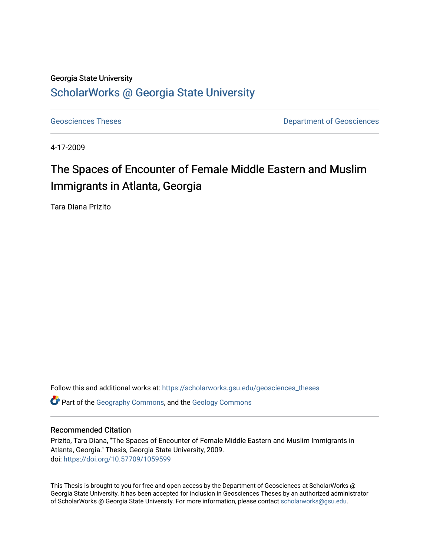#### Georgia State University

## [ScholarWorks @ Georgia State University](https://scholarworks.gsu.edu/)

[Geosciences Theses](https://scholarworks.gsu.edu/geosciences_theses) **Department of Geosciences** 

4-17-2009

# The Spaces of Encounter of Female Middle Eastern and Muslim Immigrants in Atlanta, Georgia

Tara Diana Prizito

Follow this and additional works at: [https://scholarworks.gsu.edu/geosciences\\_theses](https://scholarworks.gsu.edu/geosciences_theses?utm_source=scholarworks.gsu.edu%2Fgeosciences_theses%2F14&utm_medium=PDF&utm_campaign=PDFCoverPages)

Part of the [Geography Commons,](http://network.bepress.com/hgg/discipline/354?utm_source=scholarworks.gsu.edu%2Fgeosciences_theses%2F14&utm_medium=PDF&utm_campaign=PDFCoverPages) and the [Geology Commons](http://network.bepress.com/hgg/discipline/156?utm_source=scholarworks.gsu.edu%2Fgeosciences_theses%2F14&utm_medium=PDF&utm_campaign=PDFCoverPages) 

#### Recommended Citation

Prizito, Tara Diana, "The Spaces of Encounter of Female Middle Eastern and Muslim Immigrants in Atlanta, Georgia." Thesis, Georgia State University, 2009. doi: <https://doi.org/10.57709/1059599>

This Thesis is brought to you for free and open access by the Department of Geosciences at ScholarWorks @ Georgia State University. It has been accepted for inclusion in Geosciences Theses by an authorized administrator of ScholarWorks @ Georgia State University. For more information, please contact [scholarworks@gsu.edu.](mailto:scholarworks@gsu.edu)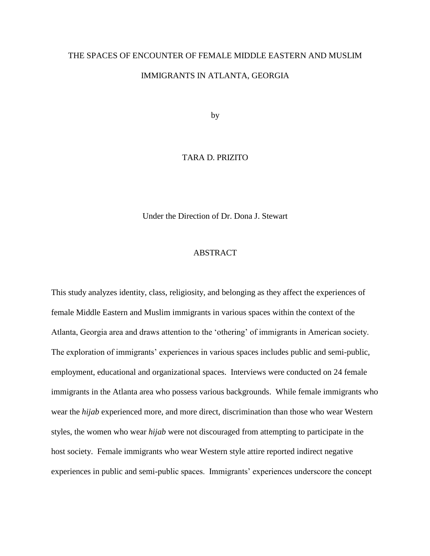# THE SPACES OF ENCOUNTER OF FEMALE MIDDLE EASTERN AND MUSLIM IMMIGRANTS IN ATLANTA, GEORGIA

by

#### TARA D. PRIZITO

Under the Direction of Dr. Dona J. Stewart

#### ABSTRACT

This study analyzes identity, class, religiosity, and belonging as they affect the experiences of female Middle Eastern and Muslim immigrants in various spaces within the context of the Atlanta, Georgia area and draws attention to the "othering" of immigrants in American society. The exploration of immigrants" experiences in various spaces includes public and semi-public, employment, educational and organizational spaces. Interviews were conducted on 24 female immigrants in the Atlanta area who possess various backgrounds. While female immigrants who wear the *hijab* experienced more, and more direct, discrimination than those who wear Western styles, the women who wear *hijab* were not discouraged from attempting to participate in the host society. Female immigrants who wear Western style attire reported indirect negative experiences in public and semi-public spaces. Immigrants' experiences underscore the concept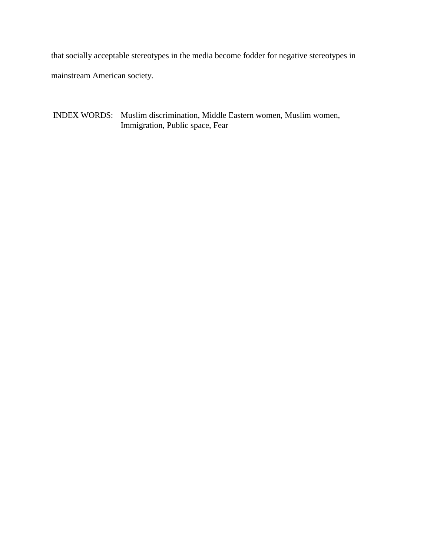that socially acceptable stereotypes in the media become fodder for negative stereotypes in mainstream American society.

INDEX WORDS: Muslim discrimination, Middle Eastern women, Muslim women, Immigration, Public space, Fear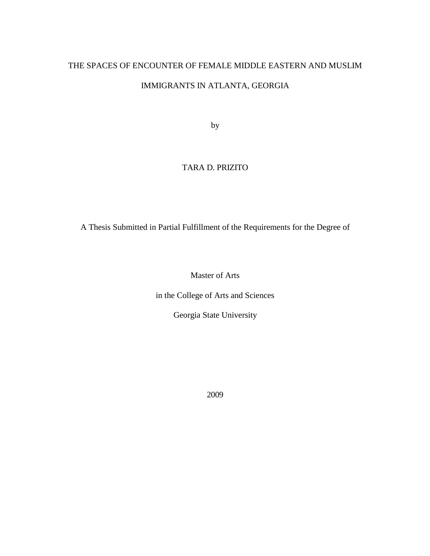# THE SPACES OF ENCOUNTER OF FEMALE MIDDLE EASTERN AND MUSLIM

## IMMIGRANTS IN ATLANTA, GEORGIA

by

## TARA D. PRIZITO

A Thesis Submitted in Partial Fulfillment of the Requirements for the Degree of

Master of Arts

in the College of Arts and Sciences

Georgia State University

2009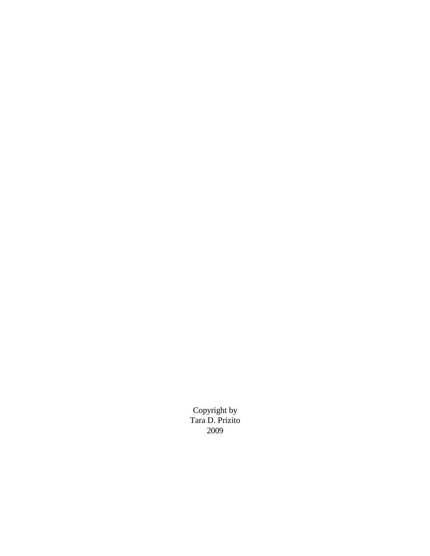Copyright by Tara D. Prizito 2009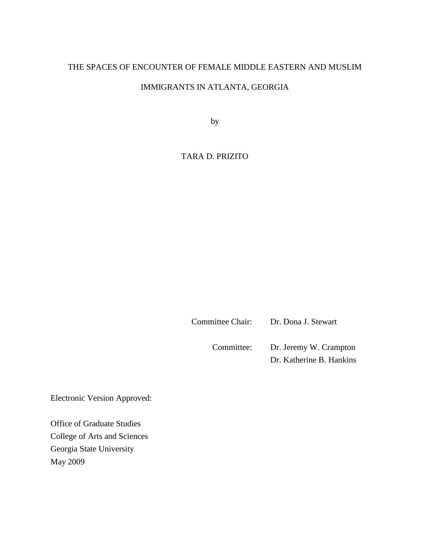### THE SPACES OF ENCOUNTER OF FEMALE MIDDLE EASTERN AND MUSLIM

## IMMIGRANTS IN ATLANTA, GEORGIA

by

## TARA D. PRIZITO

Committee Chair: Dr. Dona J. Stewart

Committee: Dr. Jeremy W. Crampton Dr. Katherine B. Hankins

Electronic Version Approved:

Office of Graduate Studies College of Arts and Sciences Georgia State University May 2009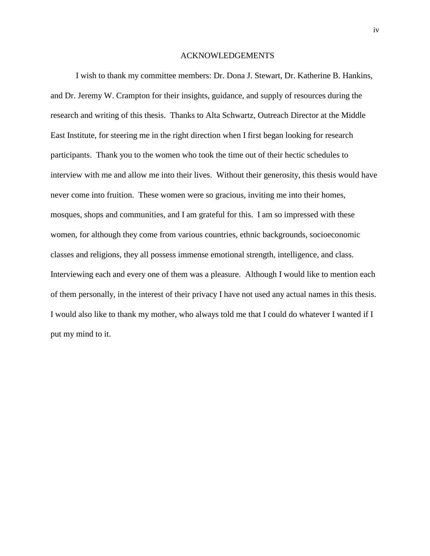#### ACKNOWLEDGEMENTS

I wish to thank my committee members: Dr. Dona J. Stewart, Dr. Katherine B. Hankins, and Dr. Jeremy W. Crampton for their insights, guidance, and supply of resources during the research and writing of this thesis. Thanks to Alta Schwartz, Outreach Director at the Middle East Institute, for steering me in the right direction when I first began looking for research participants. Thank you to the women who took the time out of their hectic schedules to interview with me and allow me into their lives. Without their generosity, this thesis would have never come into fruition. These women were so gracious, inviting me into their homes, mosques, shops and communities, and I am grateful for this. I am so impressed with these women, for although they come from various countries, ethnic backgrounds, socioeconomic classes and religions, they all possess immense emotional strength, intelligence, and class. Interviewing each and every one of them was a pleasure. Although I would like to mention each of them personally, in the interest of their privacy I have not used any actual names in this thesis. I would also like to thank my mother, who always told me that I could do whatever I wanted if I put my mind to it.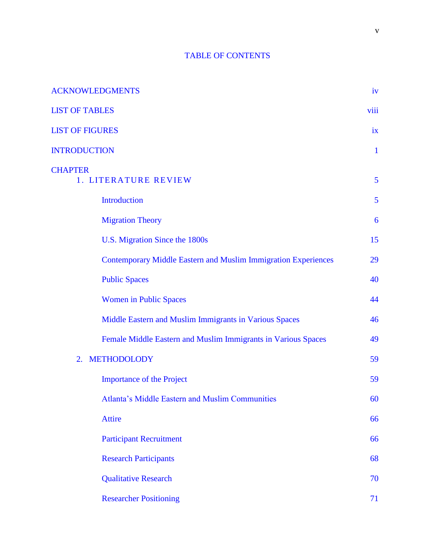## TABLE OF CONTENTS

| <b>ACKNOWLEDGMENTS</b>                                                                                                                                                                                                                                                                                                                                                                                                                                        | iv           |
|---------------------------------------------------------------------------------------------------------------------------------------------------------------------------------------------------------------------------------------------------------------------------------------------------------------------------------------------------------------------------------------------------------------------------------------------------------------|--------------|
| <b>LIST OF TABLES</b>                                                                                                                                                                                                                                                                                                                                                                                                                                         | viii         |
| <b>LIST OF FIGURES</b>                                                                                                                                                                                                                                                                                                                                                                                                                                        | ix           |
| <b>INTRODUCTION</b>                                                                                                                                                                                                                                                                                                                                                                                                                                           | $\mathbf{1}$ |
| <b>CHAPTER</b><br>1. LITERATURE REVIEW                                                                                                                                                                                                                                                                                                                                                                                                                        | 5            |
| Introduction                                                                                                                                                                                                                                                                                                                                                                                                                                                  | 5            |
| <b>Migration Theory</b>                                                                                                                                                                                                                                                                                                                                                                                                                                       | 6            |
| U.S. Migration Since the 1800s                                                                                                                                                                                                                                                                                                                                                                                                                                | 15           |
| <b>Contemporary Middle Eastern and Muslim Immigration Experiences</b>                                                                                                                                                                                                                                                                                                                                                                                         | 29           |
| <b>Public Spaces</b><br><b>Women in Public Spaces</b><br>Middle Eastern and Muslim Immigrants in Various Spaces<br>Female Middle Eastern and Muslim Immigrants in Various Spaces<br><b>METHODOLODY</b><br>2.<br><b>Importance of the Project</b><br><b>Atlanta's Middle Eastern and Muslim Communities</b><br><b>Attire</b><br><b>Participant Recruitment</b><br><b>Research Participants</b><br><b>Qualitative Research</b><br><b>Researcher Positioning</b> | 40           |
|                                                                                                                                                                                                                                                                                                                                                                                                                                                               | 44           |
|                                                                                                                                                                                                                                                                                                                                                                                                                                                               | 46           |
|                                                                                                                                                                                                                                                                                                                                                                                                                                                               | 49           |
|                                                                                                                                                                                                                                                                                                                                                                                                                                                               | 59           |
|                                                                                                                                                                                                                                                                                                                                                                                                                                                               | 59           |
|                                                                                                                                                                                                                                                                                                                                                                                                                                                               | 60           |
|                                                                                                                                                                                                                                                                                                                                                                                                                                                               | 66           |
|                                                                                                                                                                                                                                                                                                                                                                                                                                                               | 66           |
|                                                                                                                                                                                                                                                                                                                                                                                                                                                               | 68           |
|                                                                                                                                                                                                                                                                                                                                                                                                                                                               | 70           |
|                                                                                                                                                                                                                                                                                                                                                                                                                                                               | 71           |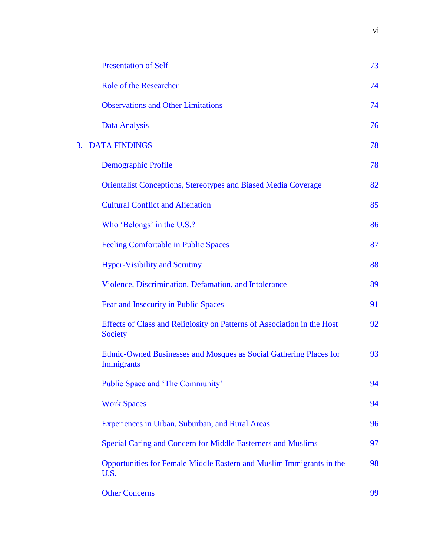|    | <b>Presentation of Self</b>                                                               | 73 |
|----|-------------------------------------------------------------------------------------------|----|
|    | <b>Role of the Researcher</b>                                                             | 74 |
|    | <b>Observations and Other Limitations</b>                                                 | 74 |
|    | <b>Data Analysis</b>                                                                      | 76 |
|    | <b>DATA FINDINGS</b>                                                                      | 78 |
|    | Demographic Profile                                                                       | 78 |
|    | <b>Orientalist Conceptions, Stereotypes and Biased Media Coverage</b>                     | 82 |
|    | <b>Cultural Conflict and Alienation</b>                                                   | 85 |
|    | Who 'Belongs' in the U.S.?                                                                | 86 |
|    | <b>Feeling Comfortable in Public Spaces</b>                                               | 87 |
|    | <b>Hyper-Visibility and Scrutiny</b>                                                      | 88 |
|    | Violence, Discrimination, Defamation, and Intolerance                                     | 89 |
|    | Fear and Insecurity in Public Spaces                                                      | 91 |
|    | Effects of Class and Religiosity on Patterns of Association in the Host<br><b>Society</b> | 92 |
|    | Ethnic-Owned Businesses and Mosques as Social Gathering Places for<br><b>Immigrants</b>   | 93 |
| 3. | Public Space and 'The Community'                                                          | 94 |
|    | <b>Work Spaces</b>                                                                        | 94 |
|    | Experiences in Urban, Suburban, and Rural Areas                                           | 96 |
|    | Special Caring and Concern for Middle Easterners and Muslims                              | 97 |
|    | Opportunities for Female Middle Eastern and Muslim Immigrants in the<br>U.S.              | 98 |
|    | <b>Other Concerns</b>                                                                     | 99 |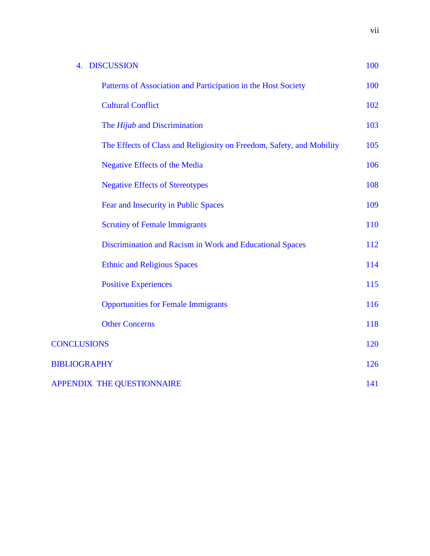| 4. DISCUSSION                                                         | 100 |  |
|-----------------------------------------------------------------------|-----|--|
| Patterns of Association and Participation in the Host Society         | 100 |  |
| <b>Cultural Conflict</b>                                              |     |  |
| The <i>Hijab</i> and Discrimination                                   | 103 |  |
| The Effects of Class and Religiosity on Freedom, Safety, and Mobility | 105 |  |
| <b>Negative Effects of the Media</b>                                  | 106 |  |
| <b>Negative Effects of Stereotypes</b>                                | 108 |  |
| Fear and Insecurity in Public Spaces                                  | 109 |  |
| <b>Scrutiny of Female Immigrants</b>                                  | 110 |  |
| Discrimination and Racism in Work and Educational Spaces              | 112 |  |
| <b>Ethnic and Religious Spaces</b>                                    | 114 |  |
| <b>Positive Experiences</b>                                           | 115 |  |
| <b>Opportunities for Female Immigrants</b>                            | 116 |  |
| <b>Other Concerns</b>                                                 | 118 |  |
| <b>CONCLUSIONS</b>                                                    | 120 |  |
| <b>BIBLIOGRAPHY</b>                                                   |     |  |
| APPENDIX THE QUESTIONNAIRE                                            |     |  |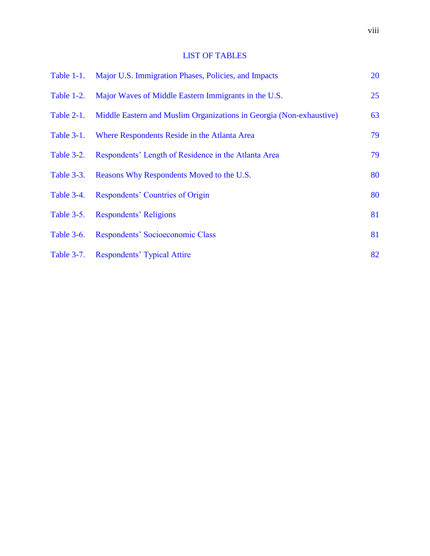## LIST OF TABLES

|                   | Table 1-1. Major U.S. Immigration Phases, Policies, and Impacts     |    |  |
|-------------------|---------------------------------------------------------------------|----|--|
| Table 1-2.        | Major Waves of Middle Eastern Immigrants in the U.S.                | 25 |  |
| Table 2-1.        | Middle Eastern and Muslim Organizations in Georgia (Non-exhaustive) | 63 |  |
| <b>Table 3-1.</b> | Where Respondents Reside in the Atlanta Area                        | 79 |  |
| Table 3-2.        | Respondents' Length of Residence in the Atlanta Area                | 79 |  |
| Table 3-3.        | Reasons Why Respondents Moved to the U.S.                           | 80 |  |
| Table 3-4.        | Respondents' Countries of Origin                                    | 80 |  |
| Table 3-5.        | <b>Respondents' Religions</b>                                       | 81 |  |
|                   | Table 3-6. Respondents' Socioeconomic Class                         | 81 |  |
|                   | Table 3-7. Respondents' Typical Attire                              | 82 |  |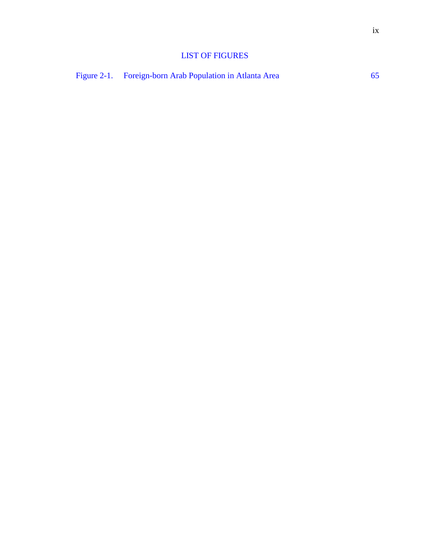## LIST OF FIGURES

Figure 2-1. Foreign-born Arab Population in Atlanta Area 65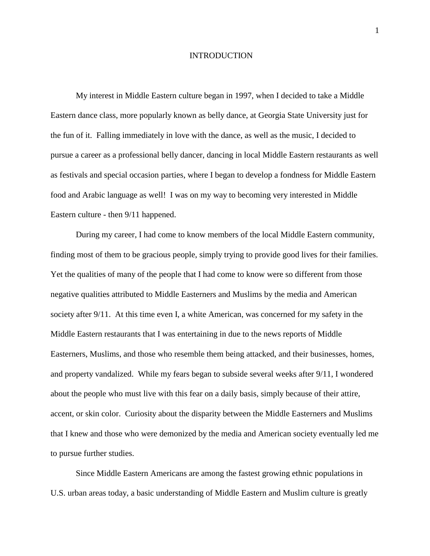#### INTRODUCTION

My interest in Middle Eastern culture began in 1997, when I decided to take a Middle Eastern dance class, more popularly known as belly dance, at Georgia State University just for the fun of it. Falling immediately in love with the dance, as well as the music, I decided to pursue a career as a professional belly dancer, dancing in local Middle Eastern restaurants as well as festivals and special occasion parties, where I began to develop a fondness for Middle Eastern food and Arabic language as well! I was on my way to becoming very interested in Middle Eastern culture - then 9/11 happened.

During my career, I had come to know members of the local Middle Eastern community, finding most of them to be gracious people, simply trying to provide good lives for their families. Yet the qualities of many of the people that I had come to know were so different from those negative qualities attributed to Middle Easterners and Muslims by the media and American society after 9/11. At this time even I, a white American, was concerned for my safety in the Middle Eastern restaurants that I was entertaining in due to the news reports of Middle Easterners, Muslims, and those who resemble them being attacked, and their businesses, homes, and property vandalized. While my fears began to subside several weeks after 9/11, I wondered about the people who must live with this fear on a daily basis, simply because of their attire, accent, or skin color. Curiosity about the disparity between the Middle Easterners and Muslims that I knew and those who were demonized by the media and American society eventually led me to pursue further studies.

Since Middle Eastern Americans are among the fastest growing ethnic populations in U.S. urban areas today, a basic understanding of Middle Eastern and Muslim culture is greatly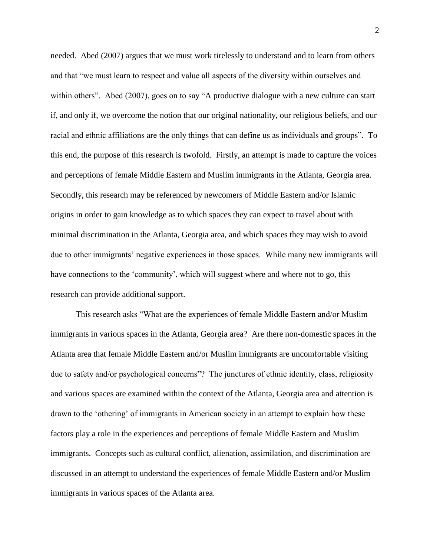needed. Abed (2007) argues that we must work tirelessly to understand and to learn from others and that "we must learn to respect and value all aspects of the diversity within ourselves and within others". Abed (2007), goes on to say "A productive dialogue with a new culture can start if, and only if, we overcome the notion that our original nationality, our religious beliefs, and our racial and ethnic affiliations are the only things that can define us as individuals and groups". To this end, the purpose of this research is twofold. Firstly, an attempt is made to capture the voices and perceptions of female Middle Eastern and Muslim immigrants in the Atlanta, Georgia area. Secondly, this research may be referenced by newcomers of Middle Eastern and/or Islamic origins in order to gain knowledge as to which spaces they can expect to travel about with minimal discrimination in the Atlanta, Georgia area, and which spaces they may wish to avoid due to other immigrants' negative experiences in those spaces. While many new immigrants will have connections to the 'community', which will suggest where and where not to go, this research can provide additional support.

This research asks "What are the experiences of female Middle Eastern and/or Muslim immigrants in various spaces in the Atlanta, Georgia area? Are there non-domestic spaces in the Atlanta area that female Middle Eastern and/or Muslim immigrants are uncomfortable visiting due to safety and/or psychological concerns"? The junctures of ethnic identity, class, religiosity and various spaces are examined within the context of the Atlanta, Georgia area and attention is drawn to the "othering" of immigrants in American society in an attempt to explain how these factors play a role in the experiences and perceptions of female Middle Eastern and Muslim immigrants. Concepts such as cultural conflict, alienation, assimilation, and discrimination are discussed in an attempt to understand the experiences of female Middle Eastern and/or Muslim immigrants in various spaces of the Atlanta area.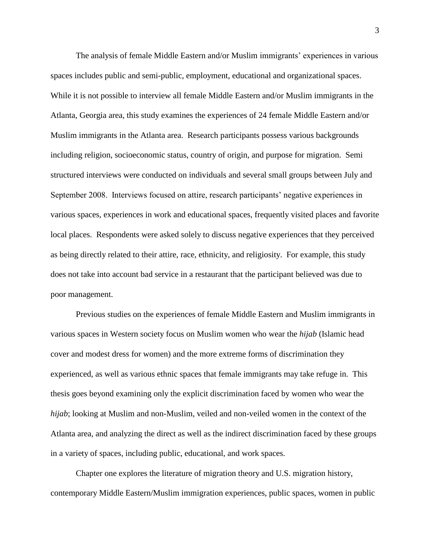The analysis of female Middle Eastern and/or Muslim immigrants" experiences in various spaces includes public and semi-public, employment, educational and organizational spaces. While it is not possible to interview all female Middle Eastern and/or Muslim immigrants in the Atlanta, Georgia area, this study examines the experiences of 24 female Middle Eastern and/or Muslim immigrants in the Atlanta area. Research participants possess various backgrounds including religion, socioeconomic status, country of origin, and purpose for migration. Semi structured interviews were conducted on individuals and several small groups between July and September 2008. Interviews focused on attire, research participants' negative experiences in various spaces, experiences in work and educational spaces, frequently visited places and favorite local places. Respondents were asked solely to discuss negative experiences that they perceived as being directly related to their attire, race, ethnicity, and religiosity. For example, this study does not take into account bad service in a restaurant that the participant believed was due to poor management.

Previous studies on the experiences of female Middle Eastern and Muslim immigrants in various spaces in Western society focus on Muslim women who wear the *hijab* (Islamic head cover and modest dress for women) and the more extreme forms of discrimination they experienced, as well as various ethnic spaces that female immigrants may take refuge in. This thesis goes beyond examining only the explicit discrimination faced by women who wear the *hijab*; looking at Muslim and non-Muslim, veiled and non-veiled women in the context of the Atlanta area, and analyzing the direct as well as the indirect discrimination faced by these groups in a variety of spaces, including public, educational, and work spaces.

Chapter one explores the literature of migration theory and U.S. migration history, contemporary Middle Eastern/Muslim immigration experiences, public spaces, women in public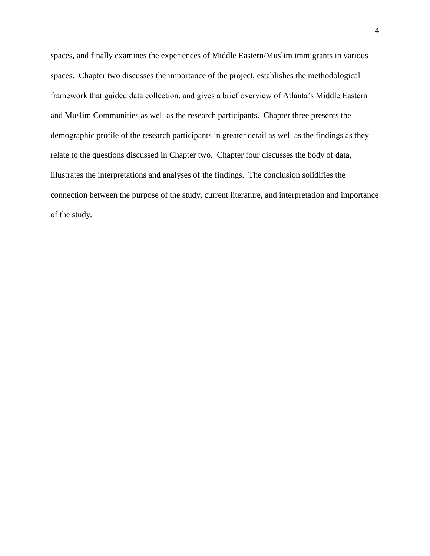spaces, and finally examines the experiences of Middle Eastern/Muslim immigrants in various spaces. Chapter two discusses the importance of the project, establishes the methodological framework that guided data collection, and gives a brief overview of Atlanta"s Middle Eastern and Muslim Communities as well as the research participants. Chapter three presents the demographic profile of the research participants in greater detail as well as the findings as they relate to the questions discussed in Chapter two. Chapter four discusses the body of data, illustrates the interpretations and analyses of the findings. The conclusion solidifies the connection between the purpose of the study, current literature, and interpretation and importance of the study.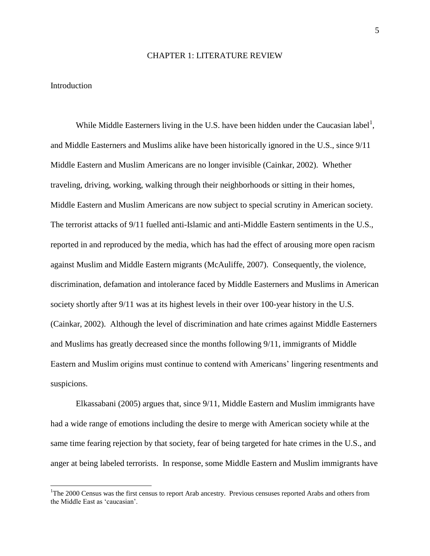#### CHAPTER 1: LITERATURE REVIEW

#### Introduction

 $\overline{a}$ 

While Middle Easterners living in the U.S. have been hidden under the Caucasian label<sup>1</sup>, and Middle Easterners and Muslims alike have been historically ignored in the U.S., since 9/11 Middle Eastern and Muslim Americans are no longer invisible (Cainkar, 2002). Whether traveling, driving, working, walking through their neighborhoods or sitting in their homes, Middle Eastern and Muslim Americans are now subject to special scrutiny in American society. The terrorist attacks of 9/11 fuelled anti-Islamic and anti-Middle Eastern sentiments in the U.S., reported in and reproduced by the media, which has had the effect of arousing more open racism against Muslim and Middle Eastern migrants (McAuliffe, 2007). Consequently, the violence, discrimination, defamation and intolerance faced by Middle Easterners and Muslims in American society shortly after 9/11 was at its highest levels in their over 100-year history in the U.S. (Cainkar, 2002). Although the level of discrimination and hate crimes against Middle Easterners and Muslims has greatly decreased since the months following 9/11, immigrants of Middle Eastern and Muslim origins must continue to contend with Americans' lingering resentments and suspicions.

Elkassabani (2005) argues that, since 9/11, Middle Eastern and Muslim immigrants have had a wide range of emotions including the desire to merge with American society while at the same time fearing rejection by that society, fear of being targeted for hate crimes in the U.S., and anger at being labeled terrorists. In response, some Middle Eastern and Muslim immigrants have

<sup>&</sup>lt;sup>1</sup>The 2000 Census was the first census to report Arab ancestry. Previous censuses reported Arabs and others from the Middle East as "caucasian".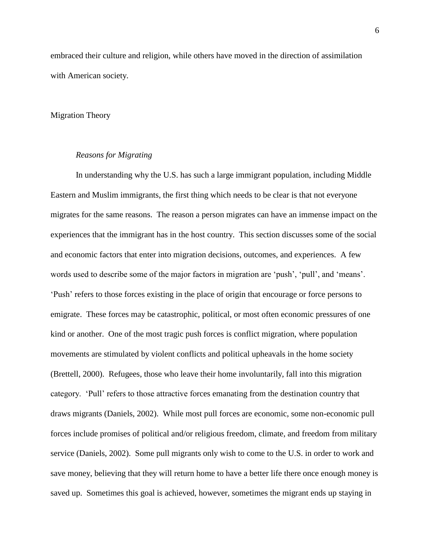embraced their culture and religion, while others have moved in the direction of assimilation with American society.

#### Migration Theory

#### *Reasons for Migrating*

In understanding why the U.S. has such a large immigrant population, including Middle Eastern and Muslim immigrants, the first thing which needs to be clear is that not everyone migrates for the same reasons. The reason a person migrates can have an immense impact on the experiences that the immigrant has in the host country. This section discusses some of the social and economic factors that enter into migration decisions, outcomes, and experiences. A few words used to describe some of the major factors in migration are 'push', 'pull', and 'means'. "Push" refers to those forces existing in the place of origin that encourage or force persons to emigrate. These forces may be catastrophic, political, or most often economic pressures of one kind or another. One of the most tragic push forces is conflict migration, where population movements are stimulated by violent conflicts and political upheavals in the home society (Brettell, 2000). Refugees, those who leave their home involuntarily, fall into this migration category. "Pull" refers to those attractive forces emanating from the destination country that draws migrants (Daniels, 2002). While most pull forces are economic, some non-economic pull forces include promises of political and/or religious freedom, climate, and freedom from military service (Daniels, 2002). Some pull migrants only wish to come to the U.S. in order to work and save money, believing that they will return home to have a better life there once enough money is saved up. Sometimes this goal is achieved, however, sometimes the migrant ends up staying in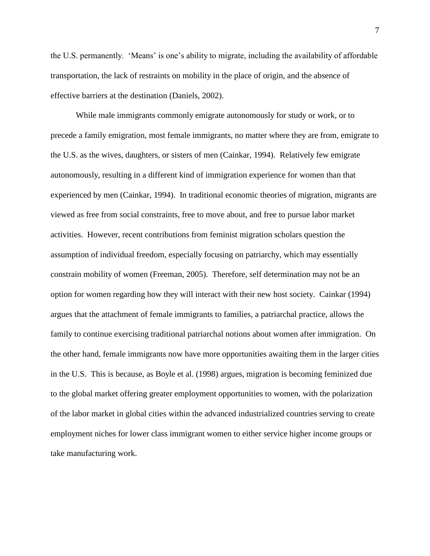the U.S. permanently. "Means" is one"s ability to migrate, including the availability of affordable transportation, the lack of restraints on mobility in the place of origin, and the absence of effective barriers at the destination (Daniels, 2002).

While male immigrants commonly emigrate autonomously for study or work, or to precede a family emigration, most female immigrants, no matter where they are from, emigrate to the U.S. as the wives, daughters, or sisters of men (Cainkar, 1994). Relatively few emigrate autonomously, resulting in a different kind of immigration experience for women than that experienced by men (Cainkar, 1994). In traditional economic theories of migration, migrants are viewed as free from social constraints, free to move about, and free to pursue labor market activities. However, recent contributions from feminist migration scholars question the assumption of individual freedom, especially focusing on patriarchy, which may essentially constrain mobility of women (Freeman, 2005). Therefore, self determination may not be an option for women regarding how they will interact with their new host society. Cainkar (1994) argues that the attachment of female immigrants to families, a patriarchal practice, allows the family to continue exercising traditional patriarchal notions about women after immigration. On the other hand, female immigrants now have more opportunities awaiting them in the larger cities in the U.S. This is because, as Boyle et al. (1998) argues, migration is becoming feminized due to the global market offering greater employment opportunities to women, with the polarization of the labor market in global cities within the advanced industrialized countries serving to create employment niches for lower class immigrant women to either service higher income groups or take manufacturing work.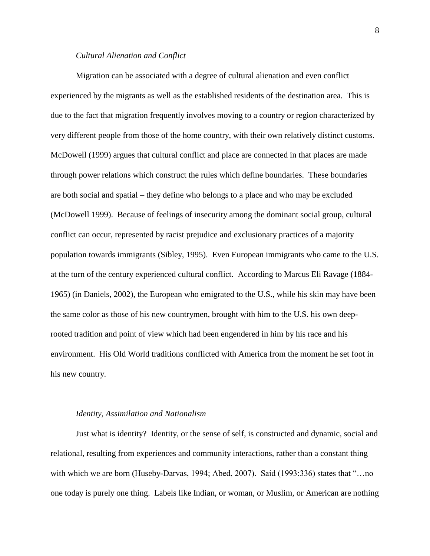#### *Cultural Alienation and Conflict*

Migration can be associated with a degree of cultural alienation and even conflict experienced by the migrants as well as the established residents of the destination area. This is due to the fact that migration frequently involves moving to a country or region characterized by very different people from those of the home country, with their own relatively distinct customs. McDowell (1999) argues that cultural conflict and place are connected in that places are made through power relations which construct the rules which define boundaries. These boundaries are both social and spatial – they define who belongs to a place and who may be excluded (McDowell 1999). Because of feelings of insecurity among the dominant social group, cultural conflict can occur, represented by racist prejudice and exclusionary practices of a majority population towards immigrants (Sibley, 1995). Even European immigrants who came to the U.S. at the turn of the century experienced cultural conflict. According to Marcus Eli Ravage (1884- 1965) (in Daniels, 2002), the European who emigrated to the U.S., while his skin may have been the same color as those of his new countrymen, brought with him to the U.S. his own deeprooted tradition and point of view which had been engendered in him by his race and his environment. His Old World traditions conflicted with America from the moment he set foot in his new country.

#### *Identity, Assimilation and Nationalism*

Just what is identity? Identity, or the sense of self, is constructed and dynamic, social and relational, resulting from experiences and community interactions, rather than a constant thing with which we are born (Huseby-Darvas, 1994; Abed, 2007). Said (1993:336) states that "...no one today is purely one thing. Labels like Indian, or woman, or Muslim, or American are nothing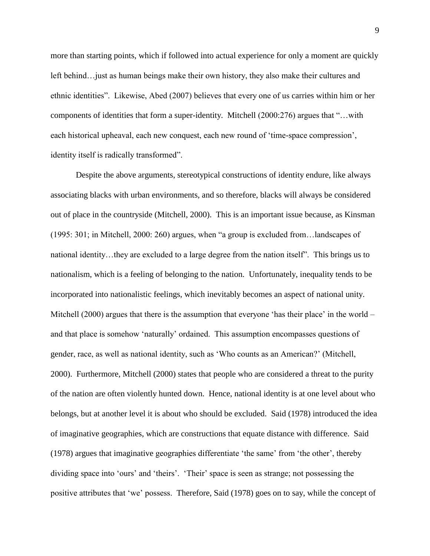more than starting points, which if followed into actual experience for only a moment are quickly left behind…just as human beings make their own history, they also make their cultures and ethnic identities". Likewise, Abed (2007) believes that every one of us carries within him or her components of identities that form a super-identity. Mitchell (2000:276) argues that "…with each historical upheaval, each new conquest, each new round of 'time-space compression', identity itself is radically transformed".

Despite the above arguments, stereotypical constructions of identity endure, like always associating blacks with urban environments, and so therefore, blacks will always be considered out of place in the countryside (Mitchell, 2000). This is an important issue because, as Kinsman (1995: 301; in Mitchell, 2000: 260) argues, when "a group is excluded from…landscapes of national identity…they are excluded to a large degree from the nation itself". This brings us to nationalism, which is a feeling of belonging to the nation. Unfortunately, inequality tends to be incorporated into nationalistic feelings, which inevitably becomes an aspect of national unity. Mitchell (2000) argues that there is the assumption that everyone 'has their place' in the world – and that place is somehow "naturally" ordained. This assumption encompasses questions of gender, race, as well as national identity, such as "Who counts as an American?" (Mitchell, 2000). Furthermore, Mitchell (2000) states that people who are considered a threat to the purity of the nation are often violently hunted down. Hence, national identity is at one level about who belongs, but at another level it is about who should be excluded. Said (1978) introduced the idea of imaginative geographies, which are constructions that equate distance with difference. Said (1978) argues that imaginative geographies differentiate "the same" from "the other", thereby dividing space into 'ours' and 'theirs'. 'Their' space is seen as strange; not possessing the positive attributes that "we" possess. Therefore, Said (1978) goes on to say, while the concept of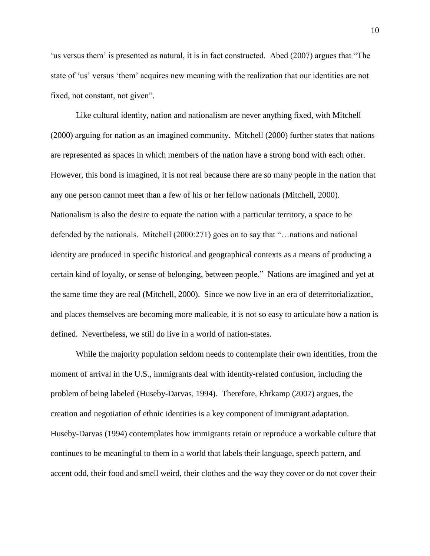" us versus them" is presented as natural, it is in fact constructed. Abed (2007) argues that "The state of 'us' versus 'them' acquires new meaning with the realization that our identities are not fixed, not constant, not given".

Like cultural identity, nation and nationalism are never anything fixed, with Mitchell (2000) arguing for nation as an imagined community. Mitchell (2000) further states that nations are represented as spaces in which members of the nation have a strong bond with each other. However, this bond is imagined, it is not real because there are so many people in the nation that any one person cannot meet than a few of his or her fellow nationals (Mitchell, 2000). Nationalism is also the desire to equate the nation with a particular territory, a space to be defended by the nationals. Mitchell (2000:271) goes on to say that "…nations and national identity are produced in specific historical and geographical contexts as a means of producing a certain kind of loyalty, or sense of belonging, between people."Nations are imagined and yet at the same time they are real (Mitchell, 2000). Since we now live in an era of deterritorialization, and places themselves are becoming more malleable, it is not so easy to articulate how a nation is defined. Nevertheless, we still do live in a world of nation-states.

While the majority population seldom needs to contemplate their own identities, from the moment of arrival in the U.S., immigrants deal with identity-related confusion, including the problem of being labeled (Huseby-Darvas, 1994). Therefore, Ehrkamp (2007) argues, the creation and negotiation of ethnic identities is a key component of immigrant adaptation. Huseby-Darvas (1994) contemplates how immigrants retain or reproduce a workable culture that continues to be meaningful to them in a world that labels their language, speech pattern, and accent odd, their food and smell weird, their clothes and the way they cover or do not cover their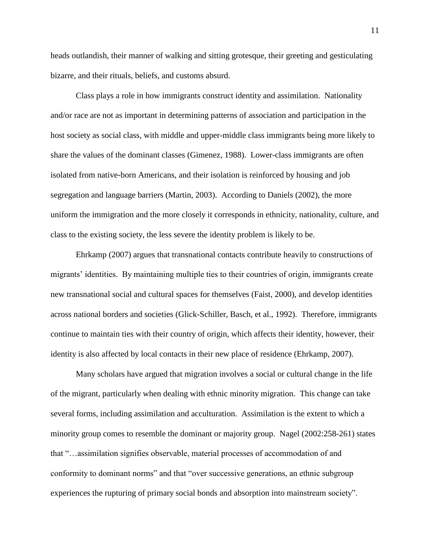heads outlandish, their manner of walking and sitting grotesque, their greeting and gesticulating bizarre, and their rituals, beliefs, and customs absurd.

Class plays a role in how immigrants construct identity and assimilation. Nationality and/or race are not as important in determining patterns of association and participation in the host society as social class, with middle and upper-middle class immigrants being more likely to share the values of the dominant classes (Gimenez, 1988). Lower-class immigrants are often isolated from native-born Americans, and their isolation is reinforced by housing and job segregation and language barriers (Martin, 2003). According to Daniels (2002), the more uniform the immigration and the more closely it corresponds in ethnicity, nationality, culture, and class to the existing society, the less severe the identity problem is likely to be.

Ehrkamp (2007) argues that transnational contacts contribute heavily to constructions of migrants' identities. By maintaining multiple ties to their countries of origin, immigrants create new transnational social and cultural spaces for themselves (Faist, 2000), and develop identities across national borders and societies (Glick-Schiller, Basch, et al., 1992). Therefore, immigrants continue to maintain ties with their country of origin, which affects their identity, however, their identity is also affected by local contacts in their new place of residence (Ehrkamp, 2007).

Many scholars have argued that migration involves a social or cultural change in the life of the migrant, particularly when dealing with ethnic minority migration. This change can take several forms, including assimilation and acculturation. Assimilation is the extent to which a minority group comes to resemble the dominant or majority group. Nagel (2002:258-261) states that "…assimilation signifies observable, material processes of accommodation of and conformity to dominant norms" and that "over successive generations, an ethnic subgroup experiences the rupturing of primary social bonds and absorption into mainstream society".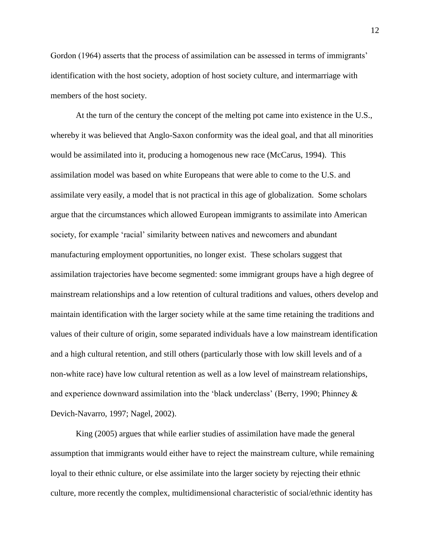Gordon (1964) asserts that the process of assimilation can be assessed in terms of immigrants' identification with the host society, adoption of host society culture, and intermarriage with members of the host society.

At the turn of the century the concept of the melting pot came into existence in the U.S., whereby it was believed that Anglo-Saxon conformity was the ideal goal, and that all minorities would be assimilated into it, producing a homogenous new race (McCarus, 1994). This assimilation model was based on white Europeans that were able to come to the U.S. and assimilate very easily, a model that is not practical in this age of globalization. Some scholars argue that the circumstances which allowed European immigrants to assimilate into American society, for example 'racial' similarity between natives and newcomers and abundant manufacturing employment opportunities, no longer exist. These scholars suggest that assimilation trajectories have become segmented: some immigrant groups have a high degree of mainstream relationships and a low retention of cultural traditions and values, others develop and maintain identification with the larger society while at the same time retaining the traditions and values of their culture of origin, some separated individuals have a low mainstream identification and a high cultural retention, and still others (particularly those with low skill levels and of a non-white race) have low cultural retention as well as a low level of mainstream relationships, and experience downward assimilation into the 'black underclass' (Berry, 1990; Phinney  $\&$ Devich-Navarro, 1997; Nagel, 2002).

King (2005) argues that while earlier studies of assimilation have made the general assumption that immigrants would either have to reject the mainstream culture, while remaining loyal to their ethnic culture, or else assimilate into the larger society by rejecting their ethnic culture, more recently the complex, multidimensional characteristic of social/ethnic identity has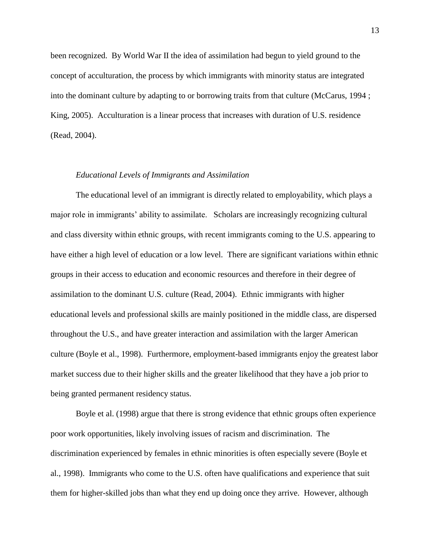been recognized. By World War II the idea of assimilation had begun to yield ground to the concept of acculturation, the process by which immigrants with minority status are integrated into the dominant culture by adapting to or borrowing traits from that culture (McCarus, 1994 ; King, 2005). Acculturation is a linear process that increases with duration of U.S. residence (Read, 2004).

#### *Educational Levels of Immigrants and Assimilation*

The educational level of an immigrant is directly related to employability, which plays a major role in immigrants' ability to assimilate. Scholars are increasingly recognizing cultural and class diversity within ethnic groups, with recent immigrants coming to the U.S. appearing to have either a high level of education or a low level. There are significant variations within ethnic groups in their access to education and economic resources and therefore in their degree of assimilation to the dominant U.S. culture (Read, 2004). Ethnic immigrants with higher educational levels and professional skills are mainly positioned in the middle class, are dispersed throughout the U.S., and have greater interaction and assimilation with the larger American culture (Boyle et al., 1998). Furthermore, employment-based immigrants enjoy the greatest labor market success due to their higher skills and the greater likelihood that they have a job prior to being granted permanent residency status.

Boyle et al. (1998) argue that there is strong evidence that ethnic groups often experience poor work opportunities, likely involving issues of racism and discrimination. The discrimination experienced by females in ethnic minorities is often especially severe (Boyle et al., 1998). Immigrants who come to the U.S. often have qualifications and experience that suit them for higher-skilled jobs than what they end up doing once they arrive. However, although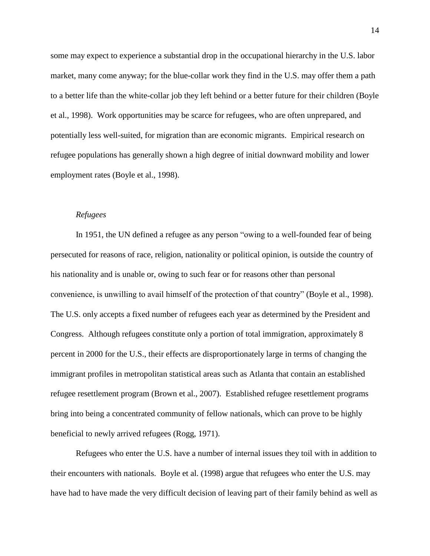some may expect to experience a substantial drop in the occupational hierarchy in the U.S. labor market, many come anyway; for the blue-collar work they find in the U.S. may offer them a path to a better life than the white-collar job they left behind or a better future for their children (Boyle et al., 1998). Work opportunities may be scarce for refugees, who are often unprepared, and potentially less well-suited, for migration than are economic migrants. Empirical research on refugee populations has generally shown a high degree of initial downward mobility and lower employment rates (Boyle et al., 1998).

#### *Refugees*

In 1951, the UN defined a refugee as any person "owing to a well-founded fear of being persecuted for reasons of race, religion, nationality or political opinion, is outside the country of his nationality and is unable or, owing to such fear or for reasons other than personal convenience, is unwilling to avail himself of the protection of that country" (Boyle et al., 1998). The U.S. only accepts a fixed number of refugees each year as determined by the President and Congress. Although refugees constitute only a portion of total immigration, approximately 8 percent in 2000 for the U.S., their effects are disproportionately large in terms of changing the immigrant profiles in metropolitan statistical areas such as Atlanta that contain an established refugee resettlement program (Brown et al., 2007). Established refugee resettlement programs bring into being a concentrated community of fellow nationals, which can prove to be highly beneficial to newly arrived refugees (Rogg, 1971).

Refugees who enter the U.S. have a number of internal issues they toil with in addition to their encounters with nationals. Boyle et al. (1998) argue that refugees who enter the U.S. may have had to have made the very difficult decision of leaving part of their family behind as well as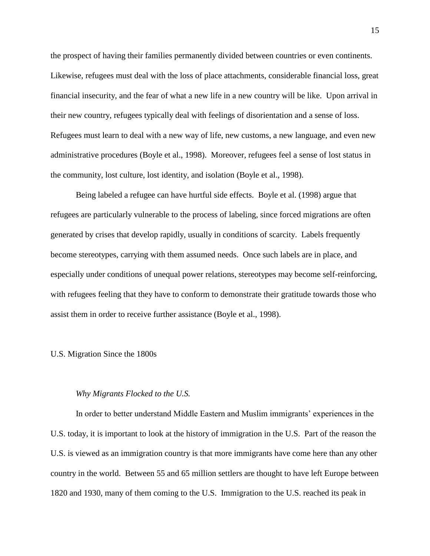the prospect of having their families permanently divided between countries or even continents. Likewise, refugees must deal with the loss of place attachments, considerable financial loss, great financial insecurity, and the fear of what a new life in a new country will be like. Upon arrival in their new country, refugees typically deal with feelings of disorientation and a sense of loss. Refugees must learn to deal with a new way of life, new customs, a new language, and even new administrative procedures (Boyle et al., 1998). Moreover, refugees feel a sense of lost status in the community, lost culture, lost identity, and isolation (Boyle et al., 1998).

Being labeled a refugee can have hurtful side effects. Boyle et al. (1998) argue that refugees are particularly vulnerable to the process of labeling, since forced migrations are often generated by crises that develop rapidly, usually in conditions of scarcity. Labels frequently become stereotypes, carrying with them assumed needs. Once such labels are in place, and especially under conditions of unequal power relations, stereotypes may become self-reinforcing, with refugees feeling that they have to conform to demonstrate their gratitude towards those who assist them in order to receive further assistance (Boyle et al., 1998).

#### U.S. Migration Since the 1800s

#### *Why Migrants Flocked to the U.S.*

In order to better understand Middle Eastern and Muslim immigrants" experiences in the U.S. today, it is important to look at the history of immigration in the U.S. Part of the reason the U.S. is viewed as an immigration country is that more immigrants have come here than any other country in the world. Between 55 and 65 million settlers are thought to have left Europe between 1820 and 1930, many of them coming to the U.S. Immigration to the U.S. reached its peak in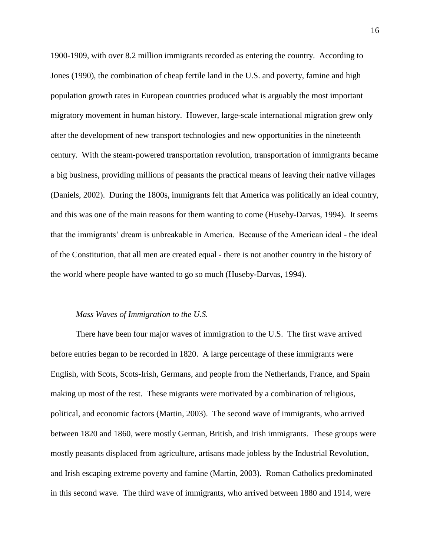1900-1909, with over 8.2 million immigrants recorded as entering the country. According to Jones (1990), the combination of cheap fertile land in the U.S. and poverty, famine and high population growth rates in European countries produced what is arguably the most important migratory movement in human history. However, large-scale international migration grew only after the development of new transport technologies and new opportunities in the nineteenth century. With the steam-powered transportation revolution, transportation of immigrants became a big business, providing millions of peasants the practical means of leaving their native villages (Daniels, 2002). During the 1800s, immigrants felt that America was politically an ideal country, and this was one of the main reasons for them wanting to come (Huseby-Darvas, 1994). It seems that the immigrants" dream is unbreakable in America. Because of the American ideal - the ideal of the Constitution, that all men are created equal - there is not another country in the history of the world where people have wanted to go so much (Huseby-Darvas, 1994).

#### *Mass Waves of Immigration to the U.S.*

There have been four major waves of immigration to the U.S. The first wave arrived before entries began to be recorded in 1820. A large percentage of these immigrants were English, with Scots, Scots-Irish, Germans, and people from the Netherlands, France, and Spain making up most of the rest. These migrants were motivated by a combination of religious, political, and economic factors (Martin, 2003). The second wave of immigrants, who arrived between 1820 and 1860, were mostly German, British, and Irish immigrants. These groups were mostly peasants displaced from agriculture, artisans made jobless by the Industrial Revolution, and Irish escaping extreme poverty and famine (Martin, 2003). Roman Catholics predominated in this second wave. The third wave of immigrants, who arrived between 1880 and 1914, were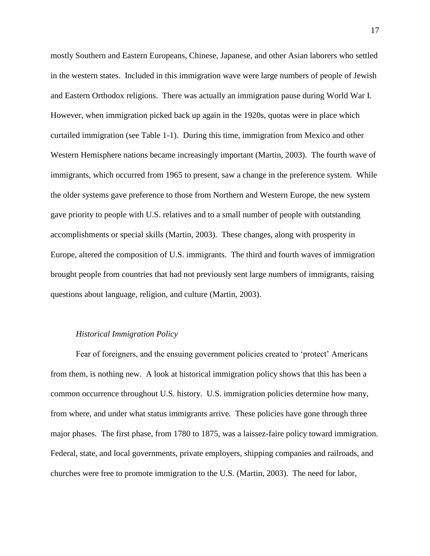mostly Southern and Eastern Europeans, Chinese, Japanese, and other Asian laborers who settled in the western states. Included in this immigration wave were large numbers of people of Jewish and Eastern Orthodox religions. There was actually an immigration pause during World War I. However, when immigration picked back up again in the 1920s, quotas were in place which curtailed immigration (see Table 1-1). During this time, immigration from Mexico and other Western Hemisphere nations became increasingly important (Martin, 2003). The fourth wave of immigrants, which occurred from 1965 to present, saw a change in the preference system. While the older systems gave preference to those from Northern and Western Europe, the new system gave priority to people with U.S. relatives and to a small number of people with outstanding accomplishments or special skills (Martin, 2003). These changes, along with prosperity in Europe, altered the composition of U.S. immigrants. The third and fourth waves of immigration brought people from countries that had not previously sent large numbers of immigrants, raising questions about language, religion, and culture (Martin, 2003).

#### *Historical Immigration Policy*

Fear of foreigners, and the ensuing government policies created to "protect" Americans from them, is nothing new. A look at historical immigration policy shows that this has been a common occurrence throughout U.S. history. U.S. immigration policies determine how many, from where, and under what status immigrants arrive. These policies have gone through three major phases. The first phase, from 1780 to 1875, was a laissez-faire policy toward immigration. Federal, state, and local governments, private employers, shipping companies and railroads, and churches were free to promote immigration to the U.S. (Martin, 2003). The need for labor,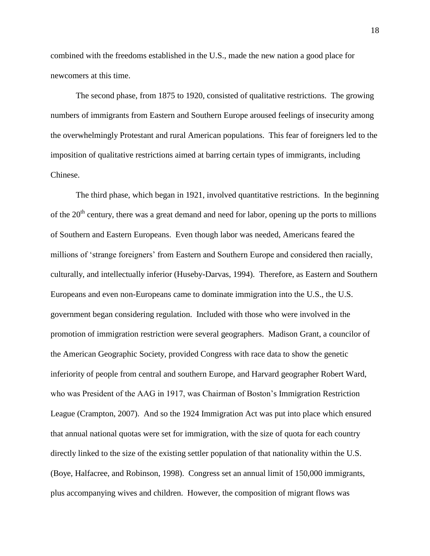combined with the freedoms established in the U.S., made the new nation a good place for newcomers at this time.

The second phase, from 1875 to 1920, consisted of qualitative restrictions. The growing numbers of immigrants from Eastern and Southern Europe aroused feelings of insecurity among the overwhelmingly Protestant and rural American populations. This fear of foreigners led to the imposition of qualitative restrictions aimed at barring certain types of immigrants, including Chinese.

The third phase, which began in 1921, involved quantitative restrictions. In the beginning of the  $20<sup>th</sup>$  century, there was a great demand and need for labor, opening up the ports to millions of Southern and Eastern Europeans. Even though labor was needed, Americans feared the millions of 'strange foreigners' from Eastern and Southern Europe and considered then racially, culturally, and intellectually inferior (Huseby-Darvas, 1994). Therefore, as Eastern and Southern Europeans and even non-Europeans came to dominate immigration into the U.S., the U.S. government began considering regulation. Included with those who were involved in the promotion of immigration restriction were several geographers. Madison Grant, a councilor of the American Geographic Society, provided Congress with race data to show the genetic inferiority of people from central and southern Europe, and Harvard geographer Robert Ward, who was President of the AAG in 1917, was Chairman of Boston's Immigration Restriction League (Crampton, 2007). And so the 1924 Immigration Act was put into place which ensured that annual national quotas were set for immigration, with the size of quota for each country directly linked to the size of the existing settler population of that nationality within the U.S. (Boye, Halfacree, and Robinson, 1998). Congress set an annual limit of 150,000 immigrants, plus accompanying wives and children. However, the composition of migrant flows was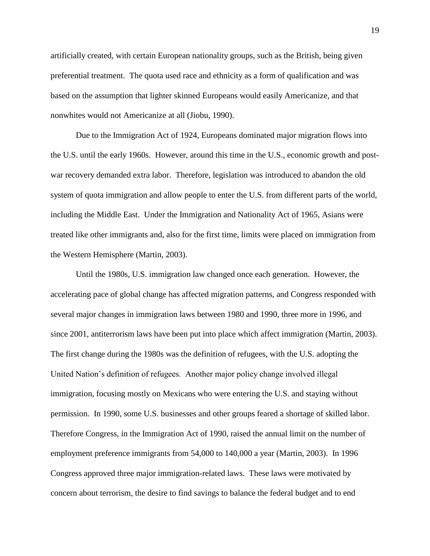artificially created, with certain European nationality groups, such as the British, being given preferential treatment. The quota used race and ethnicity as a form of qualification and was based on the assumption that lighter skinned Europeans would easily Americanize, and that nonwhites would not Americanize at all (Jiobu, 1990).

Due to the Immigration Act of 1924, Europeans dominated major migration flows into the U.S. until the early 1960s. However, around this time in the U.S., economic growth and postwar recovery demanded extra labor. Therefore, legislation was introduced to abandon the old system of quota immigration and allow people to enter the U.S. from different parts of the world, including the Middle East. Under the Immigration and Nationality Act of 1965, Asians were treated like other immigrants and, also for the first time, limits were placed on immigration from the Western Hemisphere (Martin, 2003).

Until the 1980s, U.S. immigration law changed once each generation. However, the accelerating pace of global change has affected migration patterns, and Congress responded with several major changes in immigration laws between 1980 and 1990, three more in 1996, and since 2001, antiterrorism laws have been put into place which affect immigration (Martin, 2003). The first change during the 1980s was the definition of refugees, with the U.S. adopting the United Nation"s definition of refugees. Another major policy change involved illegal immigration, focusing mostly on Mexicans who were entering the U.S. and staying without permission. In 1990, some U.S. businesses and other groups feared a shortage of skilled labor. Therefore Congress, in the Immigration Act of 1990, raised the annual limit on the number of employment preference immigrants from 54,000 to 140,000 a year (Martin, 2003). In 1996 Congress approved three major immigration-related laws. These laws were motivated by concern about terrorism, the desire to find savings to balance the federal budget and to end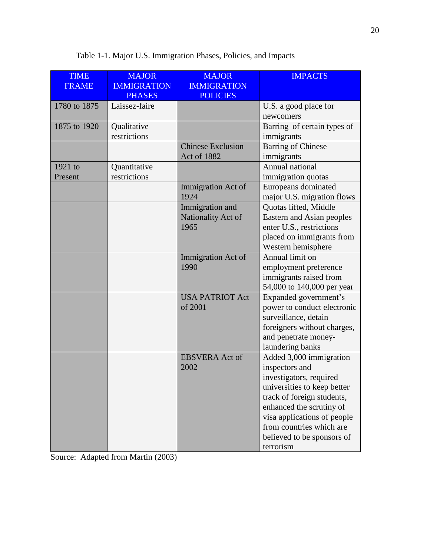| <b>TIME</b>  | <b>MAJOR</b>       | <b>MAJOR</b>             | <b>IMPACTS</b>              |
|--------------|--------------------|--------------------------|-----------------------------|
| <b>FRAME</b> | <b>IMMIGRATION</b> | <b>IMMIGRATION</b>       |                             |
|              | <b>PHASES</b>      | <b>POLICIES</b>          |                             |
| 1780 to 1875 | Laissez-faire      |                          | U.S. a good place for       |
|              |                    |                          | newcomers                   |
| 1875 to 1920 | Qualitative        |                          | Barring of certain types of |
|              | restrictions       |                          | immigrants                  |
|              |                    | <b>Chinese Exclusion</b> | <b>Barring of Chinese</b>   |
|              |                    | <b>Act of 1882</b>       | immigrants                  |
| 1921 to      | Quantitative       |                          | Annual national             |
| Present      | restrictions       |                          | immigration quotas          |
|              |                    | Immigration Act of       | Europeans dominated         |
|              |                    | 1924                     | major U.S. migration flows  |
|              |                    | Immigration and          | Quotas lifted, Middle       |
|              |                    | Nationality Act of       | Eastern and Asian peoples   |
|              |                    | 1965                     | enter U.S., restrictions    |
|              |                    |                          | placed on immigrants from   |
|              |                    |                          | Western hemisphere          |
|              |                    | Immigration Act of       | Annual limit on             |
|              |                    | 1990                     | employment preference       |
|              |                    |                          | immigrants raised from      |
|              |                    |                          | 54,000 to 140,000 per year  |
|              |                    | <b>USA PATRIOT Act</b>   | Expanded government's       |
|              |                    | of 2001                  | power to conduct electronic |
|              |                    |                          | surveillance, detain        |
|              |                    |                          | foreigners without charges, |
|              |                    |                          | and penetrate money-        |
|              |                    |                          | laundering banks            |
|              |                    | <b>EBSVERA</b> Act of    | Added 3,000 immigration     |
|              |                    | 2002                     | inspectors and              |
|              |                    |                          | investigators, required     |
|              |                    |                          | universities to keep better |
|              |                    |                          | track of foreign students,  |
|              |                    |                          | enhanced the scrutiny of    |
|              |                    |                          | visa applications of people |
|              |                    |                          | from countries which are    |
|              |                    |                          | believed to be sponsors of  |
|              |                    |                          | terrorism                   |

Table 1-1. Major U.S. Immigration Phases, Policies, and Impacts

Source: Adapted from Martin (2003)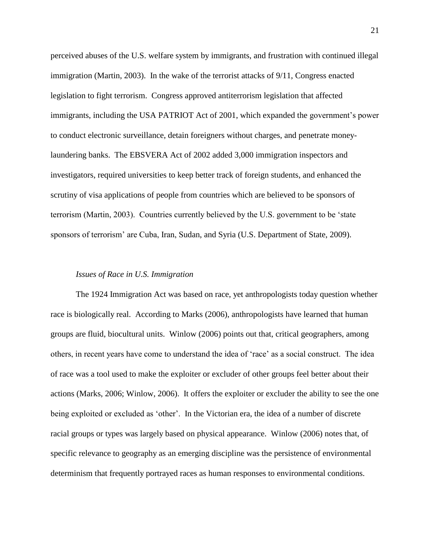perceived abuses of the U.S. welfare system by immigrants, and frustration with continued illegal immigration (Martin, 2003). In the wake of the terrorist attacks of 9/11, Congress enacted legislation to fight terrorism. Congress approved antiterrorism legislation that affected immigrants, including the USA PATRIOT Act of 2001, which expanded the government's power to conduct electronic surveillance, detain foreigners without charges, and penetrate moneylaundering banks. The EBSVERA Act of 2002 added 3,000 immigration inspectors and investigators, required universities to keep better track of foreign students, and enhanced the scrutiny of visa applications of people from countries which are believed to be sponsors of terrorism (Martin, 2003). Countries currently believed by the U.S. government to be "state sponsors of terrorism' are Cuba, Iran, Sudan, and Syria (U.S. Department of State, 2009).

#### *Issues of Race in U.S. Immigration*

The 1924 Immigration Act was based on race, yet anthropologists today question whether race is biologically real.According to Marks (2006), anthropologists have learned that human groups are fluid, biocultural units. Winlow (2006) points out that, critical geographers, among others, in recent years have come to understand the idea of "race" as a social construct. The idea of race was a tool used to make the exploiter or excluder of other groups feel better about their actions (Marks, 2006; Winlow, 2006). It offers the exploiter or excluder the ability to see the one being exploited or excluded as "other".In the Victorian era, the idea of a number of discrete racial groups or types was largely based on physical appearance. Winlow (2006) notes that, of specific relevance to geography as an emerging discipline was the persistence of environmental determinism that frequently portrayed races as human responses to environmental conditions.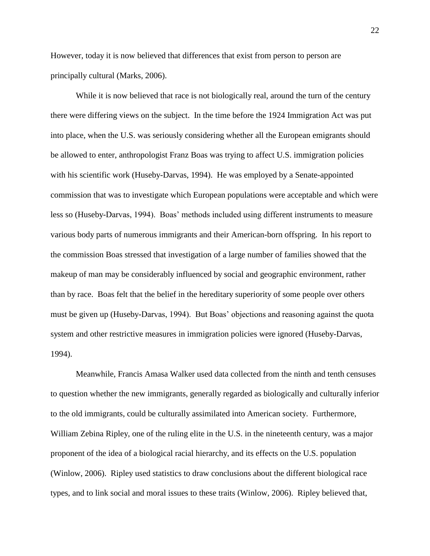However, today it is now believed that differences that exist from person to person are principally cultural (Marks, 2006).

While it is now believed that race is not biologically real, around the turn of the century there were differing views on the subject. In the time before the 1924 Immigration Act was put into place, when the U.S. was seriously considering whether all the European emigrants should be allowed to enter, anthropologist Franz Boas was trying to affect U.S. immigration policies with his scientific work (Huseby-Darvas, 1994). He was employed by a Senate-appointed commission that was to investigate which European populations were acceptable and which were less so (Huseby-Darvas, 1994). Boas" methods included using different instruments to measure various body parts of numerous immigrants and their American-born offspring. In his report to the commission Boas stressed that investigation of a large number of families showed that the makeup of man may be considerably influenced by social and geographic environment, rather than by race. Boas felt that the belief in the hereditary superiority of some people over others must be given up (Huseby-Darvas, 1994). But Boas" objections and reasoning against the quota system and other restrictive measures in immigration policies were ignored (Huseby-Darvas, 1994).

Meanwhile, Francis Amasa Walker used data collected from the ninth and tenth censuses to question whether the new immigrants, generally regarded as biologically and culturally inferior to the old immigrants, could be culturally assimilated into American society. Furthermore, William Zebina Ripley, one of the ruling elite in the U.S. in the nineteenth century, was a major proponent of the idea of a biological racial hierarchy, and its effects on the U.S. population (Winlow, 2006). Ripley used statistics to draw conclusions about the different biological race types, and to link social and moral issues to these traits (Winlow, 2006). Ripley believed that,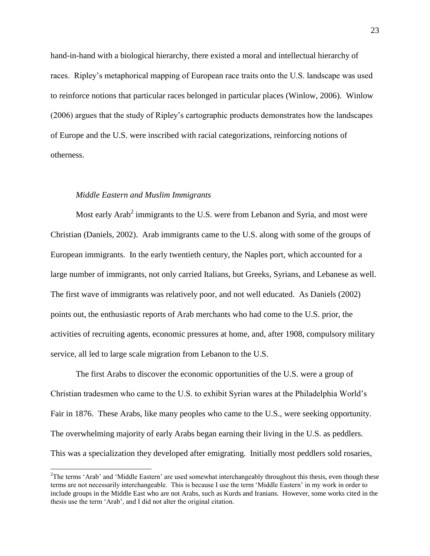hand-in-hand with a biological hierarchy, there existed a moral and intellectual hierarchy of races. Ripley"s metaphorical mapping of European race traits onto the U.S. landscape was used to reinforce notions that particular races belonged in particular places (Winlow, 2006). Winlow (2006) argues that the study of Ripley"s cartographic products demonstrates how the landscapes of Europe and the U.S. were inscribed with racial categorizations, reinforcing notions of otherness.

#### *Middle Eastern and Muslim Immigrants*

 $\overline{a}$ 

Most early Arab<sup>2</sup> immigrants to the U.S. were from Lebanon and Syria, and most were Christian (Daniels, 2002). Arab immigrants came to the U.S. along with some of the groups of European immigrants. In the early twentieth century, the Naples port, which accounted for a large number of immigrants, not only carried Italians, but Greeks, Syrians, and Lebanese as well. The first wave of immigrants was relatively poor, and not well educated. As Daniels (2002) points out, the enthusiastic reports of Arab merchants who had come to the U.S. prior, the activities of recruiting agents, economic pressures at home, and, after 1908, compulsory military service, all led to large scale migration from Lebanon to the U.S.

The first Arabs to discover the economic opportunities of the U.S. were a group of Christian tradesmen who came to the U.S. to exhibit Syrian wares at the Philadelphia World"s Fair in 1876. These Arabs, like many peoples who came to the U.S., were seeking opportunity. The overwhelming majority of early Arabs began earning their living in the U.S. as peddlers. This was a specialization they developed after emigrating. Initially most peddlers sold rosaries,

<sup>&</sup>lt;sup>2</sup>The terms 'Arab' and 'Middle Eastern' are used somewhat interchangeably throughout this thesis, even though these terms are not necessarily interchangeable. This is because I use the term "Middle Eastern" in my work in order to include groups in the Middle East who are not Arabs, such as Kurds and Iranians. However, some works cited in the thesis use the term "Arab", and I did not alter the original citation.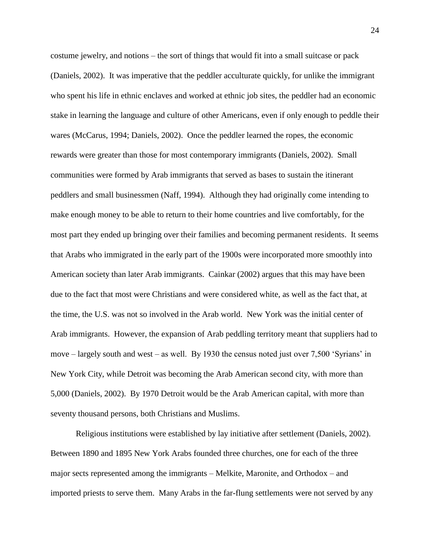costume jewelry, and notions – the sort of things that would fit into a small suitcase or pack (Daniels, 2002). It was imperative that the peddler acculturate quickly, for unlike the immigrant who spent his life in ethnic enclaves and worked at ethnic job sites, the peddler had an economic stake in learning the language and culture of other Americans, even if only enough to peddle their wares (McCarus, 1994; Daniels, 2002). Once the peddler learned the ropes, the economic rewards were greater than those for most contemporary immigrants (Daniels, 2002). Small communities were formed by Arab immigrants that served as bases to sustain the itinerant peddlers and small businessmen (Naff, 1994). Although they had originally come intending to make enough money to be able to return to their home countries and live comfortably, for the most part they ended up bringing over their families and becoming permanent residents. It seems that Arabs who immigrated in the early part of the 1900s were incorporated more smoothly into American society than later Arab immigrants. Cainkar (2002) argues that this may have been due to the fact that most were Christians and were considered white, as well as the fact that, at the time, the U.S. was not so involved in the Arab world. New York was the initial center of Arab immigrants. However, the expansion of Arab peddling territory meant that suppliers had to move – largely south and west – as well. By 1930 the census noted just over 7,500 "Syrians" in New York City, while Detroit was becoming the Arab American second city, with more than 5,000 (Daniels, 2002). By 1970 Detroit would be the Arab American capital, with more than seventy thousand persons, both Christians and Muslims.

Religious institutions were established by lay initiative after settlement (Daniels, 2002). Between 1890 and 1895 New York Arabs founded three churches, one for each of the three major sects represented among the immigrants – Melkite, Maronite, and Orthodox – and imported priests to serve them. Many Arabs in the far-flung settlements were not served by any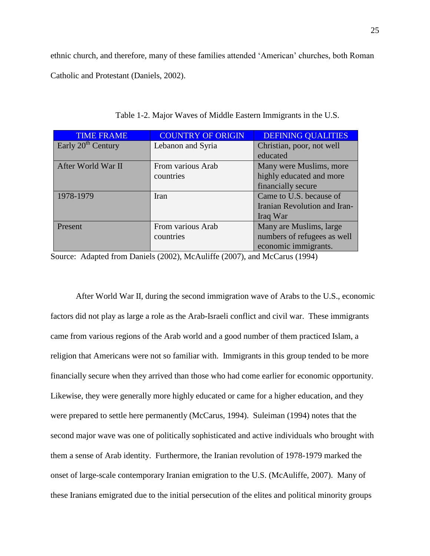ethnic church, and therefore, many of these families attended "American" churches, both Roman Catholic and Protestant (Daniels, 2002).

| <b>TIME FRAME</b>              | <b>COUNTRY OF ORIGIN</b> | <b>DEFINING QUALITIES</b>    |
|--------------------------------|--------------------------|------------------------------|
| Early 20 <sup>th</sup> Century | Lebanon and Syria        | Christian, poor, not well    |
|                                |                          | educated                     |
| After World War II             | From various Arab        | Many were Muslims, more      |
|                                | countries                | highly educated and more     |
|                                |                          | financially secure           |
| 1978-1979                      | Iran                     | Came to U.S. because of      |
|                                |                          | Iranian Revolution and Iran- |
|                                |                          | Iraq War                     |
| Present                        | From various Arab        | Many are Muslims, large      |
|                                | countries                | numbers of refugees as well  |
|                                |                          | economic immigrants.         |

Table 1-2. Major Waves of Middle Eastern Immigrants in the U.S.

Source: Adapted from Daniels (2002), McAuliffe (2007), and McCarus (1994)

After World War II, during the second immigration wave of Arabs to the U.S., economic factors did not play as large a role as the Arab-Israeli conflict and civil war. These immigrants came from various regions of the Arab world and a good number of them practiced Islam, a religion that Americans were not so familiar with. Immigrants in this group tended to be more financially secure when they arrived than those who had come earlier for economic opportunity. Likewise, they were generally more highly educated or came for a higher education, and they were prepared to settle here permanently (McCarus, 1994). Suleiman (1994) notes that the second major wave was one of politically sophisticated and active individuals who brought with them a sense of Arab identity. Furthermore, the Iranian revolution of 1978-1979 marked the onset of large-scale contemporary Iranian emigration to the U.S. (McAuliffe, 2007). Many of these Iranians emigrated due to the initial persecution of the elites and political minority groups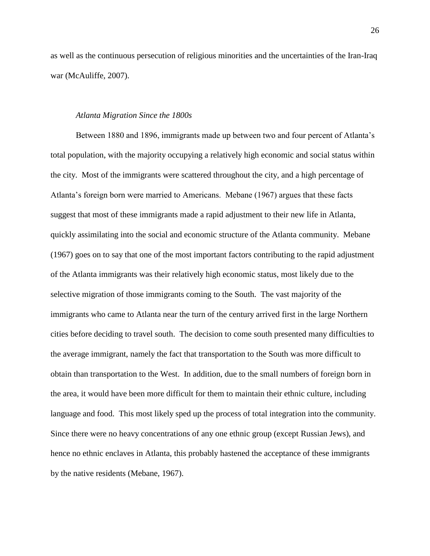as well as the continuous persecution of religious minorities and the uncertainties of the Iran-Iraq war (McAuliffe, 2007).

#### *Atlanta Migration Since the 1800s*

Between 1880 and 1896, immigrants made up between two and four percent of Atlanta"s total population, with the majority occupying a relatively high economic and social status within the city. Most of the immigrants were scattered throughout the city, and a high percentage of Atlanta"s foreign born were married to Americans. Mebane (1967) argues that these facts suggest that most of these immigrants made a rapid adjustment to their new life in Atlanta, quickly assimilating into the social and economic structure of the Atlanta community. Mebane (1967) goes on to say that one of the most important factors contributing to the rapid adjustment of the Atlanta immigrants was their relatively high economic status, most likely due to the selective migration of those immigrants coming to the South. The vast majority of the immigrants who came to Atlanta near the turn of the century arrived first in the large Northern cities before deciding to travel south. The decision to come south presented many difficulties to the average immigrant, namely the fact that transportation to the South was more difficult to obtain than transportation to the West. In addition, due to the small numbers of foreign born in the area, it would have been more difficult for them to maintain their ethnic culture, including language and food. This most likely sped up the process of total integration into the community. Since there were no heavy concentrations of any one ethnic group (except Russian Jews), and hence no ethnic enclaves in Atlanta, this probably hastened the acceptance of these immigrants by the native residents (Mebane, 1967).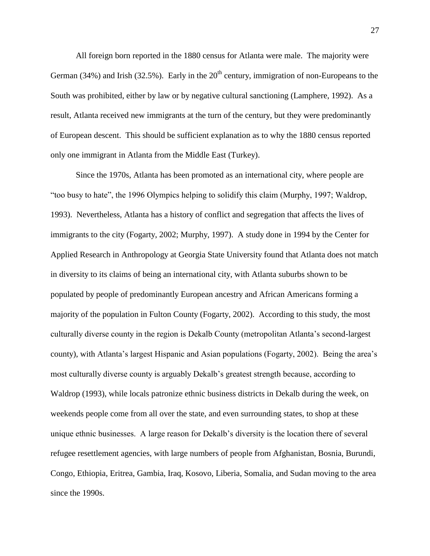All foreign born reported in the 1880 census for Atlanta were male. The majority were German (34%) and Irish (32.5%). Early in the  $20<sup>th</sup>$  century, immigration of non-Europeans to the South was prohibited, either by law or by negative cultural sanctioning (Lamphere, 1992). As a result, Atlanta received new immigrants at the turn of the century, but they were predominantly of European descent. This should be sufficient explanation as to why the 1880 census reported only one immigrant in Atlanta from the Middle East (Turkey).

Since the 1970s, Atlanta has been promoted as an international city, where people are "too busy to hate", the 1996 Olympics helping to solidify this claim (Murphy, 1997; Waldrop, 1993). Nevertheless, Atlanta has a history of conflict and segregation that affects the lives of immigrants to the city (Fogarty, 2002; Murphy, 1997). A study done in 1994 by the Center for Applied Research in Anthropology at Georgia State University found that Atlanta does not match in diversity to its claims of being an international city, with Atlanta suburbs shown to be populated by people of predominantly European ancestry and African Americans forming a majority of the population in Fulton County (Fogarty, 2002). According to this study, the most culturally diverse county in the region is Dekalb County (metropolitan Atlanta"s second-largest county), with Atlanta"s largest Hispanic and Asian populations (Fogarty, 2002). Being the area"s most culturally diverse county is arguably Dekalb"s greatest strength because, according to Waldrop (1993), while locals patronize ethnic business districts in Dekalb during the week, on weekends people come from all over the state, and even surrounding states, to shop at these unique ethnic businesses. A large reason for Dekalb"s diversity is the location there of several refugee resettlement agencies, with large numbers of people from Afghanistan, Bosnia, Burundi, Congo, Ethiopia, Eritrea, Gambia, Iraq, Kosovo, Liberia, Somalia, and Sudan moving to the area since the 1990s.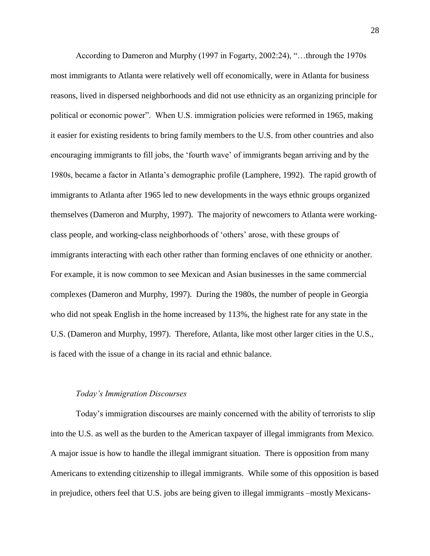According to Dameron and Murphy (1997 in Fogarty, 2002:24), "…through the 1970s most immigrants to Atlanta were relatively well off economically, were in Atlanta for business reasons, lived in dispersed neighborhoods and did not use ethnicity as an organizing principle for political or economic power". When U.S. immigration policies were reformed in 1965, making it easier for existing residents to bring family members to the U.S. from other countries and also encouraging immigrants to fill jobs, the "fourth wave" of immigrants began arriving and by the 1980s, became a factor in Atlanta"s demographic profile (Lamphere, 1992). The rapid growth of immigrants to Atlanta after 1965 led to new developments in the ways ethnic groups organized themselves (Dameron and Murphy, 1997). The majority of newcomers to Atlanta were workingclass people, and working-class neighborhoods of "others" arose, with these groups of immigrants interacting with each other rather than forming enclaves of one ethnicity or another. For example, it is now common to see Mexican and Asian businesses in the same commercial complexes (Dameron and Murphy, 1997). During the 1980s, the number of people in Georgia who did not speak English in the home increased by 113%, the highest rate for any state in the U.S. (Dameron and Murphy, 1997). Therefore, Atlanta, like most other larger cities in the U.S., is faced with the issue of a change in its racial and ethnic balance.

## *Today's Immigration Discourses*

Today"s immigration discourses are mainly concerned with the ability of terrorists to slip into the U.S. as well as the burden to the American taxpayer of illegal immigrants from Mexico. A major issue is how to handle the illegal immigrant situation. There is opposition from many Americans to extending citizenship to illegal immigrants. While some of this opposition is based in prejudice, others feel that U.S. jobs are being given to illegal immigrants –mostly Mexicans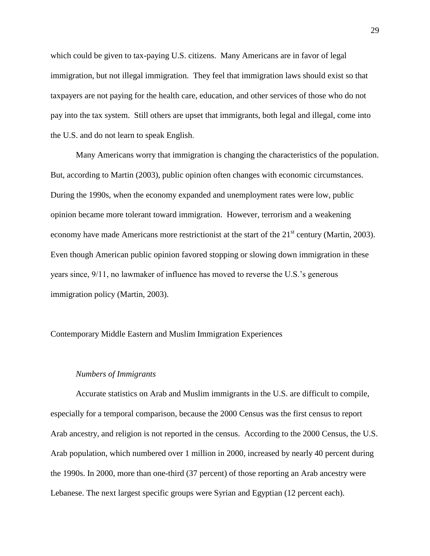which could be given to tax-paying U.S. citizens. Many Americans are in favor of legal immigration, but not illegal immigration. They feel that immigration laws should exist so that taxpayers are not paying for the health care, education, and other services of those who do not pay into the tax system. Still others are upset that immigrants, both legal and illegal, come into the U.S. and do not learn to speak English.

Many Americans worry that immigration is changing the characteristics of the population. But, according to Martin (2003), public opinion often changes with economic circumstances. During the 1990s, when the economy expanded and unemployment rates were low, public opinion became more tolerant toward immigration. However, terrorism and a weakening economy have made Americans more restrictionist at the start of the  $21<sup>st</sup>$  century (Martin, 2003). Even though American public opinion favored stopping or slowing down immigration in these years since, 9/11, no lawmaker of influence has moved to reverse the U.S."s generous immigration policy (Martin, 2003).

Contemporary Middle Eastern and Muslim Immigration Experiences

#### *Numbers of Immigrants*

Accurate statistics on Arab and Muslim immigrants in the U.S. are difficult to compile, especially for a temporal comparison, because the 2000 Census was the first census to report Arab ancestry, and religion is not reported in the census. According to the 2000 Census, the U.S. Arab population, which numbered over 1 million in 2000, increased by nearly 40 percent during the 1990s. In 2000, more than one-third (37 percent) of those reporting an Arab ancestry were Lebanese. The next largest specific groups were Syrian and Egyptian (12 percent each).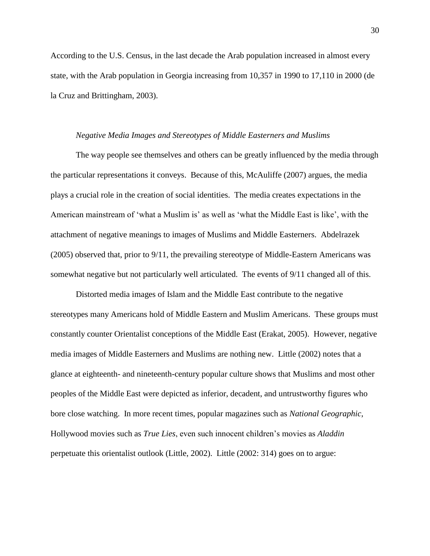According to the U.S. Census, in the last decade the Arab population increased in almost every state, with the Arab population in Georgia increasing from 10,357 in 1990 to 17,110 in 2000 (de la Cruz and Brittingham, 2003).

#### *Negative Media Images and Stereotypes of Middle Easterners and Muslims*

The way people see themselves and others can be greatly influenced by the media through the particular representations it conveys. Because of this, McAuliffe (2007) argues, the media plays a crucial role in the creation of social identities. The media creates expectations in the American mainstream of "what a Muslim is" as well as "what the Middle East is like", with the attachment of negative meanings to images of Muslims and Middle Easterners. Abdelrazek (2005) observed that, prior to 9/11, the prevailing stereotype of Middle-Eastern Americans was somewhat negative but not particularly well articulated. The events of 9/11 changed all of this.

Distorted media images of Islam and the Middle East contribute to the negative stereotypes many Americans hold of Middle Eastern and Muslim Americans. These groups must constantly counter Orientalist conceptions of the Middle East (Erakat, 2005). However, negative media images of Middle Easterners and Muslims are nothing new. Little (2002) notes that a glance at eighteenth- and nineteenth-century popular culture shows that Muslims and most other peoples of the Middle East were depicted as inferior, decadent, and untrustworthy figures who bore close watching. In more recent times, popular magazines such as *National Geographic*, Hollywood movies such as *True Lies*, even such innocent children"s movies as *Aladdin* perpetuate this orientalist outlook (Little, 2002). Little (2002: 314) goes on to argue: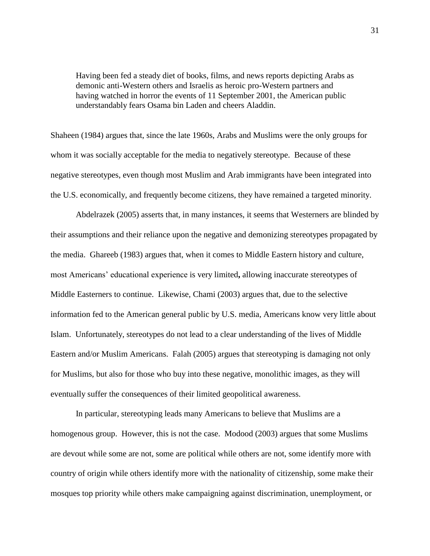Having been fed a steady diet of books, films, and news reports depicting Arabs as demonic anti-Western others and Israelis as heroic pro-Western partners and having watched in horror the events of 11 September 2001, the American public understandably fears Osama bin Laden and cheers Aladdin.

Shaheen (1984) argues that, since the late 1960s, Arabs and Muslims were the only groups for whom it was socially acceptable for the media to negatively stereotype. Because of these negative stereotypes, even though most Muslim and Arab immigrants have been integrated into the U.S. economically, and frequently become citizens, they have remained a targeted minority.

Abdelrazek (2005) asserts that, in many instances, it seems that Westerners are blinded by their assumptions and their reliance upon the negative and demonizing stereotypes propagated by the media. Ghareeb (1983) argues that, when it comes to Middle Eastern history and culture, most Americans" educational experience is very limited**,** allowing inaccurate stereotypes of Middle Easterners to continue. Likewise, Chami (2003) argues that, due to the selective information fed to the American general public by U.S. media, Americans know very little about Islam. Unfortunately, stereotypes do not lead to a clear understanding of the lives of Middle Eastern and/or Muslim Americans. Falah (2005) argues that stereotyping is damaging not only for Muslims, but also for those who buy into these negative, monolithic images, as they will eventually suffer the consequences of their limited geopolitical awareness.

In particular, stereotyping leads many Americans to believe that Muslims are a homogenous group. However, this is not the case. Modood (2003) argues that some Muslims are devout while some are not, some are political while others are not, some identify more with country of origin while others identify more with the nationality of citizenship, some make their mosques top priority while others make campaigning against discrimination, unemployment, or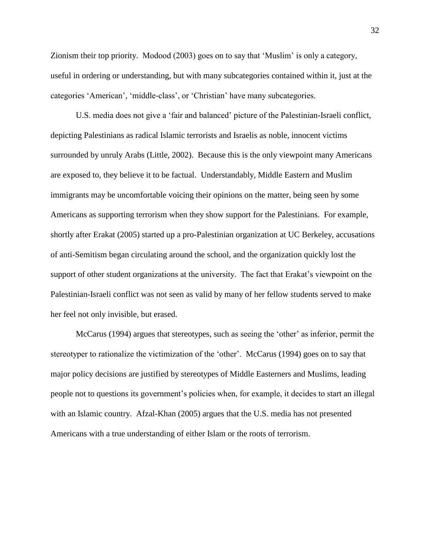Zionism their top priority. Modood (2003) goes on to say that "Muslim" is only a category, useful in ordering or understanding, but with many subcategories contained within it, just at the categories "American", "middle-class", or "Christian" have many subcategories.

U.S. media does not give a "fair and balanced" picture of the Palestinian-Israeli conflict, depicting Palestinians as radical Islamic terrorists and Israelis as noble, innocent victims surrounded by unruly Arabs (Little, 2002). Because this is the only viewpoint many Americans are exposed to, they believe it to be factual. Understandably, Middle Eastern and Muslim immigrants may be uncomfortable voicing their opinions on the matter, being seen by some Americans as supporting terrorism when they show support for the Palestinians. For example, shortly after Erakat (2005) started up a pro-Palestinian organization at UC Berkeley, accusations of anti-Semitism began circulating around the school, and the organization quickly lost the support of other student organizations at the university. The fact that Erakat's viewpoint on the Palestinian-Israeli conflict was not seen as valid by many of her fellow students served to make her feel not only invisible, but erased.

McCarus (1994) argues that stereotypes, such as seeing the 'other' as inferior, permit the stereotyper to rationalize the victimization of the 'other'. McCarus (1994) goes on to say that major policy decisions are justified by stereotypes of Middle Easterners and Muslims, leading people not to questions its government"s policies when, for example, it decides to start an illegal with an Islamic country. Afzal-Khan (2005) argues that the U.S. media has not presented Americans with a true understanding of either Islam or the roots of terrorism.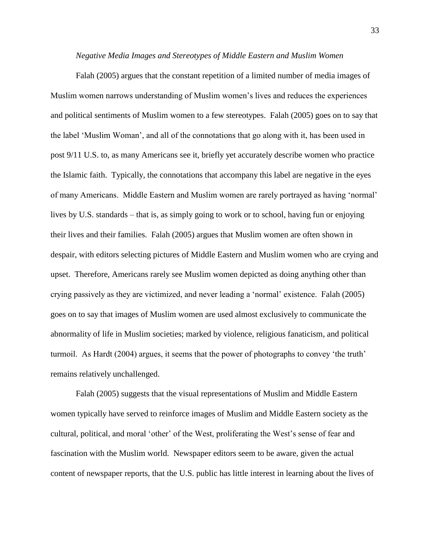#### *Negative Media Images and Stereotypes of Middle Eastern and Muslim Women*

Falah (2005) argues that the constant repetition of a limited number of media images of Muslim women narrows understanding of Muslim women"s lives and reduces the experiences and political sentiments of Muslim women to a few stereotypes. Falah (2005) goes on to say that the label "Muslim Woman", and all of the connotations that go along with it, has been used in post 9/11 U.S. to, as many Americans see it, briefly yet accurately describe women who practice the Islamic faith. Typically, the connotations that accompany this label are negative in the eyes of many Americans. Middle Eastern and Muslim women are rarely portrayed as having "normal" lives by U.S. standards – that is, as simply going to work or to school, having fun or enjoying their lives and their families. Falah (2005) argues that Muslim women are often shown in despair, with editors selecting pictures of Middle Eastern and Muslim women who are crying and upset. Therefore, Americans rarely see Muslim women depicted as doing anything other than crying passively as they are victimized, and never leading a "normal" existence. Falah (2005) goes on to say that images of Muslim women are used almost exclusively to communicate the abnormality of life in Muslim societies; marked by violence, religious fanaticism, and political turmoil. As Hardt (2004) argues, it seems that the power of photographs to convey "the truth" remains relatively unchallenged.

Falah (2005) suggests that the visual representations of Muslim and Middle Eastern women typically have served to reinforce images of Muslim and Middle Eastern society as the cultural, political, and moral "other" of the West, proliferating the West"s sense of fear and fascination with the Muslim world. Newspaper editors seem to be aware, given the actual content of newspaper reports, that the U.S. public has little interest in learning about the lives of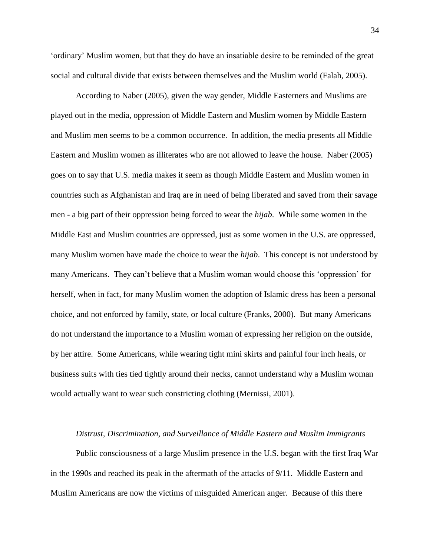"ordinary" Muslim women, but that they do have an insatiable desire to be reminded of the great social and cultural divide that exists between themselves and the Muslim world (Falah, 2005).

According to Naber (2005), given the way gender, Middle Easterners and Muslims are played out in the media, oppression of Middle Eastern and Muslim women by Middle Eastern and Muslim men seems to be a common occurrence. In addition, the media presents all Middle Eastern and Muslim women as illiterates who are not allowed to leave the house. Naber (2005) goes on to say that U.S. media makes it seem as though Middle Eastern and Muslim women in countries such as Afghanistan and Iraq are in need of being liberated and saved from their savage men - a big part of their oppression being forced to wear the *hijab*. While some women in the Middle East and Muslim countries are oppressed, just as some women in the U.S. are oppressed, many Muslim women have made the choice to wear the *hijab*. This concept is not understood by many Americans. They can"t believe that a Muslim woman would choose this "oppression" for herself, when in fact, for many Muslim women the adoption of Islamic dress has been a personal choice, and not enforced by family, state, or local culture (Franks, 2000). But many Americans do not understand the importance to a Muslim woman of expressing her religion on the outside, by her attire. Some Americans, while wearing tight mini skirts and painful four inch heals, or business suits with ties tied tightly around their necks, cannot understand why a Muslim woman would actually want to wear such constricting clothing (Mernissi, 2001).

#### *Distrust, Discrimination, and Surveillance of Middle Eastern and Muslim Immigrants*

Public consciousness of a large Muslim presence in the U.S. began with the first Iraq War in the 1990s and reached its peak in the aftermath of the attacks of 9/11. Middle Eastern and Muslim Americans are now the victims of misguided American anger. Because of this there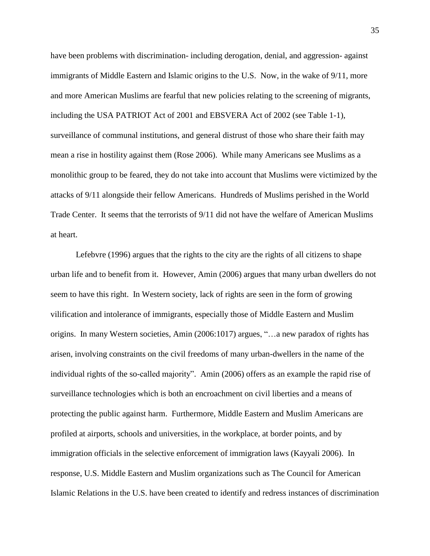have been problems with discrimination- including derogation, denial, and aggression- against immigrants of Middle Eastern and Islamic origins to the U.S. Now, in the wake of 9/11, more and more American Muslims are fearful that new policies relating to the screening of migrants, including the USA PATRIOT Act of 2001 and EBSVERA Act of 2002 (see Table 1-1), surveillance of communal institutions, and general distrust of those who share their faith may mean a rise in hostility against them (Rose 2006). While many Americans see Muslims as a monolithic group to be feared, they do not take into account that Muslims were victimized by the attacks of 9/11 alongside their fellow Americans. Hundreds of Muslims perished in the World Trade Center. It seems that the terrorists of 9/11 did not have the welfare of American Muslims at heart.

Lefebvre (1996) argues that the rights to the city are the rights of all citizens to shape urban life and to benefit from it. However, Amin (2006) argues that many urban dwellers do not seem to have this right. In Western society, lack of rights are seen in the form of growing vilification and intolerance of immigrants, especially those of Middle Eastern and Muslim origins. In many Western societies, Amin (2006:1017) argues, "…a new paradox of rights has arisen, involving constraints on the civil freedoms of many urban-dwellers in the name of the individual rights of the so-called majority". Amin (2006) offers as an example the rapid rise of surveillance technologies which is both an encroachment on civil liberties and a means of protecting the public against harm. Furthermore, Middle Eastern and Muslim Americans are profiled at airports, schools and universities, in the workplace, at border points, and by immigration officials in the selective enforcement of immigration laws (Kayyali 2006). In response, U.S. Middle Eastern and Muslim organizations such as The Council for American Islamic Relations in the U.S. have been created to identify and redress instances of discrimination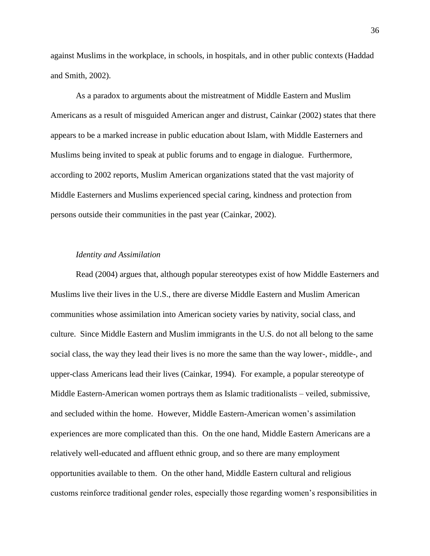against Muslims in the workplace, in schools, in hospitals, and in other public contexts (Haddad and Smith, 2002).

As a paradox to arguments about the mistreatment of Middle Eastern and Muslim Americans as a result of misguided American anger and distrust, Cainkar (2002) states that there appears to be a marked increase in public education about Islam, with Middle Easterners and Muslims being invited to speak at public forums and to engage in dialogue. Furthermore, according to 2002 reports, Muslim American organizations stated that the vast majority of Middle Easterners and Muslims experienced special caring, kindness and protection from persons outside their communities in the past year (Cainkar, 2002).

# *Identity and Assimilation*

Read (2004) argues that, although popular stereotypes exist of how Middle Easterners and Muslims live their lives in the U.S., there are diverse Middle Eastern and Muslim American communities whose assimilation into American society varies by nativity, social class, and culture. Since Middle Eastern and Muslim immigrants in the U.S. do not all belong to the same social class, the way they lead their lives is no more the same than the way lower-, middle-, and upper-class Americans lead their lives (Cainkar, 1994). For example, a popular stereotype of Middle Eastern-American women portrays them as Islamic traditionalists – veiled, submissive, and secluded within the home. However, Middle Eastern-American women"s assimilation experiences are more complicated than this. On the one hand, Middle Eastern Americans are a relatively well-educated and affluent ethnic group, and so there are many employment opportunities available to them. On the other hand, Middle Eastern cultural and religious customs reinforce traditional gender roles, especially those regarding women"s responsibilities in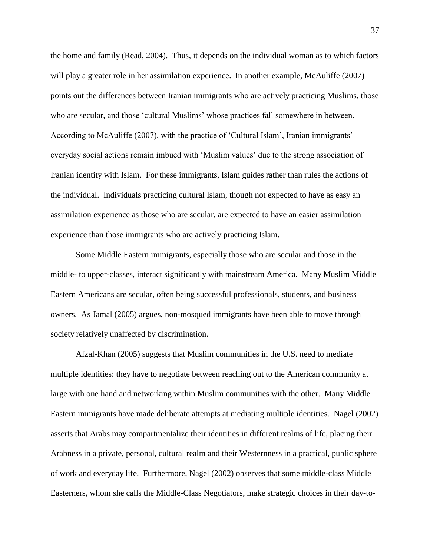the home and family (Read, 2004). Thus, it depends on the individual woman as to which factors will play a greater role in her assimilation experience. In another example, McAuliffe (2007) points out the differences between Iranian immigrants who are actively practicing Muslims, those who are secular, and those 'cultural Muslims' whose practices fall somewhere in between. According to McAuliffe (2007), with the practice of "Cultural Islam", Iranian immigrants" everyday social actions remain imbued with "Muslim values" due to the strong association of Iranian identity with Islam. For these immigrants, Islam guides rather than rules the actions of the individual. Individuals practicing cultural Islam, though not expected to have as easy an assimilation experience as those who are secular, are expected to have an easier assimilation experience than those immigrants who are actively practicing Islam.

Some Middle Eastern immigrants, especially those who are secular and those in the middle- to upper-classes, interact significantly with mainstream America. Many Muslim Middle Eastern Americans are secular, often being successful professionals, students, and business owners. As Jamal (2005) argues, non-mosqued immigrants have been able to move through society relatively unaffected by discrimination.

Afzal-Khan (2005) suggests that Muslim communities in the U.S. need to mediate multiple identities: they have to negotiate between reaching out to the American community at large with one hand and networking within Muslim communities with the other. Many Middle Eastern immigrants have made deliberate attempts at mediating multiple identities. Nagel (2002) asserts that Arabs may compartmentalize their identities in different realms of life, placing their Arabness in a private, personal, cultural realm and their Westernness in a practical, public sphere of work and everyday life. Furthermore, Nagel (2002) observes that some middle-class Middle Easterners, whom she calls the Middle-Class Negotiators, make strategic choices in their day-to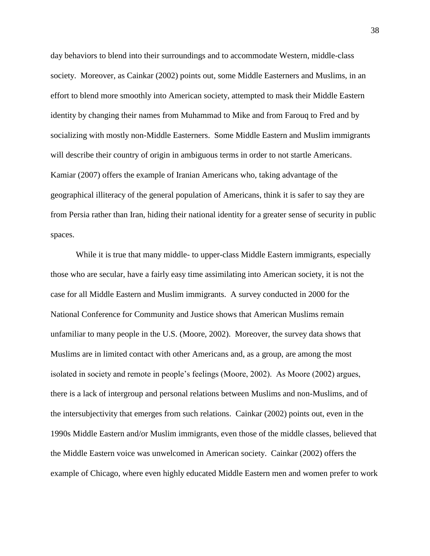day behaviors to blend into their surroundings and to accommodate Western, middle-class society. Moreover, as Cainkar (2002) points out, some Middle Easterners and Muslims, in an effort to blend more smoothly into American society, attempted to mask their Middle Eastern identity by changing their names from Muhammad to Mike and from Farouq to Fred and by socializing with mostly non-Middle Easterners. Some Middle Eastern and Muslim immigrants will describe their country of origin in ambiguous terms in order to not startle Americans. Kamiar (2007) offers the example of Iranian Americans who, taking advantage of the geographical illiteracy of the general population of Americans, think it is safer to say they are from Persia rather than Iran, hiding their national identity for a greater sense of security in public spaces.

While it is true that many middle- to upper-class Middle Eastern immigrants, especially those who are secular, have a fairly easy time assimilating into American society, it is not the case for all Middle Eastern and Muslim immigrants. A survey conducted in 2000 for the National Conference for Community and Justice shows that American Muslims remain unfamiliar to many people in the U.S. (Moore, 2002). Moreover, the survey data shows that Muslims are in limited contact with other Americans and, as a group, are among the most isolated in society and remote in people"s feelings (Moore, 2002). As Moore (2002) argues, there is a lack of intergroup and personal relations between Muslims and non-Muslims, and of the intersubjectivity that emerges from such relations. Cainkar (2002) points out, even in the 1990s Middle Eastern and/or Muslim immigrants, even those of the middle classes, believed that the Middle Eastern voice was unwelcomed in American society. Cainkar (2002) offers the example of Chicago, where even highly educated Middle Eastern men and women prefer to work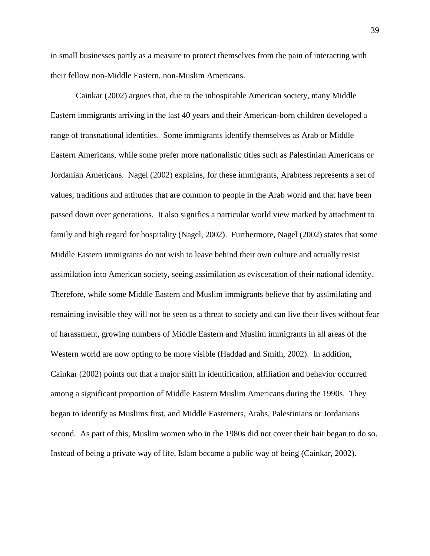in small businesses partly as a measure to protect themselves from the pain of interacting with their fellow non-Middle Eastern, non-Muslim Americans.

Cainkar (2002) argues that, due to the inhospitable American society, many Middle Eastern immigrants arriving in the last 40 years and their American-born children developed a range of transnational identities. Some immigrants identify themselves as Arab or Middle Eastern Americans, while some prefer more nationalistic titles such as Palestinian Americans or Jordanian Americans. Nagel (2002) explains, for these immigrants, Arabness represents a set of values, traditions and attitudes that are common to people in the Arab world and that have been passed down over generations. It also signifies a particular world view marked by attachment to family and high regard for hospitality (Nagel, 2002). Furthermore, Nagel (2002) states that some Middle Eastern immigrants do not wish to leave behind their own culture and actually resist assimilation into American society, seeing assimilation as evisceration of their national identity. Therefore, while some Middle Eastern and Muslim immigrants believe that by assimilating and remaining invisible they will not be seen as a threat to society and can live their lives without fear of harassment, growing numbers of Middle Eastern and Muslim immigrants in all areas of the Western world are now opting to be more visible (Haddad and Smith, 2002). In addition, Cainkar (2002) points out that a major shift in identification, affiliation and behavior occurred among a significant proportion of Middle Eastern Muslim Americans during the 1990s. They began to identify as Muslims first, and Middle Easterners, Arabs, Palestinians or Jordanians second. As part of this, Muslim women who in the 1980s did not cover their hair began to do so. Instead of being a private way of life, Islam became a public way of being (Cainkar, 2002).

39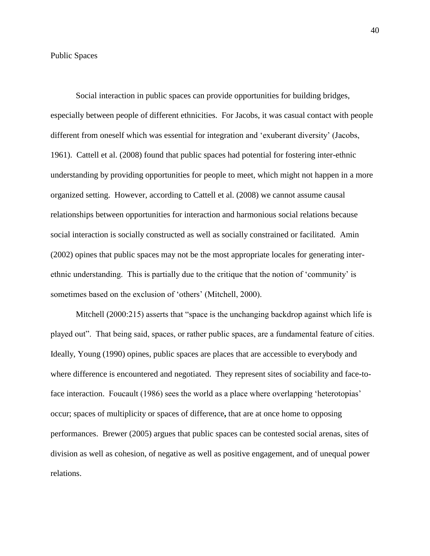Social interaction in public spaces can provide opportunities for building bridges, especially between people of different ethnicities. For Jacobs, it was casual contact with people different from oneself which was essential for integration and "exuberant diversity" (Jacobs, 1961). Cattell et al. (2008) found that public spaces had potential for fostering inter-ethnic understanding by providing opportunities for people to meet, which might not happen in a more organized setting. However, according to Cattell et al. (2008) we cannot assume causal relationships between opportunities for interaction and harmonious social relations because social interaction is socially constructed as well as socially constrained or facilitated. Amin (2002) opines that public spaces may not be the most appropriate locales for generating interethnic understanding. This is partially due to the critique that the notion of "community" is sometimes based on the exclusion of 'others' (Mitchell, 2000).

Mitchell (2000:215) asserts that "space is the unchanging backdrop against which life is played out". That being said, spaces, or rather public spaces, are a fundamental feature of cities. Ideally, Young (1990) opines, public spaces are places that are accessible to everybody and where difference is encountered and negotiated. They represent sites of sociability and face-toface interaction. Foucault (1986) sees the world as a place where overlapping 'heterotopias' occur; spaces of multiplicity or spaces of difference**,** that are at once home to opposing performances. Brewer (2005) argues that public spaces can be contested social arenas, sites of division as well as cohesion, of negative as well as positive engagement, and of unequal power relations.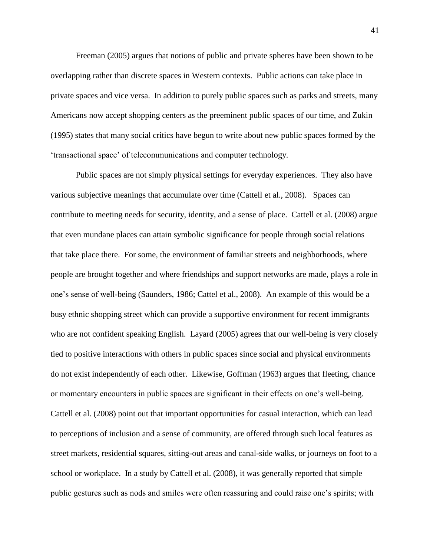Freeman (2005) argues that notions of public and private spheres have been shown to be overlapping rather than discrete spaces in Western contexts. Public actions can take place in private spaces and vice versa. In addition to purely public spaces such as parks and streets, many Americans now accept shopping centers as the preeminent public spaces of our time, and Zukin (1995) states that many social critics have begun to write about new public spaces formed by the "transactional space" of telecommunications and computer technology.

Public spaces are not simply physical settings for everyday experiences. They also have various subjective meanings that accumulate over time (Cattell et al., 2008). Spaces can contribute to meeting needs for security, identity, and a sense of place. Cattell et al. (2008) argue that even mundane places can attain symbolic significance for people through social relations that take place there. For some, the environment of familiar streets and neighborhoods, where people are brought together and where friendships and support networks are made, plays a role in one"s sense of well-being (Saunders, 1986; Cattel et al., 2008). An example of this would be a busy ethnic shopping street which can provide a supportive environment for recent immigrants who are not confident speaking English. Layard (2005) agrees that our well-being is very closely tied to positive interactions with others in public spaces since social and physical environments do not exist independently of each other. Likewise, Goffman (1963) argues that fleeting, chance or momentary encounters in public spaces are significant in their effects on one"s well-being. Cattell et al. (2008) point out that important opportunities for casual interaction, which can lead to perceptions of inclusion and a sense of community, are offered through such local features as street markets, residential squares, sitting-out areas and canal-side walks, or journeys on foot to a school or workplace. In a study by Cattell et al. (2008), it was generally reported that simple public gestures such as nods and smiles were often reassuring and could raise one"s spirits; with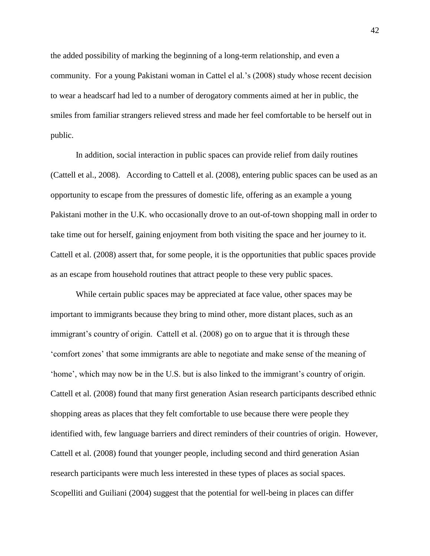the added possibility of marking the beginning of a long-term relationship, and even a community. For a young Pakistani woman in Cattel el al."s (2008) study whose recent decision to wear a headscarf had led to a number of derogatory comments aimed at her in public, the smiles from familiar strangers relieved stress and made her feel comfortable to be herself out in public.

In addition, social interaction in public spaces can provide relief from daily routines (Cattell et al., 2008). According to Cattell et al. (2008), entering public spaces can be used as an opportunity to escape from the pressures of domestic life, offering as an example a young Pakistani mother in the U.K. who occasionally drove to an out-of-town shopping mall in order to take time out for herself, gaining enjoyment from both visiting the space and her journey to it. Cattell et al. (2008) assert that, for some people, it is the opportunities that public spaces provide as an escape from household routines that attract people to these very public spaces.

While certain public spaces may be appreciated at face value, other spaces may be important to immigrants because they bring to mind other, more distant places, such as an immigrant's country of origin. Cattell et al. (2008) go on to argue that it is through these "comfort zones" that some immigrants are able to negotiate and make sense of the meaning of "home", which may now be in the U.S. but is also linked to the immigrant's country of origin. Cattell et al. (2008) found that many first generation Asian research participants described ethnic shopping areas as places that they felt comfortable to use because there were people they identified with, few language barriers and direct reminders of their countries of origin. However, Cattell et al. (2008) found that younger people, including second and third generation Asian research participants were much less interested in these types of places as social spaces. Scopelliti and Guiliani (2004) suggest that the potential for well-being in places can differ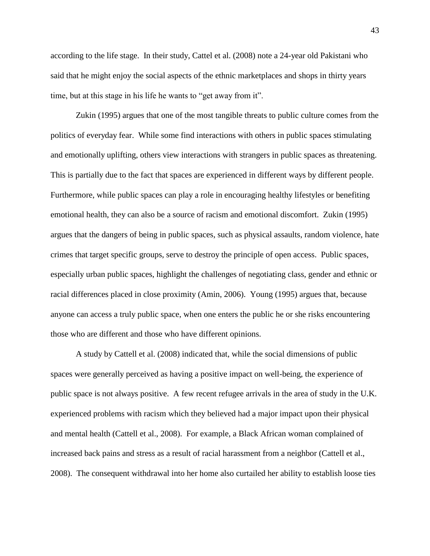according to the life stage. In their study, Cattel et al. (2008) note a 24-year old Pakistani who said that he might enjoy the social aspects of the ethnic marketplaces and shops in thirty years time, but at this stage in his life he wants to "get away from it".

Zukin (1995) argues that one of the most tangible threats to public culture comes from the politics of everyday fear. While some find interactions with others in public spaces stimulating and emotionally uplifting, others view interactions with strangers in public spaces as threatening. This is partially due to the fact that spaces are experienced in different ways by different people. Furthermore, while public spaces can play a role in encouraging healthy lifestyles or benefiting emotional health, they can also be a source of racism and emotional discomfort. Zukin (1995) argues that the dangers of being in public spaces, such as physical assaults, random violence, hate crimes that target specific groups, serve to destroy the principle of open access. Public spaces, especially urban public spaces, highlight the challenges of negotiating class, gender and ethnic or racial differences placed in close proximity (Amin, 2006). Young (1995) argues that, because anyone can access a truly public space, when one enters the public he or she risks encountering those who are different and those who have different opinions.

A study by Cattell et al. (2008) indicated that, while the social dimensions of public spaces were generally perceived as having a positive impact on well-being, the experience of public space is not always positive. A few recent refugee arrivals in the area of study in the U.K. experienced problems with racism which they believed had a major impact upon their physical and mental health (Cattell et al., 2008). For example, a Black African woman complained of increased back pains and stress as a result of racial harassment from a neighbor (Cattell et al., 2008). The consequent withdrawal into her home also curtailed her ability to establish loose ties

43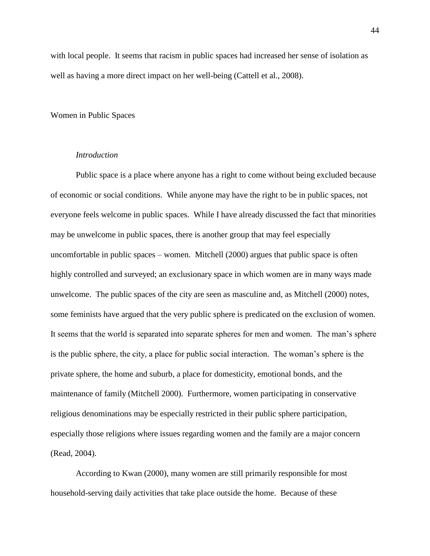with local people. It seems that racism in public spaces had increased her sense of isolation as well as having a more direct impact on her well-being (Cattell et al., 2008).

## Women in Public Spaces

# *Introduction*

Public space is a place where anyone has a right to come without being excluded because of [economic or social](http://en.wikipedia.org/wiki/Socioeconomics) conditions. While anyone may have the right to be in public spaces, not everyone feels welcome in public spaces. While I have already discussed the fact that minorities may be unwelcome in public spaces, there is another group that may feel especially uncomfortable in public spaces – women. Mitchell (2000) argues that public space is often highly controlled and surveyed; an exclusionary space in which women are in many ways made unwelcome. The public spaces of the city are seen as masculine and, as Mitchell (2000) notes, some feminists have argued that the very public sphere is predicated on the exclusion of women. It seems that the world is separated into separate spheres for men and women. The man"s sphere is the public sphere, the city, a place for public social interaction. The woman"s sphere is the private sphere, the home and suburb, a place for domesticity, emotional bonds, and the maintenance of family (Mitchell 2000). Furthermore, women participating in conservative religious denominations may be especially restricted in their public sphere participation, especially those religions where issues regarding women and the family are a major concern (Read, 2004).

According to Kwan (2000), many women are still primarily responsible for most household-serving daily activities that take place outside the home. Because of these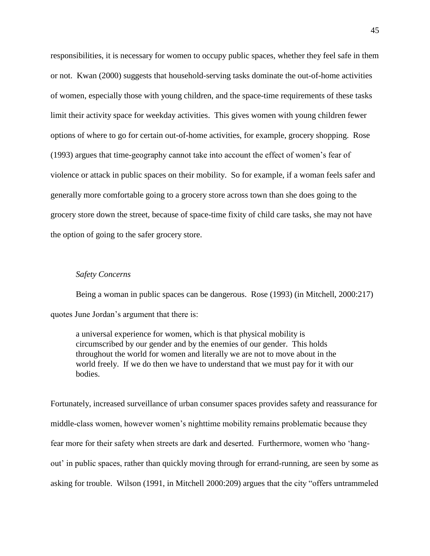responsibilities, it is necessary for women to occupy public spaces, whether they feel safe in them or not. Kwan (2000) suggests that household-serving tasks dominate the out-of-home activities of women, especially those with young children, and the space-time requirements of these tasks limit their activity space for weekday activities. This gives women with young children fewer options of where to go for certain out-of-home activities, for example, grocery shopping. Rose (1993) argues that time-geography cannot take into account the effect of women"s fear of violence or attack in public spaces on their mobility. So for example, if a woman feels safer and generally more comfortable going to a grocery store across town than she does going to the grocery store down the street, because of space-time fixity of child care tasks, she may not have the option of going to the safer grocery store.

#### *Safety Concerns*

Being a woman in public spaces can be dangerous. Rose (1993) (in Mitchell, 2000:217) quotes June Jordan"s argument that there is:

a universal experience for women, which is that physical mobility is circumscribed by our gender and by the enemies of our gender. This holds throughout the world for women and literally we are not to move about in the world freely. If we do then we have to understand that we must pay for it with our bodies.

Fortunately, increased surveillance of urban consumer spaces provides safety and reassurance for middle-class women, however women"s nighttime mobility remains problematic because they fear more for their safety when streets are dark and deserted. Furthermore, women who "hangout' in public spaces, rather than quickly moving through for errand-running, are seen by some as asking for trouble. Wilson (1991, in Mitchell 2000:209) argues that the city "offers untrammeled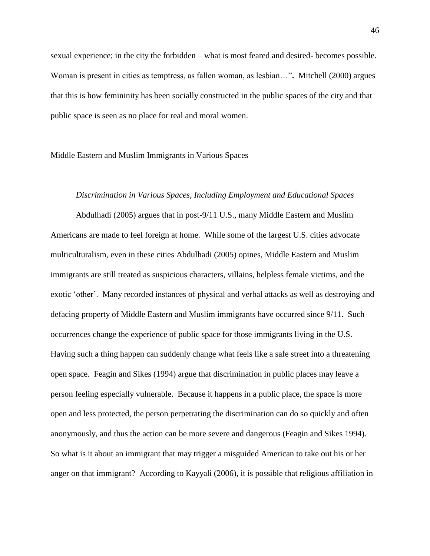sexual experience; in the city the forbidden – what is most feared and desired- becomes possible. Woman is present in cities as temptress, as fallen woman, as lesbian…"**.** Mitchell (2000) argues that this is how femininity has been socially constructed in the public spaces of the city and that public space is seen as no place for real and moral women.

## Middle Eastern and Muslim Immigrants in Various Spaces

# *Discrimination in Various Spaces, Including Employment and Educational Spaces*

Abdulhadi (2005) argues that in post-9/11 U.S., many Middle Eastern and Muslim Americans are made to feel foreign at home. While some of the largest U.S. cities advocate multiculturalism, even in these cities Abdulhadi (2005) opines, Middle Eastern and Muslim immigrants are still treated as suspicious characters, villains, helpless female victims, and the exotic "other". Many recorded instances of physical and verbal attacks as well as destroying and defacing property of Middle Eastern and Muslim immigrants have occurred since 9/11. Such occurrences change the experience of public space for those immigrants living in the U.S. Having such a thing happen can suddenly change what feels like a safe street into a threatening open space. Feagin and Sikes (1994) argue that discrimination in public places may leave a person feeling especially vulnerable. Because it happens in a public place, the space is more open and less protected, the person perpetrating the discrimination can do so quickly and often anonymously, and thus the action can be more severe and dangerous (Feagin and Sikes 1994). So what is it about an immigrant that may trigger a misguided American to take out his or her anger on that immigrant? According to Kayyali (2006), it is possible that religious affiliation in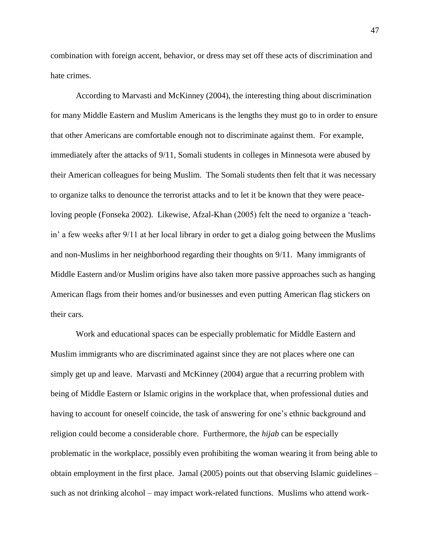combination with foreign accent, behavior, or dress may set off these acts of discrimination and hate crimes.

According to Marvasti and McKinney (2004), the interesting thing about discrimination for many Middle Eastern and Muslim Americans is the lengths they must go to in order to ensure that other Americans are comfortable enough not to discriminate against them. For example, immediately after the attacks of 9/11, Somali students in colleges in Minnesota were abused by their American colleagues for being Muslim. The Somali students then felt that it was necessary to organize talks to denounce the terrorist attacks and to let it be known that they were peaceloving people (Fonseka 2002). Likewise, Afzal-Khan (2005) felt the need to organize a "teachin" a few weeks after 9/11 at her local library in order to get a dialog going between the Muslims and non-Muslims in her neighborhood regarding their thoughts on 9/11. Many immigrants of Middle Eastern and/or Muslim origins have also taken more passive approaches such as hanging American flags from their homes and/or businesses and even putting American flag stickers on their cars.

Work and educational spaces can be especially problematic for Middle Eastern and Muslim immigrants who are discriminated against since they are not places where one can simply get up and leave. Marvasti and McKinney (2004) argue that a recurring problem with being of Middle Eastern or Islamic origins in the workplace that, when professional duties and having to account for oneself coincide, the task of answering for one"s ethnic background and religion could become a considerable chore. Furthermore, the *hijab* can be especially problematic in the workplace, possibly even prohibiting the woman wearing it from being able to obtain employment in the first place.Jamal (2005) points out that observing Islamic guidelines – such as not drinking alcohol – may impact work-related functions. Muslims who attend work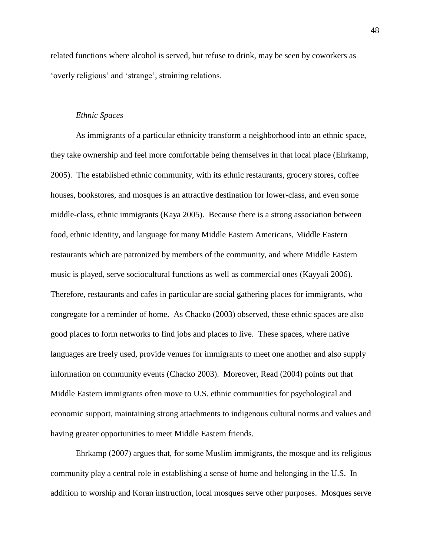related functions where alcohol is served, but refuse to drink, may be seen by coworkers as "overly religious" and "strange", straining relations.

# *Ethnic Spaces*

As immigrants of a particular ethnicity transform a neighborhood into an ethnic space, they take ownership and feel more comfortable being themselves in that local place (Ehrkamp, 2005). The established ethnic community, with its ethnic restaurants, grocery stores, coffee houses, bookstores, and mosques is an attractive destination for lower-class, and even some middle-class, ethnic immigrants (Kaya 2005). Because there is a strong association between food, ethnic identity, and language for many Middle Eastern Americans, Middle Eastern restaurants which are patronized by members of the community, and where Middle Eastern music is played, serve sociocultural functions as well as commercial ones (Kayyali 2006). Therefore, restaurants and cafes in particular are social gathering places for immigrants, who congregate for a reminder of home. As Chacko (2003) observed, these ethnic spaces are also good places to form networks to find jobs and places to live. These spaces, where native languages are freely used, provide venues for immigrants to meet one another and also supply information on community events (Chacko 2003). Moreover, Read (2004) points out that Middle Eastern immigrants often move to U.S. ethnic communities for psychological and economic support, maintaining strong attachments to indigenous cultural norms and values and having greater opportunities to meet Middle Eastern friends.

Ehrkamp (2007) argues that, for some Muslim immigrants, the mosque and its religious community play a central role in establishing a sense of home and belonging in the U.S. In addition to worship and Koran instruction, local mosques serve other purposes. Mosques serve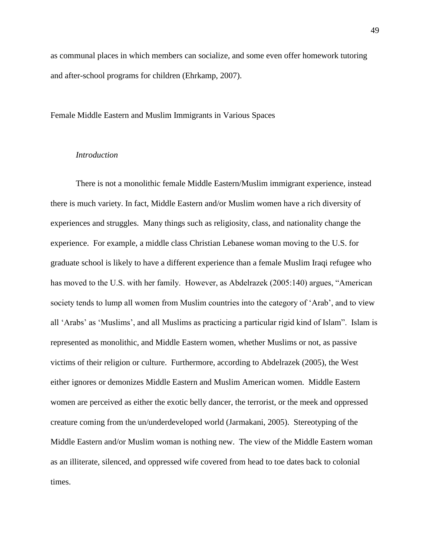as communal places in which members can socialize, and some even offer homework tutoring and after-school programs for children (Ehrkamp, 2007).

# Female Middle Eastern and Muslim Immigrants in Various Spaces

# *Introduction*

There is not a monolithic female Middle Eastern/Muslim immigrant experience, instead there is much variety. In fact, Middle Eastern and/or Muslim women have a rich diversity of experiences and struggles. Many things such as religiosity, class, and nationality change the experience. For example, a middle class Christian Lebanese woman moving to the U.S. for graduate school is likely to have a different experience than a female Muslim Iraqi refugee who has moved to the U.S. with her family. However, as Abdelrazek (2005:140) argues, "American society tends to lump all women from Muslim countries into the category of 'Arab', and to view all 'Arabs' as 'Muslims', and all Muslims as practicing a particular rigid kind of Islam''. Islam is represented as monolithic, and Middle Eastern women, whether Muslims or not, as passive victims of their religion or culture. Furthermore, according to Abdelrazek (2005), the West either ignores or demonizes Middle Eastern and Muslim American women. Middle Eastern women are perceived as either the exotic belly dancer, the terrorist, or the meek and oppressed creature coming from the un/underdeveloped world (Jarmakani, 2005). Stereotyping of the Middle Eastern and/or Muslim woman is nothing new. The view of the Middle Eastern woman as an illiterate, silenced, and oppressed wife covered from head to toe dates back to colonial times.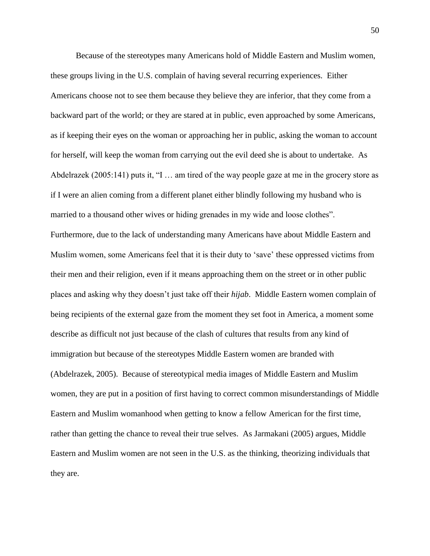Because of the stereotypes many Americans hold of Middle Eastern and Muslim women, these groups living in the U.S. complain of having several recurring experiences. Either Americans choose not to see them because they believe they are inferior, that they come from a backward part of the world; or they are stared at in public, even approached by some Americans, as if keeping their eyes on the woman or approaching her in public, asking the woman to account for herself, will keep the woman from carrying out the evil deed she is about to undertake. As Abdelrazek (2005:141) puts it, "I … am tired of the way people gaze at me in the grocery store as if I were an alien coming from a different planet either blindly following my husband who is married to a thousand other wives or hiding grenades in my wide and loose clothes". Furthermore, due to the lack of understanding many Americans have about Middle Eastern and Muslim women, some Americans feel that it is their duty to "save" these oppressed victims from their men and their religion, even if it means approaching them on the street or in other public places and asking why they doesn"t just take off their *hijab*. Middle Eastern women complain of being recipients of the external gaze from the moment they set foot in America, a moment some describe as difficult not just because of the clash of cultures that results from any kind of immigration but because of the stereotypes Middle Eastern women are branded with (Abdelrazek, 2005). Because of stereotypical media images of Middle Eastern and Muslim women, they are put in a position of first having to correct common misunderstandings of Middle Eastern and Muslim womanhood when getting to know a fellow American for the first time, rather than getting the chance to reveal their true selves. As Jarmakani (2005) argues, Middle Eastern and Muslim women are not seen in the U.S. as the thinking, theorizing individuals that they are.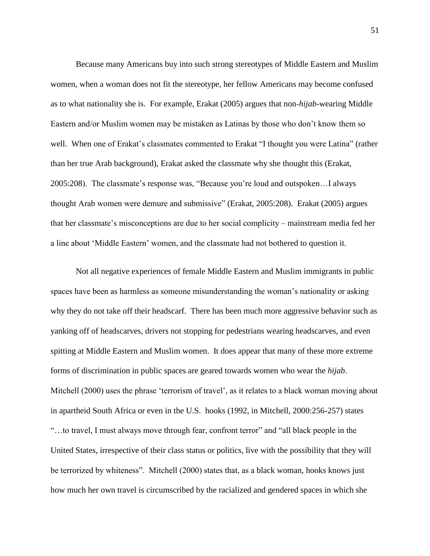Because many Americans buy into such strong stereotypes of Middle Eastern and Muslim women, when a woman does not fit the stereotype, her fellow Americans may become confused as to what nationality she is. For example, Erakat (2005) argues that non-*hijab*-wearing Middle Eastern and/or Muslim women may be mistaken as Latinas by those who don"t know them so well. When one of Erakat's classmates commented to Erakat "I thought you were Latina" (rather than her true Arab background), Erakat asked the classmate why she thought this (Erakat, 2005:208). The classmate"s response was, "Because you"re loud and outspoken…I always thought Arab women were demure and submissive" (Erakat, 2005:208). Erakat (2005) argues that her classmate"s misconceptions are due to her social complicity – mainstream media fed her a line about "Middle Eastern" women, and the classmate had not bothered to question it.

Not all negative experiences of female Middle Eastern and Muslim immigrants in public spaces have been as harmless as someone misunderstanding the woman"s nationality or asking why they do not take off their headscarf. There has been much more aggressive behavior such as yanking off of headscarves, drivers not stopping for pedestrians wearing headscarves, and even spitting at Middle Eastern and Muslim women. It does appear that many of these more extreme forms of discrimination in public spaces are geared towards women who wear the *hijab*. Mitchell (2000) uses the phrase 'terrorism of travel', as it relates to a black woman moving about in apartheid South Africa or even in the U.S. hooks (1992, in Mitchell, 2000:256-257) states "…to travel, I must always move through fear, confront terror" and "all black people in the United States, irrespective of their class status or politics, live with the possibility that they will be terrorized by whiteness". Mitchell (2000) states that, as a black woman, hooks knows just how much her own travel is circumscribed by the racialized and gendered spaces in which she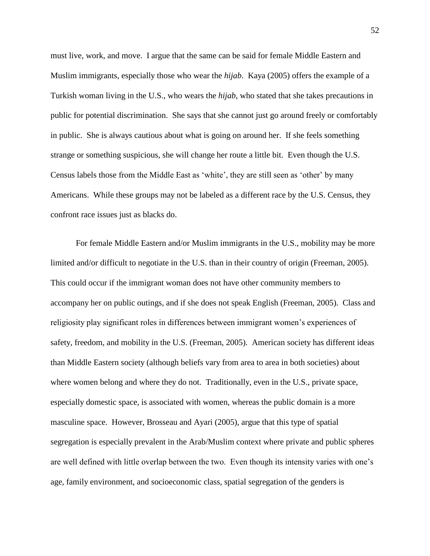must live, work, and move. I argue that the same can be said for female Middle Eastern and Muslim immigrants, especially those who wear the *hijab*. Kaya (2005) offers the example of a Turkish woman living in the U.S., who wears the *hijab*, who stated that she takes precautions in public for potential discrimination. She says that she cannot just go around freely or comfortably in public. She is always cautious about what is going on around her. If she feels something strange or something suspicious, she will change her route a little bit. Even though the U.S. Census labels those from the Middle East as 'white', they are still seen as 'other' by many Americans. While these groups may not be labeled as a different race by the U.S. Census, they confront race issues just as blacks do.

For female Middle Eastern and/or Muslim immigrants in the U.S., mobility may be more limited and/or difficult to negotiate in the U.S. than in their country of origin (Freeman, 2005). This could occur if the immigrant woman does not have other community members to accompany her on public outings, and if she does not speak English (Freeman, 2005). Class and religiosity play significant roles in differences between immigrant women"s experiences of safety, freedom, and mobility in the U.S. (Freeman, 2005). American society has different ideas than Middle Eastern society (although beliefs vary from area to area in both societies) about where women belong and where they do not. Traditionally, even in the U.S., private space, especially domestic space, is associated with women, whereas the public domain is a more masculine space. However, Brosseau and Ayari (2005), argue that this type of spatial segregation is especially prevalent in the Arab/Muslim context where private and public spheres are well defined with little overlap between the two. Even though its intensity varies with one"s age, family environment, and socioeconomic class, spatial segregation of the genders is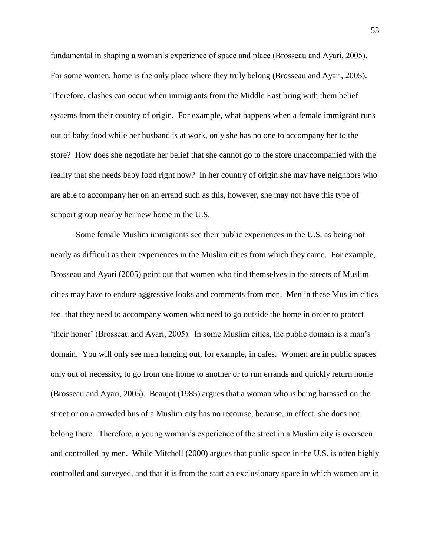fundamental in shaping a woman's experience of space and place (Brosseau and Ayari, 2005). For some women, home is the only place where they truly belong (Brosseau and Ayari, 2005). Therefore, clashes can occur when immigrants from the Middle East bring with them belief systems from their country of origin. For example, what happens when a female immigrant runs out of baby food while her husband is at work, only she has no one to accompany her to the store? How does she negotiate her belief that she cannot go to the store unaccompanied with the reality that she needs baby food right now? In her country of origin she may have neighbors who are able to accompany her on an errand such as this, however, she may not have this type of support group nearby her new home in the U.S.

Some female Muslim immigrants see their public experiences in the U.S. as being not nearly as difficult as their experiences in the Muslim cities from which they came. For example, Brosseau and Ayari (2005) point out that women who find themselves in the streets of Muslim cities may have to endure aggressive looks and comments from men. Men in these Muslim cities feel that they need to accompany women who need to go outside the home in order to protect 'their honor' (Brosseau and Ayari, 2005). In some Muslim cities, the public domain is a man's domain. You will only see men hanging out, for example, in cafes. Women are in public spaces only out of necessity, to go from one home to another or to run errands and quickly return home (Brosseau and Ayari, 2005). Beaujot (1985) argues that a woman who is being harassed on the street or on a crowded bus of a Muslim city has no recourse, because, in effect, she does not belong there. Therefore, a young woman"s experience of the street in a Muslim city is overseen and controlled by men. While Mitchell (2000) argues that public space in the U.S. is often highly controlled and surveyed, and that it is from the start an exclusionary space in which women are in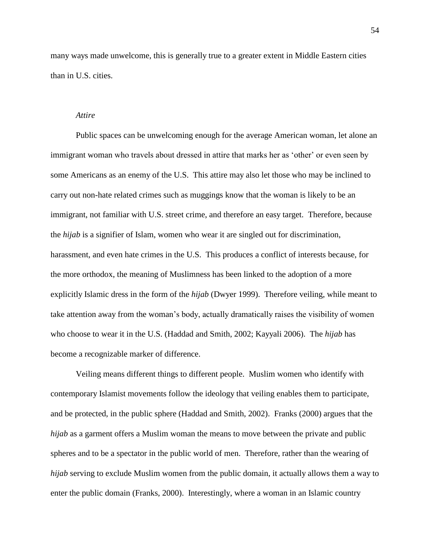many ways made unwelcome, this is generally true to a greater extent in Middle Eastern cities than in U.S. cities.

# *Attire*

Public spaces can be unwelcoming enough for the average American woman, let alone an immigrant woman who travels about dressed in attire that marks her as "other" or even seen by some Americans as an enemy of the U.S. This attire may also let those who may be inclined to carry out non-hate related crimes such as muggings know that the woman is likely to be an immigrant, not familiar with U.S. street crime, and therefore an easy target. Therefore, because the *hijab* is a signifier of Islam, women who wear it are singled out for discrimination, harassment, and even hate crimes in the U.S. This produces a conflict of interests because, for the more orthodox, the meaning of Muslimness has been linked to the adoption of a more explicitly Islamic dress in the form of the *hijab* (Dwyer 1999). Therefore veiling, while meant to take attention away from the woman"s body, actually dramatically raises the visibility of women who choose to wear it in the U.S. (Haddad and Smith, 2002; Kayyali 2006). The *hijab* has become a recognizable marker of difference.

Veiling means different things to different people. Muslim women who identify with contemporary Islamist movements follow the ideology that veiling enables them to participate, and be protected, in the public sphere (Haddad and Smith, 2002). Franks (2000) argues that the *hijab* as a garment offers a Muslim woman the means to move between the private and public spheres and to be a spectator in the public world of men. Therefore, rather than the wearing of *hijab* serving to exclude Muslim women from the public domain, it actually allows them a way to enter the public domain (Franks, 2000). Interestingly, where a woman in an Islamic country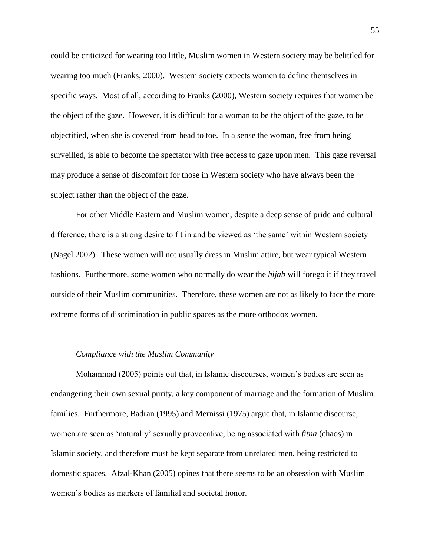could be criticized for wearing too little, Muslim women in Western society may be belittled for wearing too much (Franks, 2000). Western society expects women to define themselves in specific ways. Most of all, according to Franks (2000), Western society requires that women be the object of the gaze. However, it is difficult for a woman to be the object of the gaze, to be objectified, when she is covered from head to toe. In a sense the woman, free from being surveilled, is able to become the spectator with free access to gaze upon men. This gaze reversal may produce a sense of discomfort for those in Western society who have always been the subject rather than the object of the gaze.

For other Middle Eastern and Muslim women, despite a deep sense of pride and cultural difference, there is a strong desire to fit in and be viewed as "the same" within Western society (Nagel 2002). These women will not usually dress in Muslim attire, but wear typical Western fashions. Furthermore, some women who normally do wear the *hijab* will forego it if they travel outside of their Muslim communities. Therefore, these women are not as likely to face the more extreme forms of discrimination in public spaces as the more orthodox women.

# *Compliance with the Muslim Community*

Mohammad (2005) points out that, in Islamic discourses, women"s bodies are seen as endangering their own sexual purity, a key component of marriage and the formation of Muslim families. Furthermore, Badran (1995) and Mernissi (1975) argue that, in Islamic discourse, women are seen as "naturally" sexually provocative, being associated with *fitna* (chaos) in Islamic society, and therefore must be kept separate from unrelated men, being restricted to domestic spaces. Afzal-Khan (2005) opines that there seems to be an obsession with Muslim women"s bodies as markers of familial and societal honor.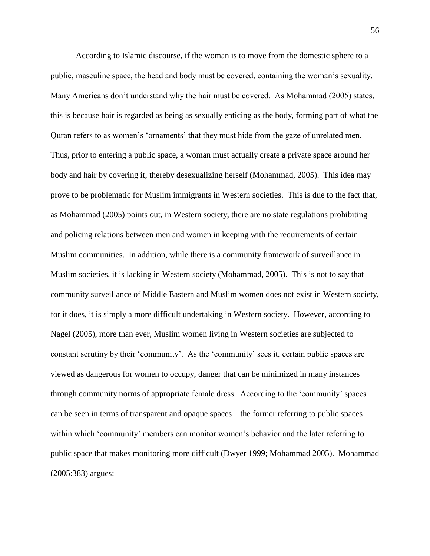According to Islamic discourse, if the woman is to move from the domestic sphere to a public, masculine space, the head and body must be covered, containing the woman"s sexuality. Many Americans don"t understand why the hair must be covered. As Mohammad (2005) states, this is because hair is regarded as being as sexually enticing as the body, forming part of what the Quran refers to as women"s "ornaments" that they must hide from the gaze of unrelated men. Thus, prior to entering a public space, a woman must actually create a private space around her body and hair by covering it, thereby desexualizing herself (Mohammad, 2005). This idea may prove to be problematic for Muslim immigrants in Western societies. This is due to the fact that, as Mohammad (2005) points out, in Western society, there are no state regulations prohibiting and policing relations between men and women in keeping with the requirements of certain Muslim communities. In addition, while there is a community framework of surveillance in Muslim societies, it is lacking in Western society (Mohammad, 2005). This is not to say that community surveillance of Middle Eastern and Muslim women does not exist in Western society, for it does, it is simply a more difficult undertaking in Western society. However, according to Nagel (2005), more than ever, Muslim women living in Western societies are subjected to constant scrutiny by their "community". As the "community" sees it, certain public spaces are viewed as dangerous for women to occupy, danger that can be minimized in many instances through community norms of appropriate female dress. According to the "community" spaces can be seen in terms of transparent and opaque spaces – the former referring to public spaces within which 'community' members can monitor women's behavior and the later referring to public space that makes monitoring more difficult (Dwyer 1999; Mohammad 2005). Mohammad (2005:383) argues: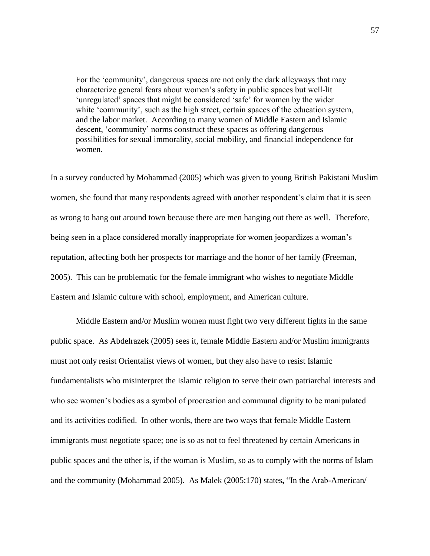For the "community", dangerous spaces are not only the dark alleyways that may characterize general fears about women"s safety in public spaces but well-lit 'unregulated' spaces that might be considered 'safe' for women by the wider white 'community', such as the high street, certain spaces of the education system, and the labor market. According to many women of Middle Eastern and Islamic descent, "community" norms construct these spaces as offering dangerous possibilities for sexual immorality, social mobility, and financial independence for women.

In a survey conducted by Mohammad (2005) which was given to young British Pakistani Muslim women, she found that many respondents agreed with another respondent's claim that it is seen as wrong to hang out around town because there are men hanging out there as well. Therefore, being seen in a place considered morally inappropriate for women jeopardizes a woman's reputation, affecting both her prospects for marriage and the honor of her family (Freeman, 2005). This can be problematic for the female immigrant who wishes to negotiate Middle Eastern and Islamic culture with school, employment, and American culture.

Middle Eastern and/or Muslim women must fight two very different fights in the same public space. As Abdelrazek (2005) sees it, female Middle Eastern and/or Muslim immigrants must not only resist Orientalist views of women, but they also have to resist Islamic fundamentalists who misinterpret the Islamic religion to serve their own patriarchal interests and who see women"s bodies as a symbol of procreation and communal dignity to be manipulated and its activities codified. In other words, there are two ways that female Middle Eastern immigrants must negotiate space; one is so as not to feel threatened by certain Americans in public spaces and the other is, if the woman is Muslim, so as to comply with the norms of Islam and the community (Mohammad 2005). As Malek (2005:170) states**,** "In the Arab-American/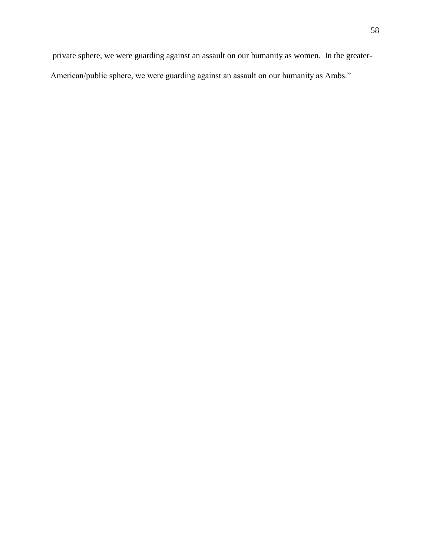private sphere, we were guarding against an assault on our humanity as women. In the greater-American/public sphere, we were guarding against an assault on our humanity as Arabs."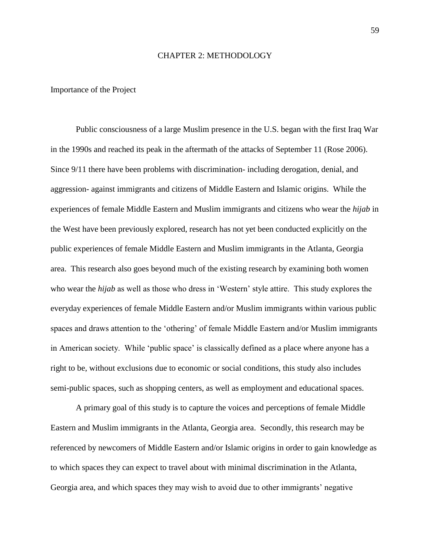#### CHAPTER 2: METHODOLOGY

#### Importance of the Project

Public consciousness of a large Muslim presence in the U.S. began with the first Iraq War in the 1990s and reached its peak in the aftermath of the attacks of September 11 (Rose 2006). Since 9/11 there have been problems with discrimination- including derogation, denial, and aggression- against immigrants and citizens of Middle Eastern and Islamic origins. While the experiences of female Middle Eastern and Muslim immigrants and citizens who wear the *hijab* in the West have been previously explored, research has not yet been conducted explicitly on the public experiences of female Middle Eastern and Muslim immigrants in the Atlanta, Georgia area. This research also goes beyond much of the existing research by examining both women who wear the *hijab* as well as those who dress in 'Western' style attire. This study explores the everyday experiences of female Middle Eastern and/or Muslim immigrants within various public spaces and draws attention to the 'othering' of female Middle Eastern and/or Muslim immigrants in American society. While "public space" is classically defined as a place where anyone has a right to be, without exclusions due to [economic or social](http://en.wikipedia.org/wiki/Socioeconomics) conditions, this study also includes semi-public spaces, such as shopping centers, as well as employment and educational spaces.

A primary goal of this study is to capture the voices and perceptions of female Middle Eastern and Muslim immigrants in the Atlanta, Georgia area. Secondly, this research may be referenced by newcomers of Middle Eastern and/or Islamic origins in order to gain knowledge as to which spaces they can expect to travel about with minimal discrimination in the Atlanta, Georgia area, and which spaces they may wish to avoid due to other immigrants" negative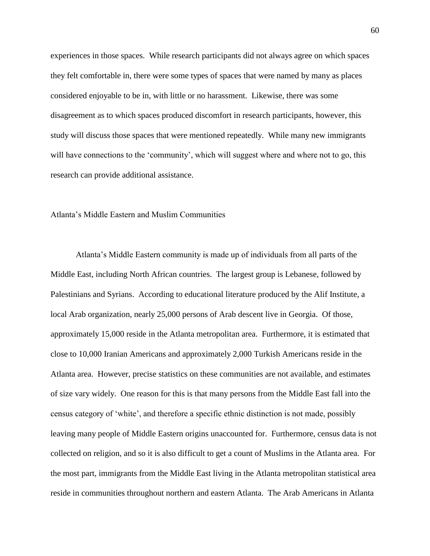experiences in those spaces. While research participants did not always agree on which spaces they felt comfortable in, there were some types of spaces that were named by many as places considered enjoyable to be in, with little or no harassment. Likewise, there was some disagreement as to which spaces produced discomfort in research participants, however, this study will discuss those spaces that were mentioned repeatedly. While many new immigrants will have connections to the 'community', which will suggest where and where not to go, this research can provide additional assistance.

# Atlanta"s Middle Eastern and Muslim Communities

Atlanta"s Middle Eastern community is made up of individuals from all parts of the Middle East, including North African countries. The largest group is Lebanese, followed by Palestinians and Syrians. According to educational literature produced by the Alif Institute, a local Arab organization, nearly 25,000 persons of Arab descent live in Georgia. Of those, approximately 15,000 reside in the Atlanta metropolitan area. Furthermore, it is estimated that close to 10,000 Iranian Americans and approximately 2,000 Turkish Americans reside in the Atlanta area. However, precise statistics on these communities are not available, and estimates of size vary widely. One reason for this is that many persons from the Middle East fall into the census category of "white", and therefore a specific ethnic distinction is not made, possibly leaving many people of Middle Eastern origins unaccounted for. Furthermore, census data is not collected on religion, and so it is also difficult to get a count of Muslims in the Atlanta area. For the most part, immigrants from the Middle East living in the Atlanta metropolitan statistical area reside in communities throughout northern and eastern Atlanta. The Arab Americans in Atlanta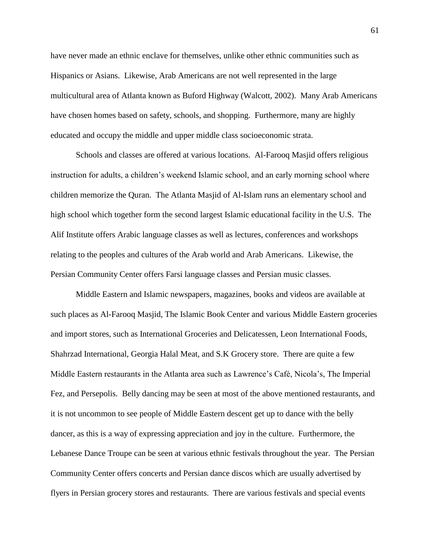have never made an ethnic enclave for themselves, unlike other ethnic communities such as Hispanics or Asians. Likewise, Arab Americans are not well represented in the large multicultural area of Atlanta known as Buford Highway (Walcott, 2002). Many Arab Americans have chosen homes based on safety, schools, and shopping. Furthermore, many are highly educated and occupy the middle and upper middle class socioeconomic strata.

Schools and classes are offered at various locations. Al-Farooq Masjid offers religious instruction for adults, a children"s weekend Islamic school, and an early morning school where children memorize the Quran. The Atlanta Masjid of Al-Islam runs an elementary school and high school which together form the second largest Islamic educational facility in the U.S. The Alif Institute offers Arabic language classes as well as lectures, conferences and workshops relating to the peoples and cultures of the Arab world and Arab Americans. Likewise, the Persian Community Center offers Farsi language classes and Persian music classes.

Middle Eastern and Islamic newspapers, magazines, books and videos are available at such places as Al-Farooq Masjid, The Islamic Book Center and various Middle Eastern groceries and import stores, such as International Groceries and Delicatessen, Leon International Foods, Shahrzad International, Georgia Halal Meat, and S.K Grocery store. There are quite a few Middle Eastern restaurants in the Atlanta area such as Lawrence"s Café, Nicola"s, The Imperial Fez, and Persepolis. Belly dancing may be seen at most of the above mentioned restaurants, and it is not uncommon to see people of Middle Eastern descent get up to dance with the belly dancer, as this is a way of expressing appreciation and joy in the culture. Furthermore, the Lebanese Dance Troupe can be seen at various ethnic festivals throughout the year. The Persian Community Center offers concerts and Persian dance discos which are usually advertised by flyers in Persian grocery stores and restaurants. There are various festivals and special events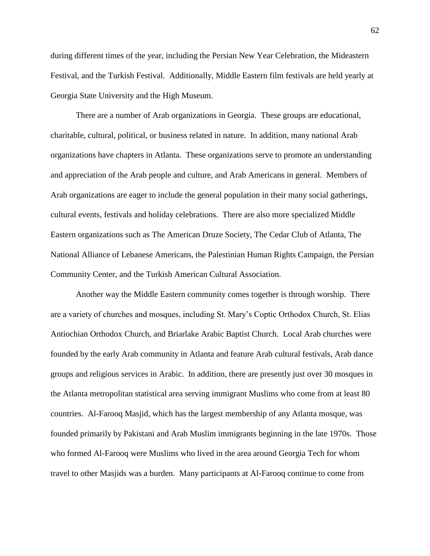during different times of the year, including the Persian New Year Celebration, the Mideastern Festival, and the Turkish Festival. Additionally, Middle Eastern film festivals are held yearly at Georgia State University and the High Museum.

There are a number of Arab organizations in Georgia. These groups are educational, charitable, cultural, political, or business related in nature. In addition, many national Arab organizations have chapters in Atlanta. These organizations serve to promote an understanding and appreciation of the Arab people and culture, and Arab Americans in general. Members of Arab organizations are eager to include the general population in their many social gatherings, cultural events, festivals and holiday celebrations. There are also more specialized Middle Eastern organizations such as The American Druze Society, The Cedar Club of Atlanta, The National Alliance of Lebanese Americans, the Palestinian Human Rights Campaign, the Persian Community Center, and the Turkish American Cultural Association.

Another way the Middle Eastern community comes together is through worship.There are a variety of churches and mosques, including St. Mary"s Coptic Orthodox Church, St. Elias Antiochian Orthodox Church, and Briarlake Arabic Baptist Church. Local Arab churches were founded by the early Arab community in Atlanta and feature Arab cultural festivals, Arab dance groups and religious services in Arabic. In addition, there are presently just over 30 mosques in the Atlanta metropolitan statistical area serving immigrant Muslims who come from at least 80 countries. Al-Farooq Masjid, which has the largest membership of any Atlanta mosque, was founded primarily by Pakistani and Arab Muslim immigrants beginning in the late 1970s. Those who formed Al-Farooq were Muslims who lived in the area around Georgia Tech for whom travel to other Masjids was a burden. Many participants at Al-Farooq continue to come from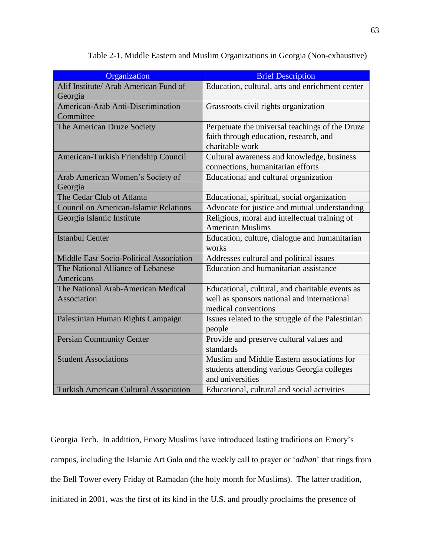| Organization                                 | <b>Brief Description</b>                                                        |
|----------------------------------------------|---------------------------------------------------------------------------------|
| Alif Institute/ Arab American Fund of        | Education, cultural, arts and enrichment center                                 |
| Georgia                                      |                                                                                 |
| American-Arab Anti-Discrimination            | Grassroots civil rights organization                                            |
| Committee                                    |                                                                                 |
| The American Druze Society                   | Perpetuate the universal teachings of the Druze                                 |
|                                              | faith through education, research, and<br>charitable work                       |
| American-Turkish Friendship Council          | Cultural awareness and knowledge, business<br>connections, humanitarian efforts |
| Arab American Women's Society of<br>Georgia  | Educational and cultural organization                                           |
| The Cedar Club of Atlanta                    | Educational, spiritual, social organization                                     |
| <b>Council on American-Islamic Relations</b> | Advocate for justice and mutual understanding                                   |
| Georgia Islamic Institute                    | Religious, moral and intellectual training of<br><b>American Muslims</b>        |
| <b>Istanbul Center</b>                       | Education, culture, dialogue and humanitarian<br>works                          |
| Middle East Socio-Political Association      | Addresses cultural and political issues                                         |
| The National Alliance of Lebanese            | Education and humanitarian assistance                                           |
| Americans                                    |                                                                                 |
| The National Arab-American Medical           | Educational, cultural, and charitable events as                                 |
| Association                                  | well as sponsors national and international                                     |
|                                              | medical conventions                                                             |
| Palestinian Human Rights Campaign            | Issues related to the struggle of the Palestinian                               |
|                                              | people                                                                          |
| <b>Persian Community Center</b>              | Provide and preserve cultural values and                                        |
|                                              | standards                                                                       |
| <b>Student Associations</b>                  | Muslim and Middle Eastern associations for                                      |
|                                              | students attending various Georgia colleges                                     |
|                                              | and universities                                                                |
| <b>Turkish American Cultural Association</b> | Educational, cultural and social activities                                     |

Table 2-1. Middle Eastern and Muslim Organizations in Georgia (Non-exhaustive)

Georgia Tech. In addition, Emory Muslims have introduced lasting traditions on Emory"s campus, including the Islamic Art Gala and the weekly call to prayer or "*adhan*" that rings from the Bell Tower every Friday of Ramadan (the holy month for Muslims). The latter tradition, initiated in 2001, was the first of its kind in the U.S. and proudly proclaims the presence of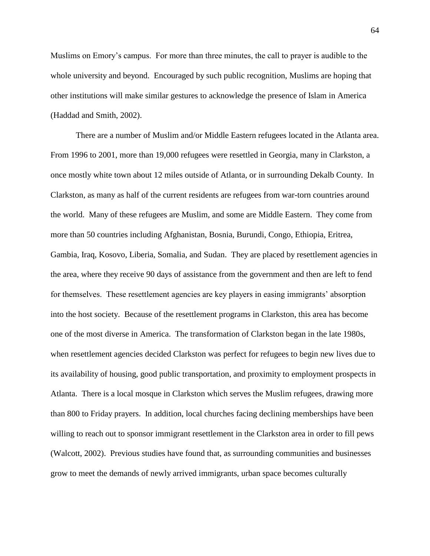Muslims on Emory"s campus. For more than three minutes, the call to prayer is audible to the whole university and beyond. Encouraged by such public recognition, Muslims are hoping that other institutions will make similar gestures to acknowledge the presence of Islam in America (Haddad and Smith, 2002).

There are a number of Muslim and/or Middle Eastern refugees located in the Atlanta area. From 1996 to 2001, more than 19,000 refugees were resettled in Georgia, many in Clarkston, a once mostly white town about 12 miles outside of Atlanta, or in surrounding Dekalb County. In Clarkston, as many as half of the current residents are refugees from war-torn countries around the world. Many of these refugees are Muslim, and some are Middle Eastern. They come from more than 50 countries including Afghanistan, Bosnia, Burundi, Congo, Ethiopia, Eritrea, Gambia, Iraq, Kosovo, Liberia, Somalia, and Sudan. They are placed by resettlement agencies in the area, where they receive 90 days of assistance from the government and then are left to fend for themselves. These resettlement agencies are key players in easing immigrants' absorption into the host society. Because of the resettlement programs in Clarkston, this area has become one of the most diverse in America. The transformation of Clarkston began in the late 1980s, when resettlement agencies decided Clarkston was perfect for refugees to begin new lives due to its availability of housing, good public transportation, and proximity to employment prospects in Atlanta. There is a local mosque in Clarkston which serves the Muslim refugees, drawing more than 800 to Friday prayers. In addition, local churches facing declining memberships have been willing to reach out to sponsor immigrant resettlement in the Clarkston area in order to fill pews (Walcott, 2002). Previous studies have found that, as surrounding communities and businesses grow to meet the demands of newly arrived immigrants, urban space becomes culturally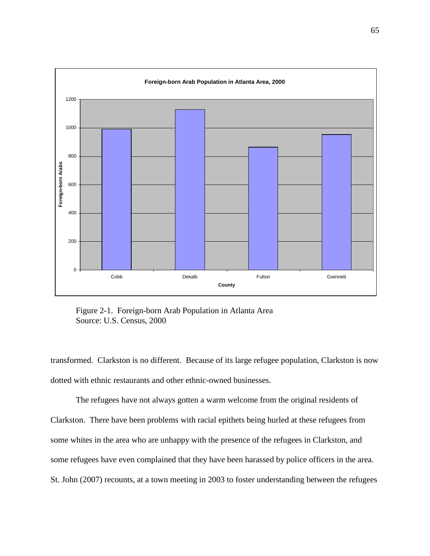

Figure 2-1.Foreign-born Arab Population in Atlanta Area Source: U.S. Census, 2000

transformed. Clarkston is no different. Because of its large refugee population, Clarkston is now dotted with ethnic restaurants and other ethnic-owned businesses.

The refugees have not always gotten a warm welcome from the original residents of Clarkston. There have been problems with racial epithets being hurled at these refugees from some whites in the area who are unhappy with the presence of the refugees in Clarkston, and some refugees have even complained that they have been harassed by police officers in the area. St. John (2007) recounts, at a town meeting in 2003 to foster understanding between the refugees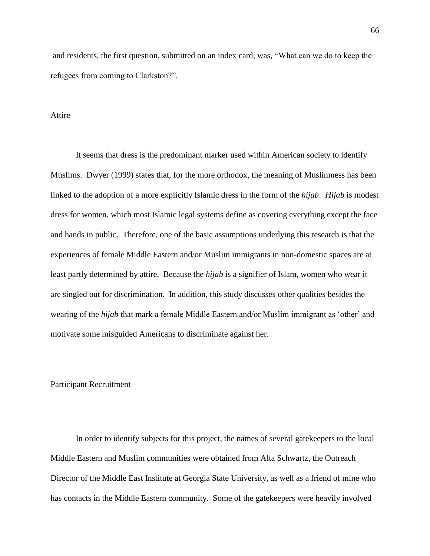and residents, the first question, submitted on an index card, was, "What can we do to keep the refugees from coming to Clarkston?".

## Attire

It seems that dress is the predominant marker used within American society to identify Muslims. Dwyer (1999) states that, for the more orthodox, the meaning of Muslimness has been linked to the adoption of a more explicitly Islamic dress in the form of the *hijab*. *Hijab* is modest dress for women, which most Islamic legal systems define as covering everything except the face and hands in public. Therefore, one of the basic assumptions underlying this research is that the experiences of female Middle Eastern and/or Muslim immigrants in non-domestic spaces are at least partly determined by attire. Because the *hijab* is a signifier of Islam, women who wear it are singled out for discrimination. In addition, this study discusses other qualities besides the wearing of the *hijab* that mark a female Middle Eastern and/or Muslim immigrant as 'other' and motivate some misguided Americans to discriminate against her.

## Participant Recruitment

In order to identify subjects for this project, the names of several gatekeepers to the local Middle Eastern and Muslim communities were obtained from Alta Schwartz, the Outreach Director of the Middle East Institute at Georgia State University, as well as a friend of mine who has contacts in the Middle Eastern community. Some of the gatekeepers were heavily involved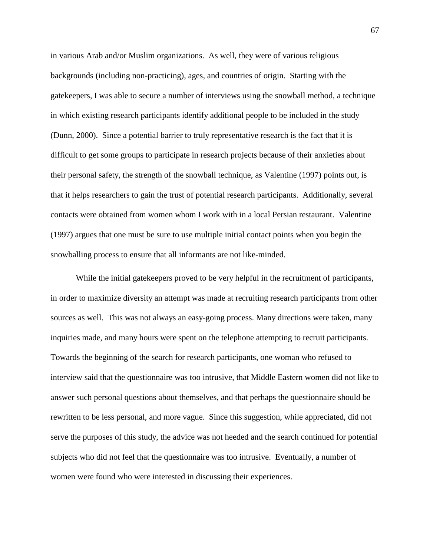in various Arab and/or Muslim organizations. As well, they were of various religious backgrounds (including non-practicing), ages, and countries of origin. Starting with the gatekeepers, I was able to secure a number of interviews using the snowball method, a technique in which existing research participants identify additional people to be included in the study (Dunn, 2000). Since a potential barrier to truly representative research is the fact that it is difficult to get some groups to participate in research projects because of their anxieties about their personal safety, the strength of the snowball technique, as Valentine (1997) points out, is that it helps researchers to gain the trust of potential research participants. Additionally, several contacts were obtained from women whom I work with in a local Persian restaurant. Valentine (1997) argues that one must be sure to use multiple initial contact points when you begin the snowballing process to ensure that all informants are not like-minded.

While the initial gatekeepers proved to be very helpful in the recruitment of participants, in order to maximize diversity an attempt was made at recruiting research participants from other sources as well. This was not always an easy-going process. Many directions were taken, many inquiries made, and many hours were spent on the telephone attempting to recruit participants. Towards the beginning of the search for research participants, one woman who refused to interview said that the questionnaire was too intrusive, that Middle Eastern women did not like to answer such personal questions about themselves, and that perhaps the questionnaire should be rewritten to be less personal, and more vague. Since this suggestion, while appreciated, did not serve the purposes of this study, the advice was not heeded and the search continued for potential subjects who did not feel that the questionnaire was too intrusive. Eventually, a number of women were found who were interested in discussing their experiences.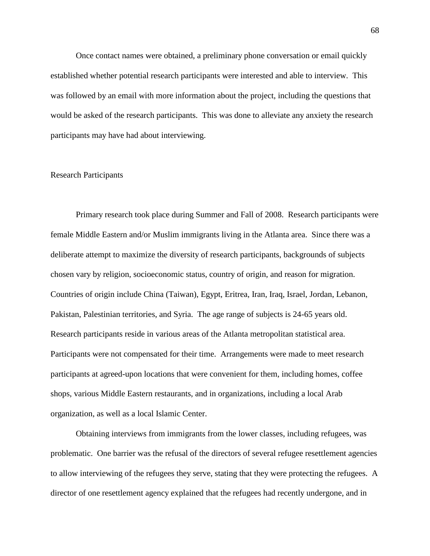Once contact names were obtained, a preliminary phone conversation or email quickly established whether potential research participants were interested and able to interview. This was followed by an email with more information about the project, including the questions that would be asked of the research participants. This was done to alleviate any anxiety the research participants may have had about interviewing.

## Research Participants

Primary research took place during Summer and Fall of 2008. Research participants were female Middle Eastern and/or Muslim immigrants living in the Atlanta area. Since there was a deliberate attempt to maximize the diversity of research participants, backgrounds of subjects chosen vary by religion, socioeconomic status, country of origin, and reason for migration. Countries of origin include China (Taiwan), Egypt, Eritrea, Iran, Iraq, Israel, Jordan, Lebanon, Pakistan, Palestinian territories, and Syria. The age range of subjects is 24-65 years old. Research participants reside in various areas of the Atlanta metropolitan statistical area. Participants were not compensated for their time. Arrangements were made to meet research participants at agreed-upon locations that were convenient for them, including homes, coffee shops, various Middle Eastern restaurants, and in organizations, including a local Arab organization, as well as a local Islamic Center.

Obtaining interviews from immigrants from the lower classes, including refugees, was problematic. One barrier was the refusal of the directors of several refugee resettlement agencies to allow interviewing of the refugees they serve, stating that they were protecting the refugees. A director of one resettlement agency explained that the refugees had recently undergone, and in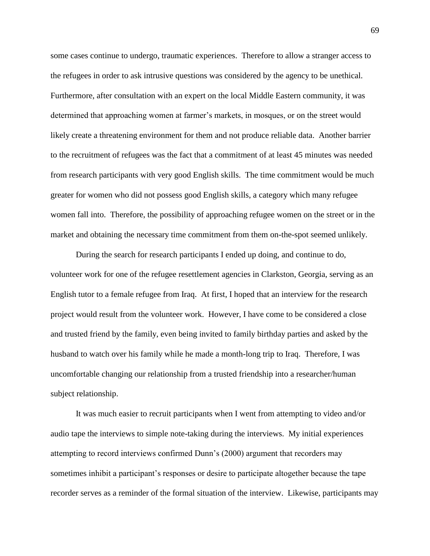some cases continue to undergo, traumatic experiences. Therefore to allow a stranger access to the refugees in order to ask intrusive questions was considered by the agency to be unethical. Furthermore, after consultation with an expert on the local Middle Eastern community, it was determined that approaching women at farmer"s markets, in mosques, or on the street would likely create a threatening environment for them and not produce reliable data. Another barrier to the recruitment of refugees was the fact that a commitment of at least 45 minutes was needed from research participants with very good English skills. The time commitment would be much greater for women who did not possess good English skills, a category which many refugee women fall into. Therefore, the possibility of approaching refugee women on the street or in the market and obtaining the necessary time commitment from them on-the-spot seemed unlikely.

During the search for research participants I ended up doing, and continue to do, volunteer work for one of the refugee resettlement agencies in Clarkston, Georgia, serving as an English tutor to a female refugee from Iraq. At first, I hoped that an interview for the research project would result from the volunteer work. However, I have come to be considered a close and trusted friend by the family, even being invited to family birthday parties and asked by the husband to watch over his family while he made a month-long trip to Iraq. Therefore, I was uncomfortable changing our relationship from a trusted friendship into a researcher/human subject relationship.

It was much easier to recruit participants when I went from attempting to video and/or audio tape the interviews to simple note-taking during the interviews. My initial experiences attempting to record interviews confirmed Dunn"s (2000) argument that recorders may sometimes inhibit a participant's responses or desire to participate altogether because the tape recorder serves as a reminder of the formal situation of the interview. Likewise, participants may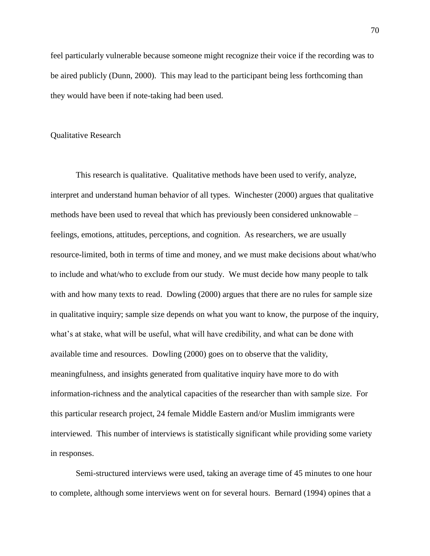feel particularly vulnerable because someone might recognize their voice if the recording was to be aired publicly (Dunn, 2000). This may lead to the participant being less forthcoming than they would have been if note-taking had been used.

## Qualitative Research

This research is qualitative. Qualitative methods have been used to verify, analyze, interpret and understand human behavior of all types. Winchester (2000) argues that qualitative methods have been used to reveal that which has previously been considered unknowable – feelings, emotions, attitudes, perceptions, and cognition. As researchers, we are usually resource-limited, both in terms of time and money, and we must make decisions about what/who to include and what/who to exclude from our study. We must decide how many people to talk with and how many texts to read. Dowling (2000) argues that there are no rules for sample size in qualitative inquiry; sample size depends on what you want to know, the purpose of the inquiry, what's at stake, what will be useful, what will have credibility, and what can be done with available time and resources. Dowling (2000) goes on to observe that the validity, meaningfulness, and insights generated from qualitative inquiry have more to do with information-richness and the analytical capacities of the researcher than with sample size. For this particular research project, 24 female Middle Eastern and/or Muslim immigrants were interviewed. This number of interviews is statistically significant while providing some variety in responses.

Semi-structured interviews were used, taking an average time of 45 minutes to one hour to complete, although some interviews went on for several hours.Bernard (1994) opines that a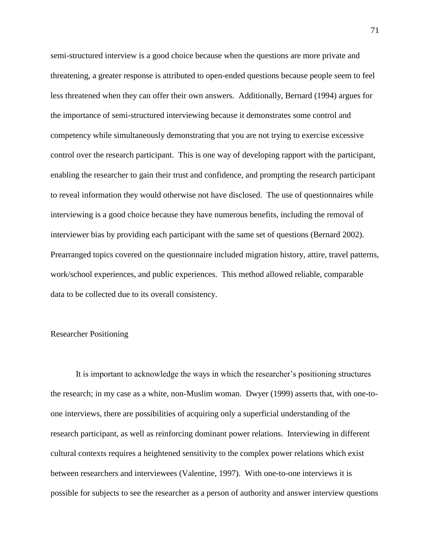semi-structured interview is a good choice because when the questions are more private and threatening, a greater response is attributed to open-ended questions because people seem to feel less threatened when they can offer their own answers. Additionally, Bernard (1994) argues for the importance of semi-structured interviewing because it demonstrates some control and competency while simultaneously demonstrating that you are not trying to exercise excessive control over the research participant. This is one way of developing rapport with the participant, enabling the researcher to gain their trust and confidence, and prompting the research participant to reveal information they would otherwise not have disclosed. The use of questionnaires while interviewing is a good choice because they have numerous benefits, including the removal of interviewer bias by providing each participant with the same set of questions (Bernard 2002). Prearranged topics covered on the questionnaire included migration history, attire, travel patterns, work/school experiences, and public experiences. This method allowed reliable, comparable data to be collected due to its overall consistency.

## Researcher Positioning

It is important to acknowledge the ways in which the researcher"s positioning structures the research; in my case as a white, non-Muslim woman. Dwyer (1999) asserts that, with one-toone interviews, there are possibilities of acquiring only a superficial understanding of the research participant, as well as reinforcing dominant power relations. Interviewing in different cultural contexts requires a heightened sensitivity to the complex power relations which exist between researchers and interviewees (Valentine, 1997). With one-to-one interviews it is possible for subjects to see the researcher as a person of authority and answer interview questions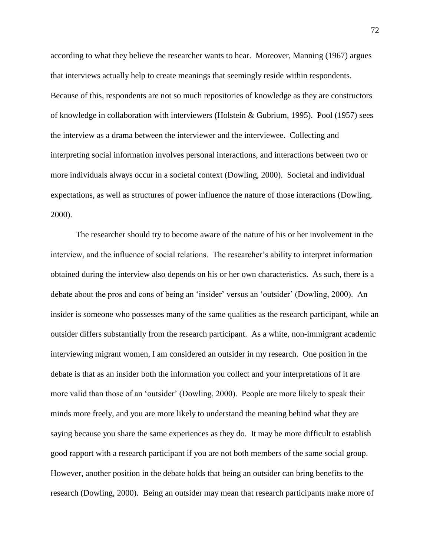according to what they believe the researcher wants to hear.Moreover, Manning (1967) argues that interviews actually help to create meanings that seemingly reside within respondents. Because of this, respondents are not so much repositories of knowledge as they are constructors of knowledge in collaboration with interviewers (Holstein & Gubrium, 1995). Pool (1957) sees the interview as a drama between the interviewer and the interviewee. Collecting and interpreting social information involves personal interactions, and interactions between two or more individuals always occur in a societal context (Dowling, 2000). Societal and individual expectations, as well as structures of power influence the nature of those interactions (Dowling, 2000).

The researcher should try to become aware of the nature of his or her involvement in the interview, and the influence of social relations. The researcher's ability to interpret information obtained during the interview also depends on his or her own characteristics. As such, there is a debate about the pros and cons of being an 'insider' versus an 'outsider' (Dowling, 2000). An insider is someone who possesses many of the same qualities as the research participant, while an outsider differs substantially from the research participant. As a white, non-immigrant academic interviewing migrant women, I am considered an outsider in my research. One position in the debate is that as an insider both the information you collect and your interpretations of it are more valid than those of an "outsider" (Dowling, 2000). People are more likely to speak their minds more freely, and you are more likely to understand the meaning behind what they are saying because you share the same experiences as they do. It may be more difficult to establish good rapport with a research participant if you are not both members of the same social group. However, another position in the debate holds that being an outsider can bring benefits to the research (Dowling, 2000). Being an outsider may mean that research participants make more of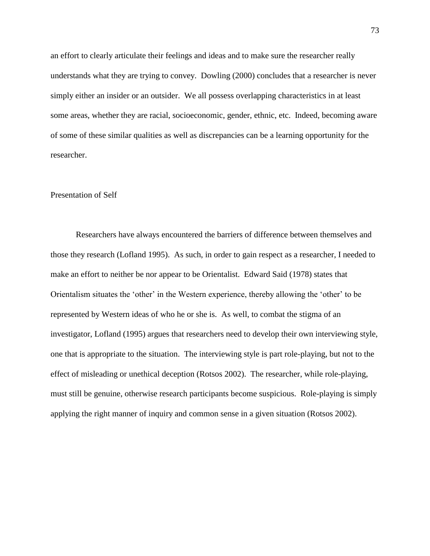an effort to clearly articulate their feelings and ideas and to make sure the researcher really understands what they are trying to convey. Dowling (2000) concludes that a researcher is never simply either an insider or an outsider. We all possess overlapping characteristics in at least some areas, whether they are racial, socioeconomic, gender, ethnic, etc. Indeed, becoming aware of some of these similar qualities as well as discrepancies can be a learning opportunity for the researcher.

### Presentation of Self

Researchers have always encountered the barriers of difference between themselves and those they research (Lofland 1995). As such, in order to gain respect as a researcher, I needed to make an effort to neither be nor appear to be Orientalist. Edward Said (1978) states that Orientalism situates the "other" in the Western experience, thereby allowing the "other" to be represented by Western ideas of who he or she is. As well, to combat the stigma of an investigator, Lofland (1995) argues that researchers need to develop their own interviewing style, one that is appropriate to the situation. The interviewing style is part role-playing, but not to the effect of misleading or unethical deception (Rotsos 2002). The researcher, while role-playing, must still be genuine, otherwise research participants become suspicious. Role-playing is simply applying the right manner of inquiry and common sense in a given situation (Rotsos 2002).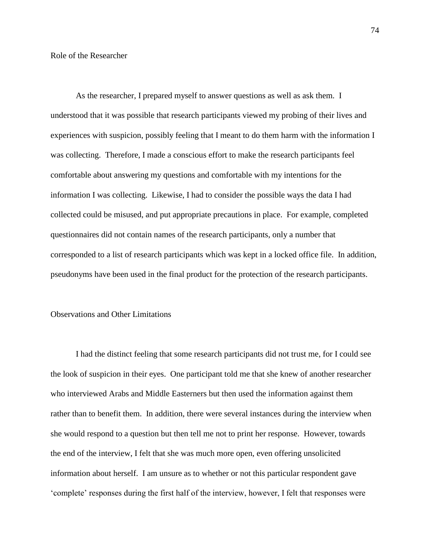As the researcher, I prepared myself to answer questions as well as ask them. I understood that it was possible that research participants viewed my probing of their lives and experiences with suspicion, possibly feeling that I meant to do them harm with the information I was collecting. Therefore, I made a conscious effort to make the research participants feel comfortable about answering my questions and comfortable with my intentions for the information I was collecting. Likewise, I had to consider the possible ways the data I had collected could be misused, and put appropriate precautions in place. For example, completed questionnaires did not contain names of the research participants, only a number that corresponded to a list of research participants which was kept in a locked office file. In addition, pseudonyms have been used in the final product for the protection of the research participants.

# Observations and Other Limitations

I had the distinct feeling that some research participants did not trust me, for I could see the look of suspicion in their eyes. One participant told me that she knew of another researcher who interviewed Arabs and Middle Easterners but then used the information against them rather than to benefit them. In addition, there were several instances during the interview when she would respond to a question but then tell me not to print her response. However, towards the end of the interview, I felt that she was much more open, even offering unsolicited information about herself. I am unsure as to whether or not this particular respondent gave "complete" responses during the first half of the interview, however, I felt that responses were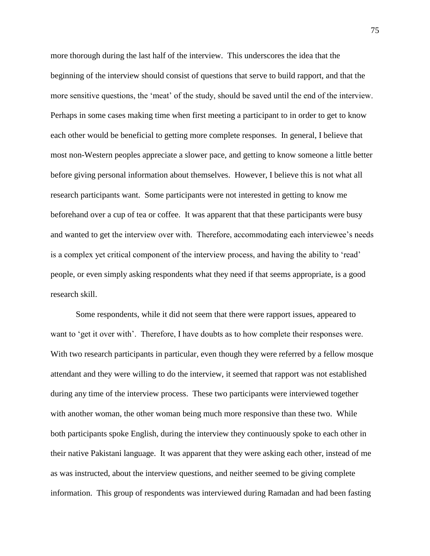more thorough during the last half of the interview. This underscores the idea that the beginning of the interview should consist of questions that serve to build rapport, and that the more sensitive questions, the "meat" of the study, should be saved until the end of the interview. Perhaps in some cases making time when first meeting a participant to in order to get to know each other would be beneficial to getting more complete responses. In general, I believe that most non-Western peoples appreciate a slower pace, and getting to know someone a little better before giving personal information about themselves. However, I believe this is not what all research participants want. Some participants were not interested in getting to know me beforehand over a cup of tea or coffee. It was apparent that that these participants were busy and wanted to get the interview over with. Therefore, accommodating each interviewee"s needs is a complex yet critical component of the interview process, and having the ability to "read" people, or even simply asking respondents what they need if that seems appropriate, is a good research skill.

Some respondents, while it did not seem that there were rapport issues, appeared to want to 'get it over with'. Therefore, I have doubts as to how complete their responses were. With two research participants in particular, even though they were referred by a fellow mosque attendant and they were willing to do the interview, it seemed that rapport was not established during any time of the interview process. These two participants were interviewed together with another woman, the other woman being much more responsive than these two. While both participants spoke English, during the interview they continuously spoke to each other in their native Pakistani language. It was apparent that they were asking each other, instead of me as was instructed, about the interview questions, and neither seemed to be giving complete information. This group of respondents was interviewed during Ramadan and had been fasting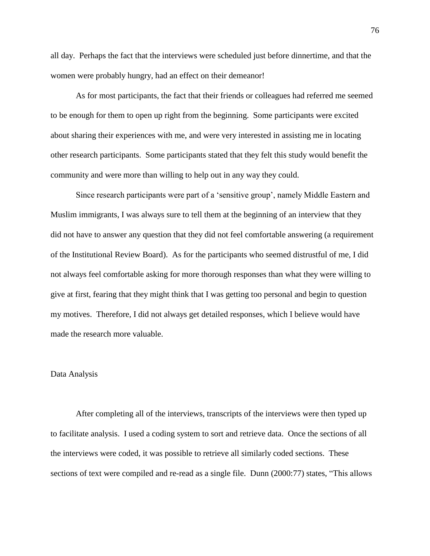all day. Perhaps the fact that the interviews were scheduled just before dinnertime, and that the women were probably hungry, had an effect on their demeanor!

As for most participants, the fact that their friends or colleagues had referred me seemed to be enough for them to open up right from the beginning. Some participants were excited about sharing their experiences with me, and were very interested in assisting me in locating other research participants. Some participants stated that they felt this study would benefit the community and were more than willing to help out in any way they could.

Since research participants were part of a "sensitive group", namely Middle Eastern and Muslim immigrants, I was always sure to tell them at the beginning of an interview that they did not have to answer any question that they did not feel comfortable answering (a requirement of the Institutional Review Board). As for the participants who seemed distrustful of me, I did not always feel comfortable asking for more thorough responses than what they were willing to give at first, fearing that they might think that I was getting too personal and begin to question my motives. Therefore, I did not always get detailed responses, which I believe would have made the research more valuable.

#### Data Analysis

After completing all of the interviews, transcripts of the interviews were then typed up to facilitate analysis. I used a coding system to sort and retrieve data. Once the sections of all the interviews were coded, it was possible to retrieve all similarly coded sections. These sections of text were compiled and re-read as a single file. Dunn (2000:77) states, "This allows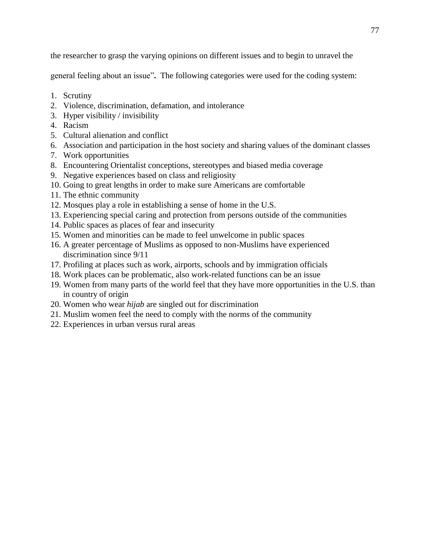the researcher to grasp the varying opinions on different issues and to begin to unravel the

general feeling about an issue"**.** The following categories were used for the coding system:

- 1. Scrutiny
- 2. Violence, discrimination, defamation, and intolerance
- 3. Hyper visibility / invisibility
- 4. Racism
- 5. Cultural alienation and conflict
- 6. Association and participation in the host society and sharing values of the dominant classes
- 7. Work opportunities
- 8. Encountering Orientalist conceptions, stereotypes and biased media coverage
- 9. Negative experiences based on class and religiosity
- 10. Going to great lengths in order to make sure Americans are comfortable
- 11. The ethnic community
- 12. Mosques play a role in establishing a sense of home in the U.S.
- 13. Experiencing special caring and protection from persons outside of the communities
- 14. Public spaces as places of fear and insecurity
- 15. Women and minorities can be made to feel unwelcome in public spaces
- 16. A greater percentage of Muslims as opposed to non-Muslims have experienced discrimination since 9/11
- 17. Profiling at places such as work, airports, schools and by immigration officials
- 18. Work places can be problematic, also work-related functions can be an issue
- 19. Women from many parts of the world feel that they have more opportunities in the U.S. than in country of origin
- 20. Women who wear *hijab* are singled out for discrimination
- 21. Muslim women feel the need to comply with the norms of the community
- 22. Experiences in urban versus rural areas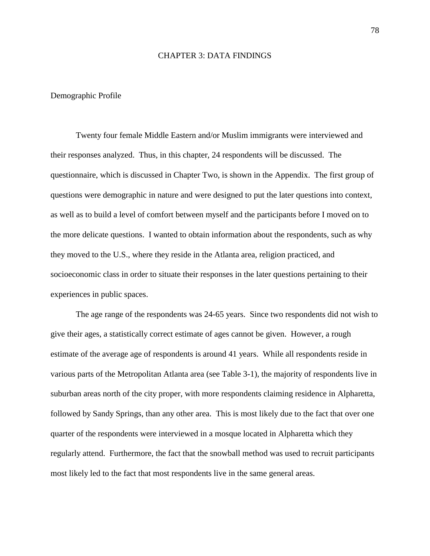## CHAPTER 3: DATA FINDINGS

#### Demographic Profile

Twenty four female Middle Eastern and/or Muslim immigrants were interviewed and their responses analyzed. Thus, in this chapter, 24 respondents will be discussed. The questionnaire, which is discussed in Chapter Two, is shown in the Appendix. The first group of questions were demographic in nature and were designed to put the later questions into context, as well as to build a level of comfort between myself and the participants before I moved on to the more delicate questions. I wanted to obtain information about the respondents, such as why they moved to the U.S., where they reside in the Atlanta area, religion practiced, and socioeconomic class in order to situate their responses in the later questions pertaining to their experiences in public spaces.

The age range of the respondents was 24-65 years. Since two respondents did not wish to give their ages, a statistically correct estimate of ages cannot be given. However, a rough estimate of the average age of respondents is around 41 years. While all respondents reside in various parts of the Metropolitan Atlanta area (see Table 3-1), the majority of respondents live in suburban areas north of the city proper, with more respondents claiming residence in Alpharetta, followed by Sandy Springs, than any other area. This is most likely due to the fact that over one quarter of the respondents were interviewed in a mosque located in Alpharetta which they regularly attend. Furthermore, the fact that the snowball method was used to recruit participants most likely led to the fact that most respondents live in the same general areas.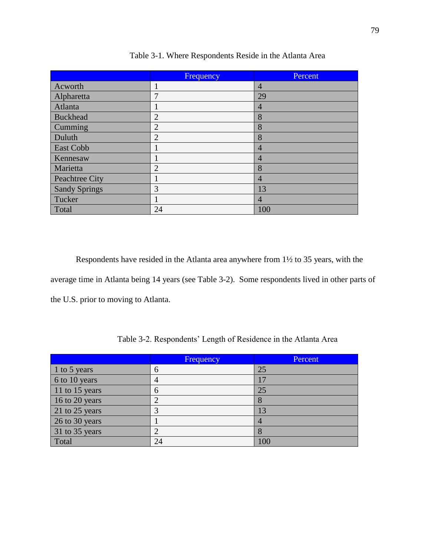|                      | Frequency      | <b>Percent</b> |
|----------------------|----------------|----------------|
| Acworth              |                | $\overline{4}$ |
| Alpharetta           |                | 29             |
| Atlanta              |                | $\overline{4}$ |
| <b>Buckhead</b>      | $\overline{2}$ | 8              |
| Cumming              | $\overline{2}$ | 8              |
| Duluth               | $\overline{2}$ | 8              |
| East Cobb            |                | $\overline{4}$ |
| Kennesaw             |                | 4              |
| Marietta             | $\overline{2}$ | 8              |
| Peachtree City       |                | $\overline{4}$ |
| <b>Sandy Springs</b> | 3              | 13             |
| Tucker               |                | 4              |
| Total                | 24             | 100            |

Table 3-1. Where Respondents Reside in the Atlanta Area

Respondents have resided in the Atlanta area anywhere from 1½ to 35 years, with the average time in Atlanta being 14 years (see Table 3-2). Some respondents lived in other parts of the U.S. prior to moving to Atlanta.

|                | Frequency | Percent |
|----------------|-----------|---------|
| 1 to 5 years   | 6         | 25      |
| 6 to 10 years  |           |         |
| 11 to 15 years | h         | 25      |
| 16 to 20 years |           |         |
| 21 to 25 years |           | 13      |
| 26 to 30 years |           |         |
| 31 to 35 years |           |         |
| Total          | 24        | 100     |

Table 3-2. Respondents" Length of Residence in the Atlanta Area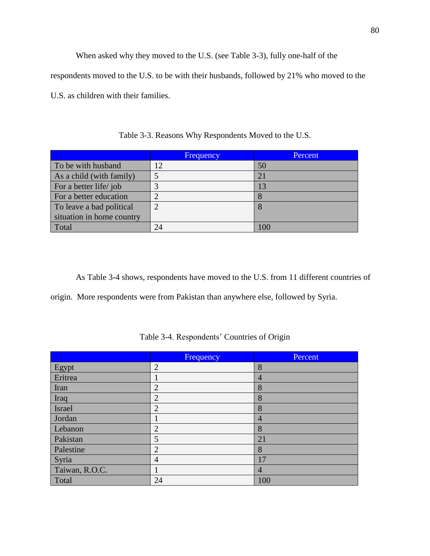When asked why they moved to the U.S. (see Table 3-3), fully one-half of the respondents moved to the U.S. to be with their husbands, followed by 21% who moved to the U.S. as children with their families.

|                           | Frequency | Percent |
|---------------------------|-----------|---------|
| To be with husband        | 12        | 50      |
| As a child (with family)  |           | 21      |
| For a better life/job     |           | 13      |
| For a better education    |           |         |
| To leave a bad political  |           |         |
| situation in home country |           |         |
| Total                     | 24        | 100     |

Table 3-3. Reasons Why Respondents Moved to the U.S.

As Table 3-4 shows, respondents have moved to the U.S. from 11 different countries of origin. More respondents were from Pakistan than anywhere else, followed by Syria.

|                | Frequency      | Percent |
|----------------|----------------|---------|
| Egypt          | $\overline{2}$ | 8       |
| Eritrea        |                | 4       |
| Iran           | $\overline{2}$ | 8       |
| Iraq           | $\overline{2}$ | 8       |
| Israel         | $\overline{2}$ | 8       |
| Jordan         |                | 4       |
| Lebanon        | $\overline{2}$ | 8       |
| Pakistan       | 5              | 21      |
| Palestine      | $\overline{2}$ | 8       |
| Syria          | 4              | 17      |
| Taiwan, R.O.C. |                | 4       |
| Total          | 24             | 100     |

Table 3-4. Respondents' Countries of Origin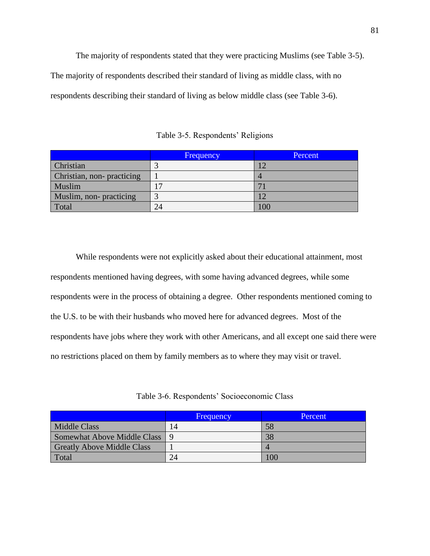The majority of respondents stated that they were practicing Muslims (see Table 3-5). The majority of respondents described their standard of living as middle class, with no respondents describing their standard of living as below middle class (see Table 3-6).

Table 3-5. Respondents' Religions

|                           | <b>Frequency</b> | Percent |
|---------------------------|------------------|---------|
| <b>Christian</b>          |                  |         |
| Christian, non-practicing |                  |         |
| Muslim                    | 17               |         |
| Muslim, non-practicing    |                  |         |
| Total                     | 24               | 100     |

While respondents were not explicitly asked about their educational attainment, most respondents mentioned having degrees, with some having advanced degrees, while some respondents were in the process of obtaining a degree. Other respondents mentioned coming to the U.S. to be with their husbands who moved here for advanced degrees. Most of the respondents have jobs where they work with other Americans, and all except one said there were no restrictions placed on them by family members as to where they may visit or travel.

Table 3-6. Respondents" Socioeconomic Class

|                                   | <b>Frequency</b> | Percent |
|-----------------------------------|------------------|---------|
| Middle Class                      | 14               | 58      |
| Somewhat Above Middle Class   9   |                  | 38      |
| <b>Greatly Above Middle Class</b> |                  |         |
| Total                             | 24               | 100     |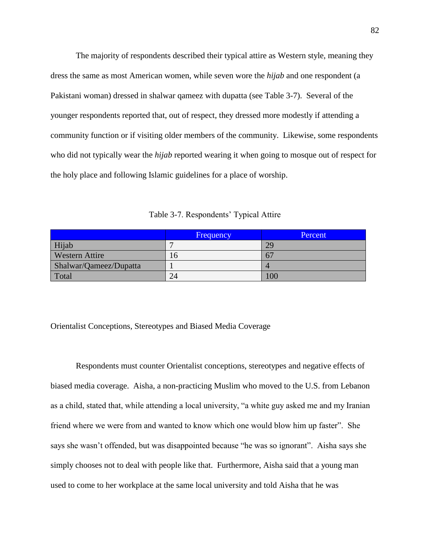The majority of respondents described their typical attire as Western style, meaning they dress the same as most American women, while seven wore the *hijab* and one respondent (a Pakistani woman) dressed in shalwar qameez with dupatta (see Table 3-7). Several of the younger respondents reported that, out of respect, they dressed more modestly if attending a community function or if visiting older members of the community. Likewise, some respondents who did not typically wear the *hijab* reported wearing it when going to mosque out of respect for the holy place and following Islamic guidelines for a place of worship.

Table 3-7. Respondents' Typical Attire

|                        | Frequency | Percent |
|------------------------|-----------|---------|
| Hijab                  |           | 29      |
| <b>Western Attire</b>  | n         | --      |
| Shalwar/Qameez/Dupatta |           |         |
| Total                  | 24        | 100     |

Orientalist Conceptions, Stereotypes and Biased Media Coverage

Respondents must counter Orientalist conceptions, stereotypes and negative effects of biased media coverage. Aisha, a non-practicing Muslim who moved to the U.S. from Lebanon as a child, stated that, while attending a local university, "a white guy asked me and my Iranian friend where we were from and wanted to know which one would blow him up faster". She says she wasn"t offended, but was disappointed because "he was so ignorant". Aisha says she simply chooses not to deal with people like that. Furthermore, Aisha said that a young man used to come to her workplace at the same local university and told Aisha that he was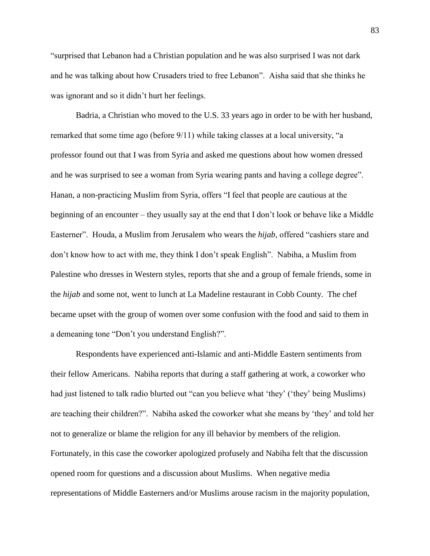"surprised that Lebanon had a Christian population and he was also surprised I was not dark and he was talking about how Crusaders tried to free Lebanon". Aisha said that she thinks he was ignorant and so it didn"t hurt her feelings.

Badria, a Christian who moved to the U.S. 33 years ago in order to be with her husband, remarked that some time ago (before 9/11) while taking classes at a local university, "a professor found out that I was from Syria and asked me questions about how women dressed and he was surprised to see a woman from Syria wearing pants and having a college degree". Hanan, a non-practicing Muslim from Syria, offers "I feel that people are cautious at the beginning of an encounter – they usually say at the end that I don"t look or behave like a Middle Easterner". Houda, a Muslim from Jerusalem who wears the *hijab*, offered "cashiers stare and don"t know how to act with me, they think I don"t speak English". Nabiha, a Muslim from Palestine who dresses in Western styles, reports that she and a group of female friends, some in the *hijab* and some not, went to lunch at La Madeline restaurant in Cobb County. The chef became upset with the group of women over some confusion with the food and said to them in a demeaning tone "Don"t you understand English?".

Respondents have experienced anti-Islamic and anti-Middle Eastern sentiments from their fellow Americans. Nabiha reports that during a staff gathering at work, a coworker who had just listened to talk radio blurted out "can you believe what 'they' ('they' being Muslims) are teaching their children?". Nabiha asked the coworker what she means by "they" and told her not to generalize or blame the religion for any ill behavior by members of the religion. Fortunately, in this case the coworker apologized profusely and Nabiha felt that the discussion opened room for questions and a discussion about Muslims. When negative media representations of Middle Easterners and/or Muslims arouse racism in the majority population,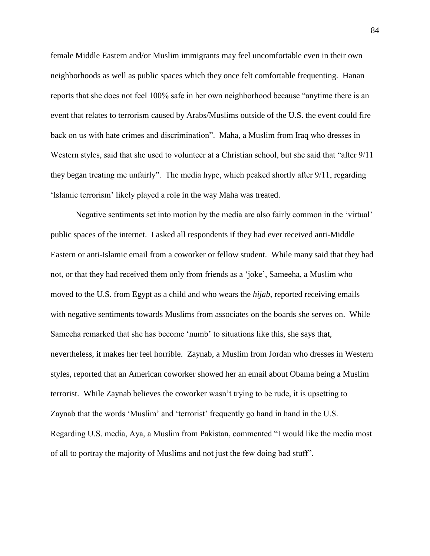female Middle Eastern and/or Muslim immigrants may feel uncomfortable even in their own neighborhoods as well as public spaces which they once felt comfortable frequenting. Hanan reports that she does not feel 100% safe in her own neighborhood because "anytime there is an event that relates to terrorism caused by Arabs/Muslims outside of the U.S. the event could fire back on us with hate crimes and discrimination". Maha, a Muslim from Iraq who dresses in Western styles, said that she used to volunteer at a Christian school, but she said that "after 9/11 they began treating me unfairly". The media hype, which peaked shortly after 9/11, regarding "Islamic terrorism" likely played a role in the way Maha was treated.

Negative sentiments set into motion by the media are also fairly common in the "virtual" public spaces of the internet. I asked all respondents if they had ever received anti-Middle Eastern or anti-Islamic email from a coworker or fellow student. While many said that they had not, or that they had received them only from friends as a "joke", Sameeha, a Muslim who moved to the U.S. from Egypt as a child and who wears the *hijab*, reported receiving emails with negative sentiments towards Muslims from associates on the boards she serves on. While Sameeha remarked that she has become "numb" to situations like this, she says that, nevertheless, it makes her feel horrible. Zaynab, a Muslim from Jordan who dresses in Western styles, reported that an American coworker showed her an email about Obama being a Muslim terrorist. While Zaynab believes the coworker wasn"t trying to be rude, it is upsetting to Zaynab that the words "Muslim" and "terrorist" frequently go hand in hand in the U.S. Regarding U.S. media, Aya, a Muslim from Pakistan, commented "I would like the media most of all to portray the majority of Muslims and not just the few doing bad stuff".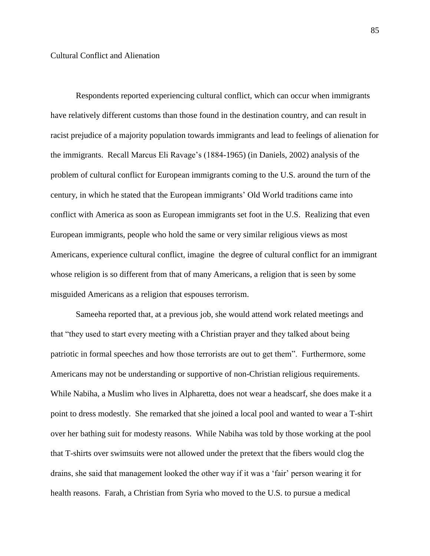Respondents reported experiencing cultural conflict, which can occur when immigrants have relatively different customs than those found in the destination country, and can result in racist prejudice of a majority population towards immigrants and lead to feelings of alienation for the immigrants. Recall Marcus Eli Ravage"s (1884-1965) (in Daniels, 2002) analysis of the problem of cultural conflict for European immigrants coming to the U.S. around the turn of the century, in which he stated that the European immigrants" Old World traditions came into conflict with America as soon as European immigrants set foot in the U.S. Realizing that even European immigrants, people who hold the same or very similar religious views as most Americans, experience cultural conflict, imagine the degree of cultural conflict for an immigrant whose religion is so different from that of many Americans, a religion that is seen by some misguided Americans as a religion that espouses terrorism.

Sameeha reported that, at a previous job, she would attend work related meetings and that "they used to start every meeting with a Christian prayer and they talked about being patriotic in formal speeches and how those terrorists are out to get them". Furthermore, some Americans may not be understanding or supportive of non-Christian religious requirements. While Nabiha, a Muslim who lives in Alpharetta, does not wear a headscarf, she does make it a point to dress modestly. She remarked that she joined a local pool and wanted to wear a T-shirt over her bathing suit for modesty reasons. While Nabiha was told by those working at the pool that T-shirts over swimsuits were not allowed under the pretext that the fibers would clog the drains, she said that management looked the other way if it was a "fair" person wearing it for health reasons. Farah, a Christian from Syria who moved to the U.S. to pursue a medical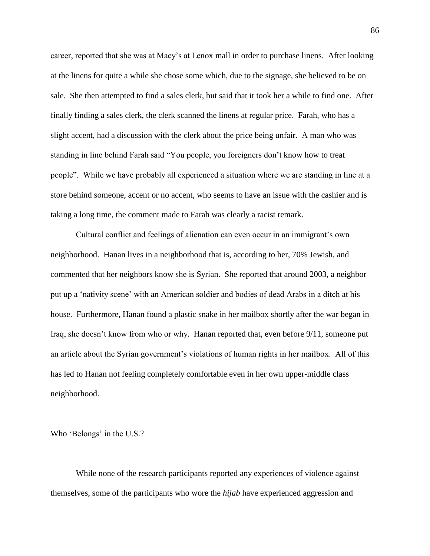career, reported that she was at Macy"s at Lenox mall in order to purchase linens. After looking at the linens for quite a while she chose some which, due to the signage, she believed to be on sale. She then attempted to find a sales clerk, but said that it took her a while to find one. After finally finding a sales clerk, the clerk scanned the linens at regular price. Farah, who has a slight accent, had a discussion with the clerk about the price being unfair. A man who was standing in line behind Farah said "You people, you foreigners don"t know how to treat people". While we have probably all experienced a situation where we are standing in line at a store behind someone, accent or no accent, who seems to have an issue with the cashier and is taking a long time, the comment made to Farah was clearly a racist remark.

Cultural conflict and feelings of alienation can even occur in an immigrant"s own neighborhood. Hanan lives in a neighborhood that is, according to her, 70% Jewish, and commented that her neighbors know she is Syrian. She reported that around 2003, a neighbor put up a "nativity scene" with an American soldier and bodies of dead Arabs in a ditch at his house. Furthermore, Hanan found a plastic snake in her mailbox shortly after the war began in Iraq, she doesn"t know from who or why. Hanan reported that, even before 9/11, someone put an article about the Syrian government"s violations of human rights in her mailbox. All of this has led to Hanan not feeling completely comfortable even in her own upper-middle class neighborhood.

Who 'Belongs' in the U.S.?

While none of the research participants reported any experiences of violence against themselves, some of the participants who wore the *hijab* have experienced aggression and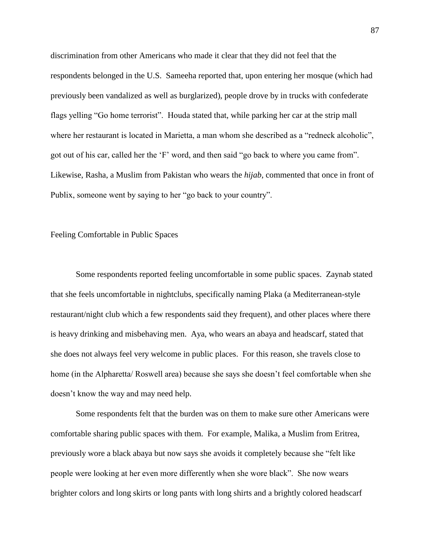discrimination from other Americans who made it clear that they did not feel that the respondents belonged in the U.S. Sameeha reported that, upon entering her mosque (which had previously been vandalized as well as burglarized), people drove by in trucks with confederate flags yelling "Go home terrorist". Houda stated that, while parking her car at the strip mall where her restaurant is located in Marietta, a man whom she described as a "redneck alcoholic", got out of his car, called her the "F" word, and then said "go back to where you came from". Likewise, Rasha, a Muslim from Pakistan who wears the *hijab*, commented that once in front of Publix, someone went by saying to her "go back to your country".

#### Feeling Comfortable in Public Spaces

Some respondents reported feeling uncomfortable in some public spaces. Zaynab stated that she feels uncomfortable in nightclubs, specifically naming Plaka (a Mediterranean-style restaurant/night club which a few respondents said they frequent), and other places where there is heavy drinking and misbehaving men. Aya, who wears an abaya and headscarf, stated that she does not always feel very welcome in public places. For this reason, she travels close to home (in the Alpharetta/ Roswell area) because she says she doesn"t feel comfortable when she doesn"t know the way and may need help.

Some respondents felt that the burden was on them to make sure other Americans were comfortable sharing public spaces with them. For example, Malika, a Muslim from Eritrea, previously wore a black abaya but now says she avoids it completely because she "felt like people were looking at her even more differently when she wore black". She now wears brighter colors and long skirts or long pants with long shirts and a brightly colored headscarf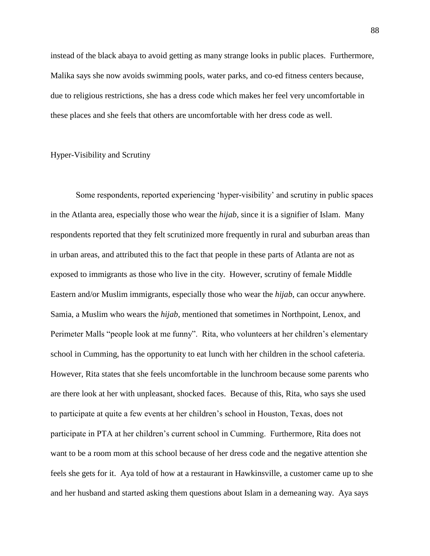instead of the black abaya to avoid getting as many strange looks in public places. Furthermore, Malika says she now avoids swimming pools, water parks, and co-ed fitness centers because, due to religious restrictions, she has a dress code which makes her feel very uncomfortable in these places and she feels that others are uncomfortable with her dress code as well.

## Hyper-Visibility and Scrutiny

Some respondents, reported experiencing "hyper-visibility" and scrutiny in public spaces in the Atlanta area, especially those who wear the *hijab*, since it is a signifier of Islam. Many respondents reported that they felt scrutinized more frequently in rural and suburban areas than in urban areas, and attributed this to the fact that people in these parts of Atlanta are not as exposed to immigrants as those who live in the city. However, scrutiny of female Middle Eastern and/or Muslim immigrants, especially those who wear the *hijab*, can occur anywhere. Samia, a Muslim who wears the *hijab*, mentioned that sometimes in Northpoint, Lenox, and Perimeter Malls "people look at me funny". Rita, who volunteers at her children's elementary school in Cumming, has the opportunity to eat lunch with her children in the school cafeteria. However, Rita states that she feels uncomfortable in the lunchroom because some parents who are there look at her with unpleasant, shocked faces. Because of this, Rita, who says she used to participate at quite a few events at her children"s school in Houston, Texas, does not participate in PTA at her children"s current school in Cumming. Furthermore, Rita does not want to be a room mom at this school because of her dress code and the negative attention she feels she gets for it. Aya told of how at a restaurant in Hawkinsville, a customer came up to she and her husband and started asking them questions about Islam in a demeaning way. Aya says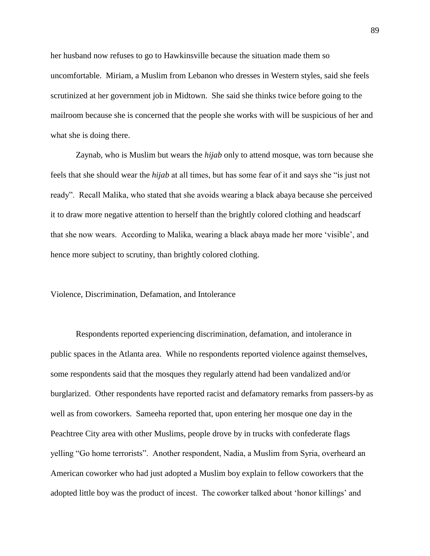her husband now refuses to go to Hawkinsville because the situation made them so uncomfortable. Miriam, a Muslim from Lebanon who dresses in Western styles, said she feels scrutinized at her government job in Midtown. She said she thinks twice before going to the mailroom because she is concerned that the people she works with will be suspicious of her and what she is doing there.

Zaynab, who is Muslim but wears the *hijab* only to attend mosque, was torn because she feels that she should wear the *hijab* at all times, but has some fear of it and says she "is just not ready". Recall Malika, who stated that she avoids wearing a black abaya because she perceived it to draw more negative attention to herself than the brightly colored clothing and headscarf that she now wears. According to Malika, wearing a black abaya made her more "visible", and hence more subject to scrutiny, than brightly colored clothing.

Violence, Discrimination, Defamation, and Intolerance

Respondents reported experiencing discrimination, defamation, and intolerance in public spaces in the Atlanta area. While no respondents reported violence against themselves, some respondents said that the mosques they regularly attend had been vandalized and/or burglarized. Other respondents have reported racist and defamatory remarks from passers-by as well as from coworkers. Sameeha reported that, upon entering her mosque one day in the Peachtree City area with other Muslims, people drove by in trucks with confederate flags yelling "Go home terrorists". Another respondent, Nadia, a Muslim from Syria, overheard an American coworker who had just adopted a Muslim boy explain to fellow coworkers that the adopted little boy was the product of incest. The coworker talked about "honor killings" and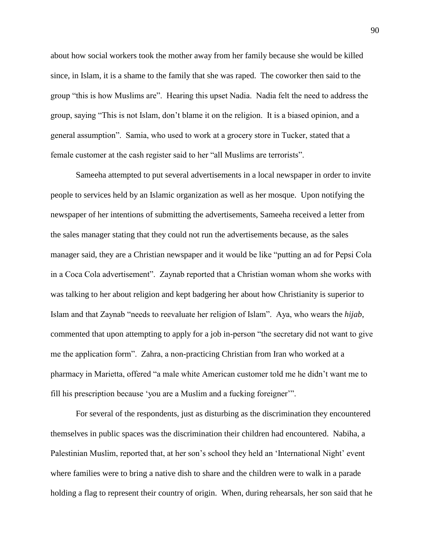about how social workers took the mother away from her family because she would be killed since, in Islam, it is a shame to the family that she was raped. The coworker then said to the group "this is how Muslims are". Hearing this upset Nadia. Nadia felt the need to address the group, saying "This is not Islam, don"t blame it on the religion. It is a biased opinion, and a general assumption". Samia, who used to work at a grocery store in Tucker, stated that a female customer at the cash register said to her "all Muslims are terrorists".

Sameeha attempted to put several advertisements in a local newspaper in order to invite people to services held by an Islamic organization as well as her mosque. Upon notifying the newspaper of her intentions of submitting the advertisements, Sameeha received a letter from the sales manager stating that they could not run the advertisements because, as the sales manager said, they are a Christian newspaper and it would be like "putting an ad for Pepsi Cola in a Coca Cola advertisement". Zaynab reported that a Christian woman whom she works with was talking to her about religion and kept badgering her about how Christianity is superior to Islam and that Zaynab "needs to reevaluate her religion of Islam". Aya, who wears the *hijab*, commented that upon attempting to apply for a job in-person "the secretary did not want to give me the application form". Zahra, a non-practicing Christian from Iran who worked at a pharmacy in Marietta, offered "a male white American customer told me he didn"t want me to fill his prescription because "you are a Muslim and a fucking foreigner"".

For several of the respondents, just as disturbing as the discrimination they encountered themselves in public spaces was the discrimination their children had encountered. Nabiha, a Palestinian Muslim, reported that, at her son's school they held an 'International Night' event where families were to bring a native dish to share and the children were to walk in a parade holding a flag to represent their country of origin. When, during rehearsals, her son said that he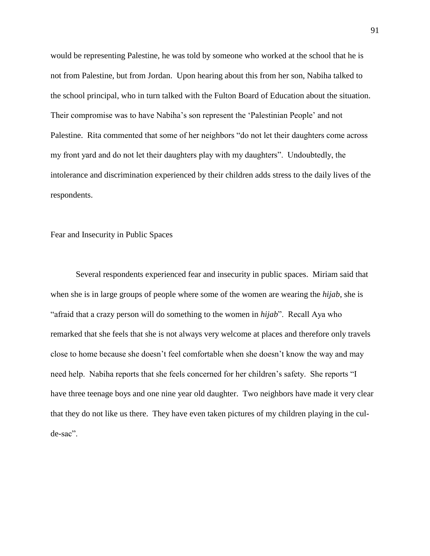would be representing Palestine, he was told by someone who worked at the school that he is not from Palestine, but from Jordan. Upon hearing about this from her son, Nabiha talked to the school principal, who in turn talked with the Fulton Board of Education about the situation. Their compromise was to have Nabiha"s son represent the "Palestinian People" and not Palestine. Rita commented that some of her neighbors "do not let their daughters come across my front yard and do not let their daughters play with my daughters". Undoubtedly, the intolerance and discrimination experienced by their children adds stress to the daily lives of the respondents.

Fear and Insecurity in Public Spaces

Several respondents experienced fear and insecurity in public spaces. Miriam said that when she is in large groups of people where some of the women are wearing the *hijab*, she is "afraid that a crazy person will do something to the women in *hijab*". Recall Aya who remarked that she feels that she is not always very welcome at places and therefore only travels close to home because she doesn"t feel comfortable when she doesn"t know the way and may need help. Nabiha reports that she feels concerned for her children"s safety. She reports "I have three teenage boys and one nine year old daughter. Two neighbors have made it very clear that they do not like us there. They have even taken pictures of my children playing in the culde-sac".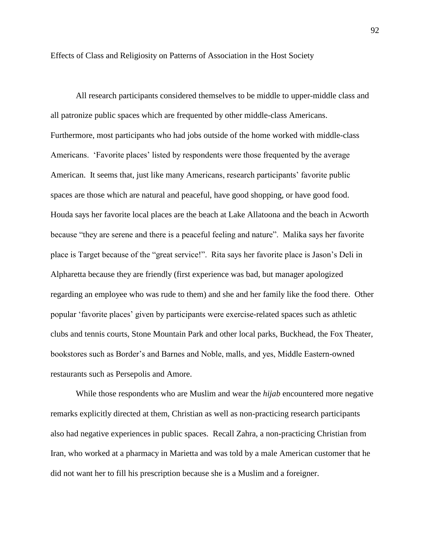Effects of Class and Religiosity on Patterns of Association in the Host Society

All research participants considered themselves to be middle to upper-middle class and all patronize public spaces which are frequented by other middle-class Americans. Furthermore, most participants who had jobs outside of the home worked with middle-class Americans. "Favorite places" listed by respondents were those frequented by the average American. It seems that, just like many Americans, research participants' favorite public spaces are those which are natural and peaceful, have good shopping, or have good food. Houda says her favorite local places are the beach at Lake Allatoona and the beach in Acworth because "they are serene and there is a peaceful feeling and nature". Malika says her favorite place is Target because of the "great service!". Rita says her favorite place is Jason"s Deli in Alpharetta because they are friendly (first experience was bad, but manager apologized regarding an employee who was rude to them) and she and her family like the food there. Other popular "favorite places" given by participants were exercise-related spaces such as athletic clubs and tennis courts, Stone Mountain Park and other local parks, Buckhead, the Fox Theater, bookstores such as Border"s and Barnes and Noble, malls, and yes, Middle Eastern-owned restaurants such as Persepolis and Amore.

While those respondents who are Muslim and wear the *hijab* encountered more negative remarks explicitly directed at them, Christian as well as non-practicing research participants also had negative experiences in public spaces. Recall Zahra, a non-practicing Christian from Iran, who worked at a pharmacy in Marietta and was told by a male American customer that he did not want her to fill his prescription because she is a Muslim and a foreigner.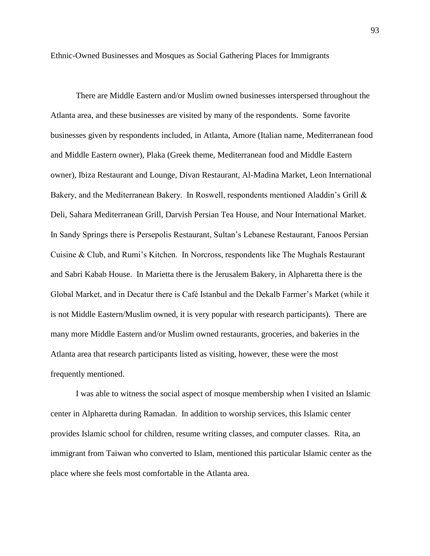Ethnic-Owned Businesses and Mosques as Social Gathering Places for Immigrants

There are Middle Eastern and/or Muslim owned businesses interspersed throughout the Atlanta area, and these businesses are visited by many of the respondents. Some favorite businesses given by respondents included, in Atlanta, Amore (Italian name, Mediterranean food and Middle Eastern owner), Plaka (Greek theme, Mediterranean food and Middle Eastern owner), Ibiza Restaurant and Lounge, Divan Restaurant, Al-Madina Market, Leon International Bakery, and the Mediterranean Bakery. In Roswell, respondents mentioned Aladdin's Grill & Deli, Sahara Mediterranean Grill, Darvish Persian Tea House, and Nour International Market. In Sandy Springs there is Persepolis Restaurant, Sultan"s Lebanese Restaurant, Fanoos Persian Cuisine & Club, and Rumi"s Kitchen. In Norcross, respondents like The Mughals Restaurant and Sabri Kabab House. In Marietta there is the Jerusalem Bakery, in Alpharetta there is the Global Market, and in Decatur there is Café Istanbul and the Dekalb Farmer"s Market (while it is not Middle Eastern/Muslim owned, it is very popular with research participants). There are many more Middle Eastern and/or Muslim owned restaurants, groceries, and bakeries in the Atlanta area that research participants listed as visiting, however, these were the most frequently mentioned.

I was able to witness the social aspect of mosque membership when I visited an Islamic center in Alpharetta during Ramadan. In addition to worship services, this Islamic center provides Islamic school for children, resume writing classes, and computer classes. Rita, an immigrant from Taiwan who converted to Islam, mentioned this particular Islamic center as the place where she feels most comfortable in the Atlanta area.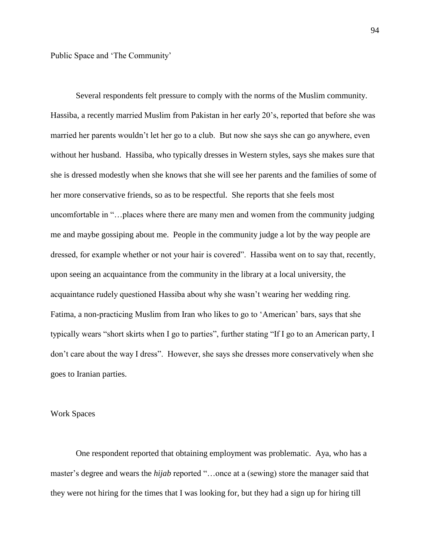Public Space and "The Community"

Several respondents felt pressure to comply with the norms of the Muslim community. Hassiba, a recently married Muslim from Pakistan in her early 20"s, reported that before she was married her parents wouldn"t let her go to a club. But now she says she can go anywhere, even without her husband. Hassiba, who typically dresses in Western styles, says she makes sure that she is dressed modestly when she knows that she will see her parents and the families of some of her more conservative friends, so as to be respectful. She reports that she feels most uncomfortable in "…places where there are many men and women from the community judging me and maybe gossiping about me. People in the community judge a lot by the way people are dressed, for example whether or not your hair is covered". Hassiba went on to say that, recently, upon seeing an acquaintance from the community in the library at a local university, the acquaintance rudely questioned Hassiba about why she wasn"t wearing her wedding ring. Fatima, a non-practicing Muslim from Iran who likes to go to "American" bars, says that she typically wears "short skirts when I go to parties", further stating "If I go to an American party, I don"t care about the way I dress". However, she says she dresses more conservatively when she goes to Iranian parties.

## Work Spaces

One respondent reported that obtaining employment was problematic. Aya, who has a master's degree and wears the *hijab* reported "...once at a (sewing) store the manager said that they were not hiring for the times that I was looking for, but they had a sign up for hiring till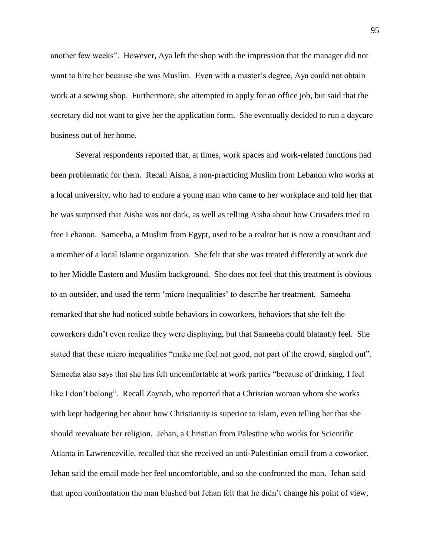another few weeks". However, Aya left the shop with the impression that the manager did not want to hire her because she was Muslim. Even with a master"s degree, Aya could not obtain work at a sewing shop. Furthermore, she attempted to apply for an office job, but said that the secretary did not want to give her the application form. She eventually decided to run a daycare business out of her home.

Several respondents reported that, at times, work spaces and work-related functions had been problematic for them. Recall Aisha, a non-practicing Muslim from Lebanon who works at a local university, who had to endure a young man who came to her workplace and told her that he was surprised that Aisha was not dark, as well as telling Aisha about how Crusaders tried to free Lebanon. Sameeha, a Muslim from Egypt, used to be a realtor but is now a consultant and a member of a local Islamic organization. She felt that she was treated differently at work due to her Middle Eastern and Muslim background. She does not feel that this treatment is obvious to an outsider, and used the term "micro inequalities" to describe her treatment. Sameeha remarked that she had noticed subtle behaviors in coworkers, behaviors that she felt the coworkers didn"t even realize they were displaying, but that Sameeha could blatantly feel. She stated that these micro inequalities "make me feel not good, not part of the crowd, singled out". Sameeha also says that she has felt uncomfortable at work parties "because of drinking, I feel like I don't belong". Recall Zaynab, who reported that a Christian woman whom she works with kept badgering her about how Christianity is superior to Islam, even telling her that she should reevaluate her religion. Jehan, a Christian from Palestine who works for Scientific Atlanta in Lawrenceville, recalled that she received an anti-Palestinian email from a coworker. Jehan said the email made her feel uncomfortable, and so she confronted the man. Jehan said that upon confrontation the man blushed but Jehan felt that he didn"t change his point of view,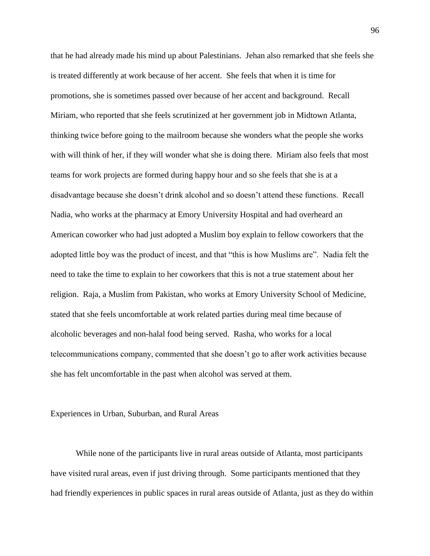that he had already made his mind up about Palestinians. Jehan also remarked that she feels she is treated differently at work because of her accent. She feels that when it is time for promotions, she is sometimes passed over because of her accent and background. Recall Miriam, who reported that she feels scrutinized at her government job in Midtown Atlanta, thinking twice before going to the mailroom because she wonders what the people she works with will think of her, if they will wonder what she is doing there. Miriam also feels that most teams for work projects are formed during happy hour and so she feels that she is at a disadvantage because she doesn"t drink alcohol and so doesn"t attend these functions. Recall Nadia, who works at the pharmacy at Emory University Hospital and had overheard an American coworker who had just adopted a Muslim boy explain to fellow coworkers that the adopted little boy was the product of incest, and that "this is how Muslims are". Nadia felt the need to take the time to explain to her coworkers that this is not a true statement about her religion. Raja, a Muslim from Pakistan, who works at Emory University School of Medicine, stated that she feels uncomfortable at work related parties during meal time because of alcoholic beverages and non-halal food being served. Rasha, who works for a local telecommunications company, commented that she doesn"t go to after work activities because she has felt uncomfortable in the past when alcohol was served at them.

## Experiences in Urban, Suburban, and Rural Areas

While none of the participants live in rural areas outside of Atlanta, most participants have visited rural areas, even if just driving through. Some participants mentioned that they had friendly experiences in public spaces in rural areas outside of Atlanta, just as they do within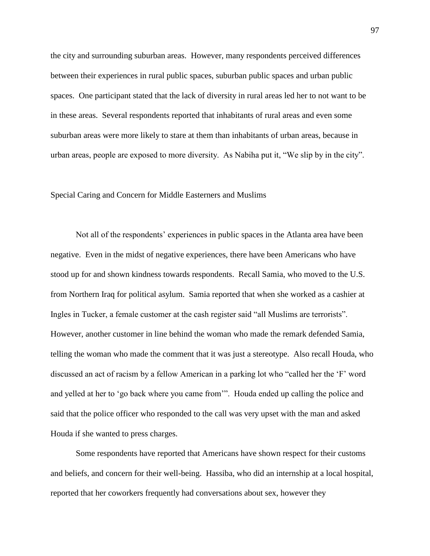the city and surrounding suburban areas. However, many respondents perceived differences between their experiences in rural public spaces, suburban public spaces and urban public spaces. One participant stated that the lack of diversity in rural areas led her to not want to be in these areas. Several respondents reported that inhabitants of rural areas and even some suburban areas were more likely to stare at them than inhabitants of urban areas, because in urban areas, people are exposed to more diversity. As Nabiha put it, "We slip by in the city".

### Special Caring and Concern for Middle Easterners and Muslims

Not all of the respondents" experiences in public spaces in the Atlanta area have been negative. Even in the midst of negative experiences, there have been Americans who have stood up for and shown kindness towards respondents. Recall Samia, who moved to the U.S. from Northern Iraq for political asylum. Samia reported that when she worked as a cashier at Ingles in Tucker, a female customer at the cash register said "all Muslims are terrorists". However, another customer in line behind the woman who made the remark defended Samia, telling the woman who made the comment that it was just a stereotype. Also recall Houda, who discussed an act of racism by a fellow American in a parking lot who "called her the "F" word and yelled at her to "go back where you came from"". Houda ended up calling the police and said that the police officer who responded to the call was very upset with the man and asked Houda if she wanted to press charges.

Some respondents have reported that Americans have shown respect for their customs and beliefs, and concern for their well-being. Hassiba, who did an internship at a local hospital, reported that her coworkers frequently had conversations about sex, however they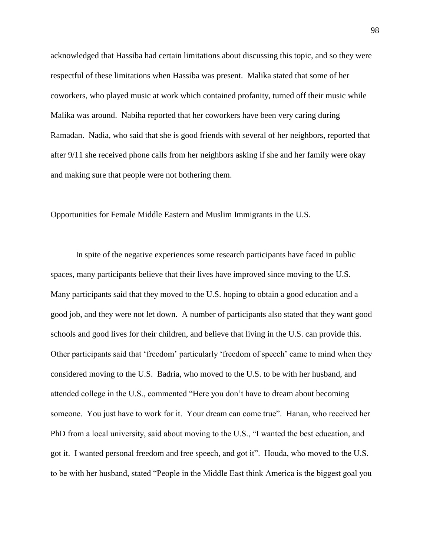acknowledged that Hassiba had certain limitations about discussing this topic, and so they were respectful of these limitations when Hassiba was present. Malika stated that some of her coworkers, who played music at work which contained profanity, turned off their music while Malika was around. Nabiha reported that her coworkers have been very caring during Ramadan. Nadia, who said that she is good friends with several of her neighbors, reported that after 9/11 she received phone calls from her neighbors asking if she and her family were okay and making sure that people were not bothering them.

Opportunities for Female Middle Eastern and Muslim Immigrants in the U.S.

In spite of the negative experiences some research participants have faced in public spaces, many participants believe that their lives have improved since moving to the U.S. Many participants said that they moved to the U.S. hoping to obtain a good education and a good job, and they were not let down. A number of participants also stated that they want good schools and good lives for their children, and believe that living in the U.S. can provide this. Other participants said that "freedom" particularly "freedom of speech" came to mind when they considered moving to the U.S. Badria, who moved to the U.S. to be with her husband, and attended college in the U.S., commented "Here you don"t have to dream about becoming someone. You just have to work for it. Your dream can come true". Hanan, who received her PhD from a local university, said about moving to the U.S., "I wanted the best education, and got it. I wanted personal freedom and free speech, and got it". Houda, who moved to the U.S. to be with her husband, stated "People in the Middle East think America is the biggest goal you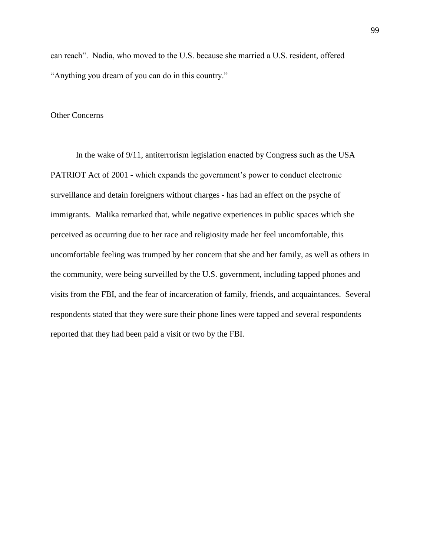can reach". Nadia, who moved to the U.S. because she married a U.S. resident, offered "Anything you dream of you can do in this country."

### Other Concerns

In the wake of 9/11, antiterrorism legislation enacted by Congress such as the USA PATRIOT Act of 2001 - which expands the government's power to conduct electronic surveillance and detain foreigners without charges - has had an effect on the psyche of immigrants. Malika remarked that, while negative experiences in public spaces which she perceived as occurring due to her race and religiosity made her feel uncomfortable, this uncomfortable feeling was trumped by her concern that she and her family, as well as others in the community, were being surveilled by the U.S. government, including tapped phones and visits from the FBI, and the fear of incarceration of family, friends, and acquaintances. Several respondents stated that they were sure their phone lines were tapped and several respondents reported that they had been paid a visit or two by the FBI.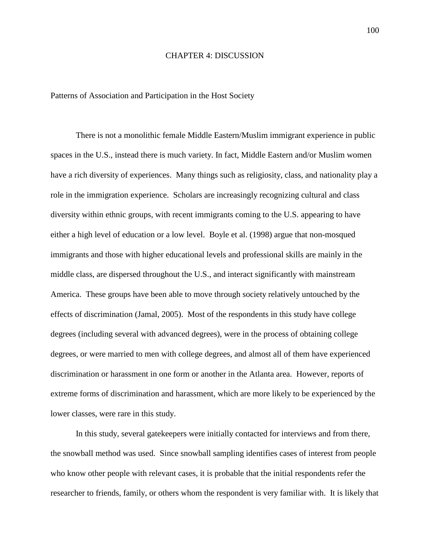#### CHAPTER 4: DISCUSSION

Patterns of Association and Participation in the Host Society

There is not a monolithic female Middle Eastern/Muslim immigrant experience in public spaces in the U.S., instead there is much variety. In fact, Middle Eastern and/or Muslim women have a rich diversity of experiences. Many things such as religiosity, class, and nationality play a role in the immigration experience. Scholars are increasingly recognizing cultural and class diversity within ethnic groups, with recent immigrants coming to the U.S. appearing to have either a high level of education or a low level. Boyle et al. (1998) argue that non-mosqued immigrants and those with higher educational levels and professional skills are mainly in the middle class, are dispersed throughout the U.S., and interact significantly with mainstream America. These groups have been able to move through society relatively untouched by the effects of discrimination (Jamal, 2005). Most of the respondents in this study have college degrees (including several with advanced degrees), were in the process of obtaining college degrees, or were married to men with college degrees, and almost all of them have experienced discrimination or harassment in one form or another in the Atlanta area. However, reports of extreme forms of discrimination and harassment, which are more likely to be experienced by the lower classes, were rare in this study.

In this study, several gatekeepers were initially contacted for interviews and from there, the snowball method was used. Since snowball sampling identifies cases of interest from people who know other people with relevant cases, it is probable that the initial respondents refer the researcher to friends, family, or others whom the respondent is very familiar with. It is likely that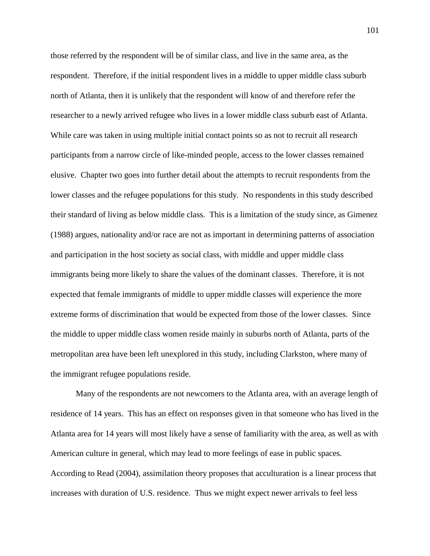those referred by the respondent will be of similar class, and live in the same area, as the respondent. Therefore, if the initial respondent lives in a middle to upper middle class suburb north of Atlanta, then it is unlikely that the respondent will know of and therefore refer the researcher to a newly arrived refugee who lives in a lower middle class suburb east of Atlanta. While care was taken in using multiple initial contact points so as not to recruit all research participants from a narrow circle of like-minded people, access to the lower classes remained elusive. Chapter two goes into further detail about the attempts to recruit respondents from the lower classes and the refugee populations for this study. No respondents in this study described their standard of living as below middle class. This is a limitation of the study since, as Gimenez (1988) argues, nationality and/or race are not as important in determining patterns of association and participation in the host society as social class, with middle and upper middle class immigrants being more likely to share the values of the dominant classes. Therefore, it is not expected that female immigrants of middle to upper middle classes will experience the more extreme forms of discrimination that would be expected from those of the lower classes. Since the middle to upper middle class women reside mainly in suburbs north of Atlanta, parts of the metropolitan area have been left unexplored in this study, including Clarkston, where many of the immigrant refugee populations reside.

Many of the respondents are not newcomers to the Atlanta area, with an average length of residence of 14 years. This has an effect on responses given in that someone who has lived in the Atlanta area for 14 years will most likely have a sense of familiarity with the area, as well as with American culture in general, which may lead to more feelings of ease in public spaces. According to Read (2004), assimilation theory proposes that acculturation is a linear process that increases with duration of U.S. residence. Thus we might expect newer arrivals to feel less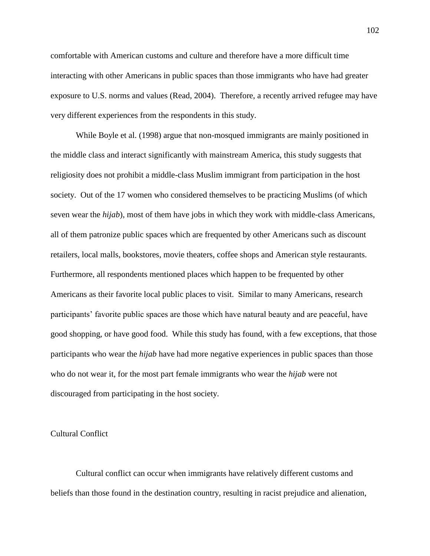comfortable with American customs and culture and therefore have a more difficult time interacting with other Americans in public spaces than those immigrants who have had greater exposure to U.S. norms and values (Read, 2004). Therefore, a recently arrived refugee may have very different experiences from the respondents in this study.

While Boyle et al. (1998) argue that non-mosqued immigrants are mainly positioned in the middle class and interact significantly with mainstream America, this study suggests that religiosity does not prohibit a middle-class Muslim immigrant from participation in the host society. Out of the 17 women who considered themselves to be practicing Muslims (of which seven wear the *hijab*), most of them have jobs in which they work with middle-class Americans, all of them patronize public spaces which are frequented by other Americans such as discount retailers, local malls, bookstores, movie theaters, coffee shops and American style restaurants. Furthermore, all respondents mentioned places which happen to be frequented by other Americans as their favorite local public places to visit. Similar to many Americans, research participants' favorite public spaces are those which have natural beauty and are peaceful, have good shopping, or have good food. While this study has found, with a few exceptions, that those participants who wear the *hijab* have had more negative experiences in public spaces than those who do not wear it, for the most part female immigrants who wear the *hijab* were not discouraged from participating in the host society.

# Cultural Conflict

Cultural conflict can occur when immigrants have relatively different customs and beliefs than those found in the destination country, resulting in racist prejudice and alienation,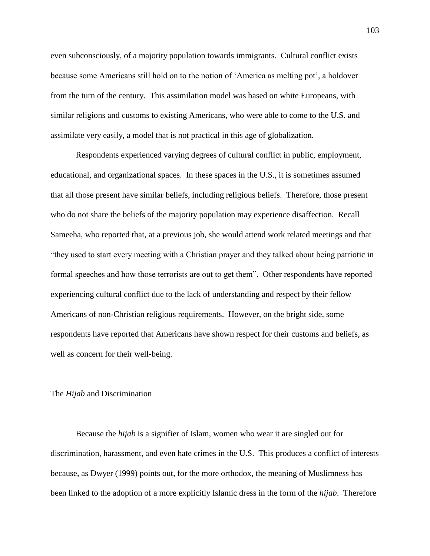even subconsciously, of a majority population towards immigrants. Cultural conflict exists because some Americans still hold on to the notion of "America as melting pot", a holdover from the turn of the century. This assimilation model was based on white Europeans, with similar religions and customs to existing Americans, who were able to come to the U.S. and assimilate very easily, a model that is not practical in this age of globalization.

Respondents experienced varying degrees of cultural conflict in public, employment, educational, and organizational spaces. In these spaces in the U.S., it is sometimes assumed that all those present have similar beliefs, including religious beliefs. Therefore, those present who do not share the beliefs of the majority population may experience disaffection. Recall Sameeha, who reported that, at a previous job, she would attend work related meetings and that "they used to start every meeting with a Christian prayer and they talked about being patriotic in formal speeches and how those terrorists are out to get them". Other respondents have reported experiencing cultural conflict due to the lack of understanding and respect by their fellow Americans of non-Christian religious requirements. However, on the bright side, some respondents have reported that Americans have shown respect for their customs and beliefs, as well as concern for their well-being.

# The *Hijab* and Discrimination

Because the *hijab* is a signifier of Islam, women who wear it are singled out for discrimination, harassment, and even hate crimes in the U.S. This produces a conflict of interests because, as Dwyer (1999) points out, for the more orthodox, the meaning of Muslimness has been linked to the adoption of a more explicitly Islamic dress in the form of the *hijab*. Therefore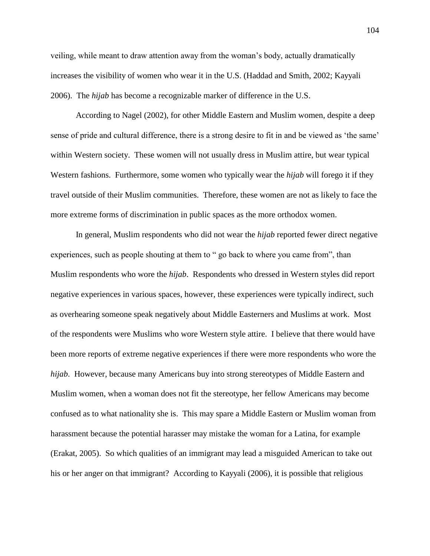veiling, while meant to draw attention away from the woman"s body, actually dramatically increases the visibility of women who wear it in the U.S. (Haddad and Smith, 2002; Kayyali 2006). The *hijab* has become a recognizable marker of difference in the U.S.

According to Nagel (2002), for other Middle Eastern and Muslim women, despite a deep sense of pride and cultural difference, there is a strong desire to fit in and be viewed as 'the same' within Western society. These women will not usually dress in Muslim attire, but wear typical Western fashions. Furthermore, some women who typically wear the *hijab* will forego it if they travel outside of their Muslim communities. Therefore, these women are not as likely to face the more extreme forms of discrimination in public spaces as the more orthodox women.

In general, Muslim respondents who did not wear the *hijab* reported fewer direct negative experiences, such as people shouting at them to " go back to where you came from", than Muslim respondents who wore the *hijab*. Respondents who dressed in Western styles did report negative experiences in various spaces, however, these experiences were typically indirect, such as overhearing someone speak negatively about Middle Easterners and Muslims at work. Most of the respondents were Muslims who wore Western style attire. I believe that there would have been more reports of extreme negative experiences if there were more respondents who wore the *hijab*. However, because many Americans buy into strong stereotypes of Middle Eastern and Muslim women, when a woman does not fit the stereotype, her fellow Americans may become confused as to what nationality she is. This may spare a Middle Eastern or Muslim woman from harassment because the potential harasser may mistake the woman for a Latina, for example (Erakat, 2005). So which qualities of an immigrant may lead a misguided American to take out his or her anger on that immigrant? According to Kayyali (2006), it is possible that religious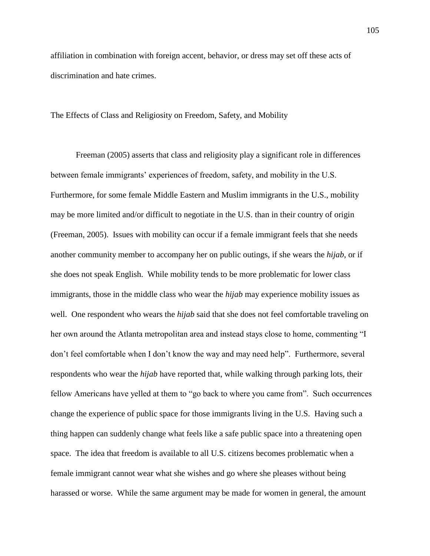affiliation in combination with foreign accent, behavior, or dress may set off these acts of discrimination and hate crimes.

The Effects of Class and Religiosity on Freedom, Safety, and Mobility

Freeman (2005) asserts that class and religiosity play a significant role in differences between female immigrants' experiences of freedom, safety, and mobility in the U.S. Furthermore, for some female Middle Eastern and Muslim immigrants in the U.S., mobility may be more limited and/or difficult to negotiate in the U.S. than in their country of origin (Freeman, 2005). Issues with mobility can occur if a female immigrant feels that she needs another community member to accompany her on public outings, if she wears the *hijab*, or if she does not speak English. While mobility tends to be more problematic for lower class immigrants, those in the middle class who wear the *hijab* may experience mobility issues as well. One respondent who wears the *hijab* said that she does not feel comfortable traveling on her own around the Atlanta metropolitan area and instead stays close to home, commenting "I don"t feel comfortable when I don"t know the way and may need help". Furthermore, several respondents who wear the *hijab* have reported that, while walking through parking lots, their fellow Americans have yelled at them to "go back to where you came from". Such occurrences change the experience of public space for those immigrants living in the U.S. Having such a thing happen can suddenly change what feels like a safe public space into a threatening open space. The idea that freedom is available to all U.S. citizens becomes problematic when a female immigrant cannot wear what she wishes and go where she pleases without being harassed or worse. While the same argument may be made for women in general, the amount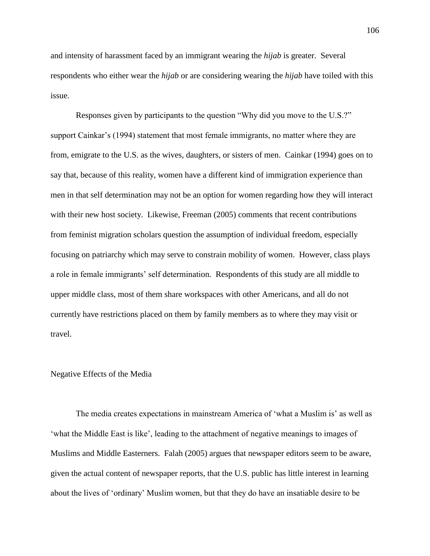and intensity of harassment faced by an immigrant wearing the *hijab* is greater. Several respondents who either wear the *hijab* or are considering wearing the *hijab* have toiled with this issue.

Responses given by participants to the question "Why did you move to the U.S.?" support Cainkar's (1994) statement that most female immigrants, no matter where they are from, emigrate to the U.S. as the wives, daughters, or sisters of men. Cainkar (1994) goes on to say that, because of this reality, women have a different kind of immigration experience than men in that self determination may not be an option for women regarding how they will interact with their new host society. Likewise, Freeman (2005) comments that recent contributions from feminist migration scholars question the assumption of individual freedom, especially focusing on patriarchy which may serve to constrain mobility of women. However, class plays a role in female immigrants" self determination. Respondents of this study are all middle to upper middle class, most of them share workspaces with other Americans, and all do not currently have restrictions placed on them by family members as to where they may visit or travel.

### Negative Effects of the Media

The media creates expectations in mainstream America of "what a Muslim is" as well as 'what the Middle East is like', leading to the attachment of negative meanings to images of Muslims and Middle Easterners. Falah (2005) argues that newspaper editors seem to be aware, given the actual content of newspaper reports, that the U.S. public has little interest in learning about the lives of "ordinary" Muslim women, but that they do have an insatiable desire to be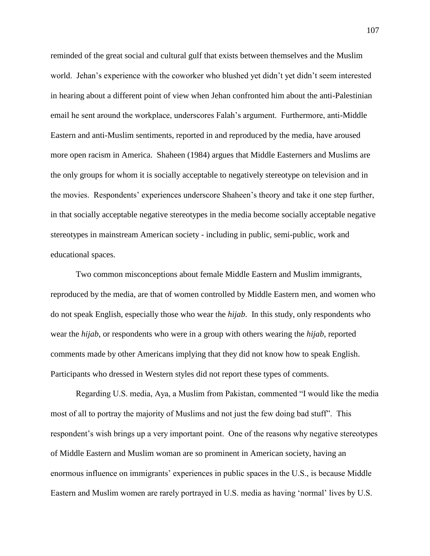reminded of the great social and cultural gulf that exists between themselves and the Muslim world. Jehan's experience with the coworker who blushed yet didn't yet didn't seem interested in hearing about a different point of view when Jehan confronted him about the anti-Palestinian email he sent around the workplace, underscores Falah"s argument. Furthermore, anti-Middle Eastern and anti-Muslim sentiments, reported in and reproduced by the media, have aroused more open racism in America. Shaheen (1984) argues that Middle Easterners and Muslims are the only groups for whom it is socially acceptable to negatively stereotype on television and in the movies. Respondents" experiences underscore Shaheen"s theory and take it one step further, in that socially acceptable negative stereotypes in the media become socially acceptable negative stereotypes in mainstream American society - including in public, semi-public, work and educational spaces.

Two common misconceptions about female Middle Eastern and Muslim immigrants, reproduced by the media, are that of women controlled by Middle Eastern men, and women who do not speak English, especially those who wear the *hijab*. In this study, only respondents who wear the *hijab*, or respondents who were in a group with others wearing the *hijab*, reported comments made by other Americans implying that they did not know how to speak English. Participants who dressed in Western styles did not report these types of comments.

Regarding U.S. media, Aya, a Muslim from Pakistan, commented "I would like the media most of all to portray the majority of Muslims and not just the few doing bad stuff". This respondent's wish brings up a very important point. One of the reasons why negative stereotypes of Middle Eastern and Muslim woman are so prominent in American society, having an enormous influence on immigrants' experiences in public spaces in the U.S., is because Middle Eastern and Muslim women are rarely portrayed in U.S. media as having "normal" lives by U.S.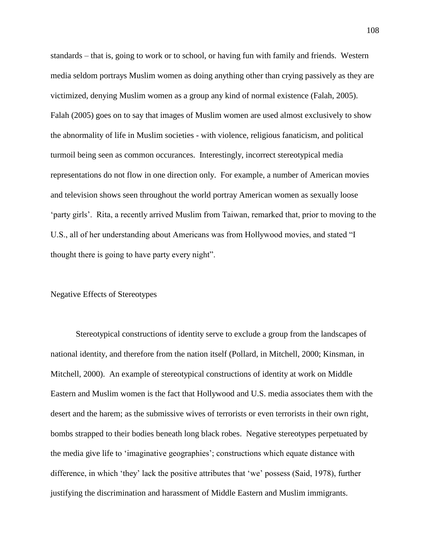standards – that is, going to work or to school, or having fun with family and friends. Western media seldom portrays Muslim women as doing anything other than crying passively as they are victimized, denying Muslim women as a group any kind of normal existence (Falah, 2005). Falah (2005) goes on to say that images of Muslim women are used almost exclusively to show the abnormality of life in Muslim societies - with violence, religious fanaticism, and political turmoil being seen as common occurances. Interestingly, incorrect stereotypical media representations do not flow in one direction only. For example, a number of American movies and television shows seen throughout the world portray American women as sexually loose "party girls". Rita, a recently arrived Muslim from Taiwan, remarked that, prior to moving to the U.S., all of her understanding about Americans was from Hollywood movies, and stated "I thought there is going to have party every night".

# Negative Effects of Stereotypes

Stereotypical constructions of identity serve to exclude a group from the landscapes of national identity, and therefore from the nation itself (Pollard, in Mitchell, 2000; Kinsman, in Mitchell, 2000). An example of stereotypical constructions of identity at work on Middle Eastern and Muslim women is the fact that Hollywood and U.S. media associates them with the desert and the harem; as the submissive wives of terrorists or even terrorists in their own right, bombs strapped to their bodies beneath long black robes. Negative stereotypes perpetuated by the media give life to "imaginative geographies"; constructions which equate distance with difference, in which "they" lack the positive attributes that "we" possess (Said, 1978), further justifying the discrimination and harassment of Middle Eastern and Muslim immigrants.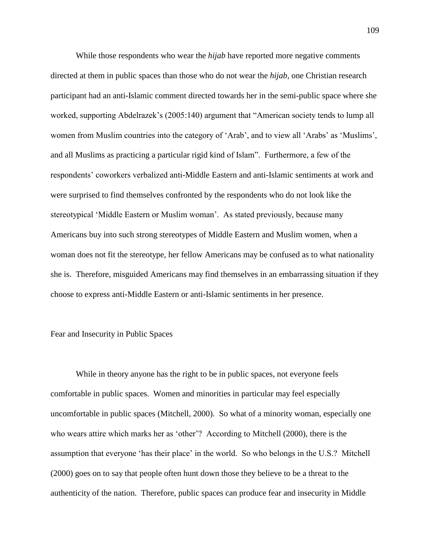While those respondents who wear the *hijab* have reported more negative comments directed at them in public spaces than those who do not wear the *hijab*, one Christian research participant had an anti-Islamic comment directed towards her in the semi-public space where she worked, supporting Abdelrazek's (2005:140) argument that "American society tends to lump all women from Muslim countries into the category of 'Arab', and to view all 'Arabs' as 'Muslims', and all Muslims as practicing a particular rigid kind of Islam". Furthermore, a few of the respondents' coworkers verbalized anti-Middle Eastern and anti-Islamic sentiments at work and were surprised to find themselves confronted by the respondents who do not look like the stereotypical "Middle Eastern or Muslim woman". As stated previously, because many Americans buy into such strong stereotypes of Middle Eastern and Muslim women, when a woman does not fit the stereotype, her fellow Americans may be confused as to what nationality she is. Therefore, misguided Americans may find themselves in an embarrassing situation if they choose to express anti-Middle Eastern or anti-Islamic sentiments in her presence.

### Fear and Insecurity in Public Spaces

While in theory anyone has the right to be in public spaces, not everyone feels comfortable in public spaces. Women and minorities in particular may feel especially uncomfortable in public spaces (Mitchell, 2000). So what of a minority woman, especially one who wears attire which marks her as 'other'? According to Mitchell (2000), there is the assumption that everyone "has their place" in the world. So who belongs in the U.S.? Mitchell (2000) goes on to say that people often hunt down those they believe to be a threat to the authenticity of the nation. Therefore, public spaces can produce fear and insecurity in Middle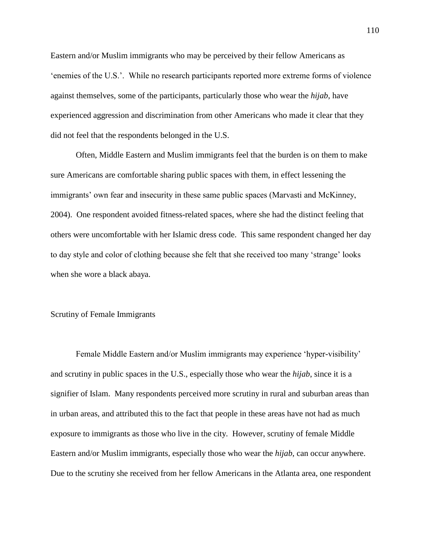Eastern and/or Muslim immigrants who may be perceived by their fellow Americans as "enemies of the U.S.". While no research participants reported more extreme forms of violence against themselves, some of the participants, particularly those who wear the *hijab*, have experienced aggression and discrimination from other Americans who made it clear that they did not feel that the respondents belonged in the U.S.

Often, Middle Eastern and Muslim immigrants feel that the burden is on them to make sure Americans are comfortable sharing public spaces with them, in effect lessening the immigrants' own fear and insecurity in these same public spaces (Marvasti and McKinney, 2004). One respondent avoided fitness-related spaces, where she had the distinct feeling that others were uncomfortable with her Islamic dress code. This same respondent changed her day to day style and color of clothing because she felt that she received too many "strange" looks when she wore a black abaya.

# Scrutiny of Female Immigrants

Female Middle Eastern and/or Muslim immigrants may experience "hyper-visibility" and scrutiny in public spaces in the U.S., especially those who wear the *hijab*, since it is a signifier of Islam. Many respondents perceived more scrutiny in rural and suburban areas than in urban areas, and attributed this to the fact that people in these areas have not had as much exposure to immigrants as those who live in the city. However, scrutiny of female Middle Eastern and/or Muslim immigrants, especially those who wear the *hijab*, can occur anywhere. Due to the scrutiny she received from her fellow Americans in the Atlanta area, one respondent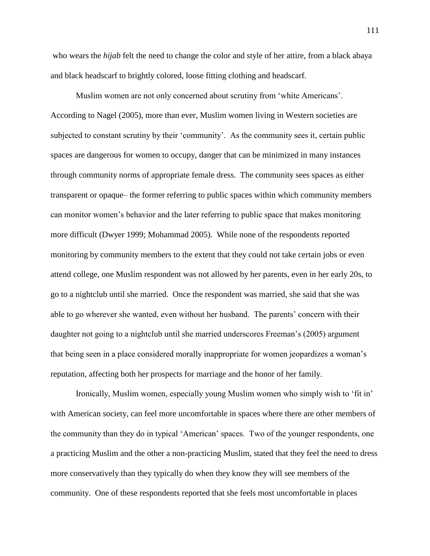who wears the *hijab* felt the need to change the color and style of her attire, from a black abaya and black headscarf to brightly colored, loose fitting clothing and headscarf.

Muslim women are not only concerned about scrutiny from "white Americans". According to Nagel (2005), more than ever, Muslim women living in Western societies are subjected to constant scrutiny by their 'community'. As the community sees it, certain public spaces are dangerous for women to occupy, danger that can be minimized in many instances through community norms of appropriate female dress. The community sees spaces as either transparent or opaque– the former referring to public spaces within which community members can monitor women"s behavior and the later referring to public space that makes monitoring more difficult (Dwyer 1999; Mohammad 2005). While none of the respondents reported monitoring by community members to the extent that they could not take certain jobs or even attend college, one Muslim respondent was not allowed by her parents, even in her early 20s, to go to a nightclub until she married. Once the respondent was married, she said that she was able to go wherever she wanted, even without her husband. The parents" concern with their daughter not going to a nightclub until she married underscores Freeman"s (2005) argument that being seen in a place considered morally inappropriate for women jeopardizes a woman"s reputation, affecting both her prospects for marriage and the honor of her family.

Ironically, Muslim women, especially young Muslim women who simply wish to "fit in" with American society, can feel more uncomfortable in spaces where there are other members of the community than they do in typical "American" spaces. Two of the younger respondents, one a practicing Muslim and the other a non-practicing Muslim, stated that they feel the need to dress more conservatively than they typically do when they know they will see members of the community. One of these respondents reported that she feels most uncomfortable in places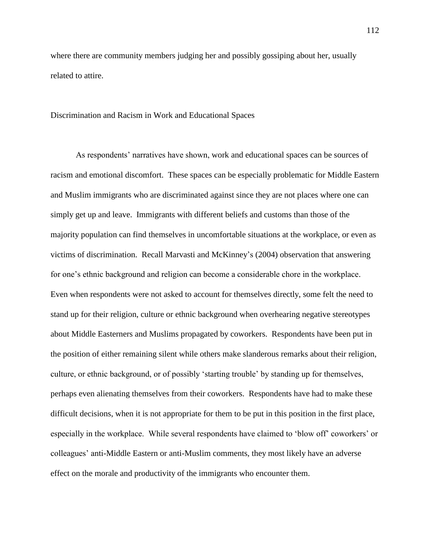where there are community members judging her and possibly gossiping about her, usually related to attire.

### Discrimination and Racism in Work and Educational Spaces

As respondents' narratives have shown, work and educational spaces can be sources of racism and emotional discomfort. These spaces can be especially problematic for Middle Eastern and Muslim immigrants who are discriminated against since they are not places where one can simply get up and leave. Immigrants with different beliefs and customs than those of the majority population can find themselves in uncomfortable situations at the workplace, or even as victims of discrimination. Recall Marvasti and McKinney"s (2004) observation that answering for one's ethnic background and religion can become a considerable chore in the workplace. Even when respondents were not asked to account for themselves directly, some felt the need to stand up for their religion, culture or ethnic background when overhearing negative stereotypes about Middle Easterners and Muslims propagated by coworkers. Respondents have been put in the position of either remaining silent while others make slanderous remarks about their religion, culture, or ethnic background, or of possibly "starting trouble" by standing up for themselves, perhaps even alienating themselves from their coworkers. Respondents have had to make these difficult decisions, when it is not appropriate for them to be put in this position in the first place, especially in the workplace. While several respondents have claimed to 'blow off' coworkers' or colleagues" anti-Middle Eastern or anti-Muslim comments, they most likely have an adverse effect on the morale and productivity of the immigrants who encounter them.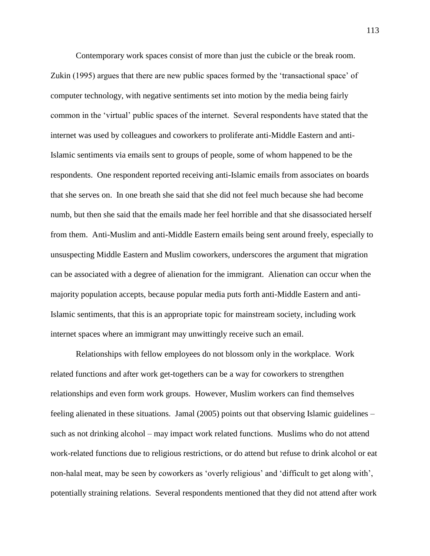Contemporary work spaces consist of more than just the cubicle or the break room. Zukin (1995) argues that there are new public spaces formed by the "transactional space" of computer technology, with negative sentiments set into motion by the media being fairly common in the "virtual" public spaces of the internet. Several respondents have stated that the internet was used by colleagues and coworkers to proliferate anti-Middle Eastern and anti-Islamic sentiments via emails sent to groups of people, some of whom happened to be the respondents. One respondent reported receiving anti-Islamic emails from associates on boards that she serves on. In one breath she said that she did not feel much because she had become numb, but then she said that the emails made her feel horrible and that she disassociated herself from them. Anti-Muslim and anti-Middle Eastern emails being sent around freely, especially to unsuspecting Middle Eastern and Muslim coworkers, underscores the argument that migration can be associated with a degree of alienation for the immigrant. Alienation can occur when the majority population accepts, because popular media puts forth anti-Middle Eastern and anti-Islamic sentiments, that this is an appropriate topic for mainstream society, including work internet spaces where an immigrant may unwittingly receive such an email.

Relationships with fellow employees do not blossom only in the workplace. Work related functions and after work get-togethers can be a way for coworkers to strengthen relationships and even form work groups. However, Muslim workers can find themselves feeling alienated in these situations. Jamal (2005) points out that observing Islamic guidelines – such as not drinking alcohol – may impact work related functions. Muslims who do not attend work-related functions due to religious restrictions, or do attend but refuse to drink alcohol or eat non-halal meat, may be seen by coworkers as 'overly religious' and 'difficult to get along with', potentially straining relations. Several respondents mentioned that they did not attend after work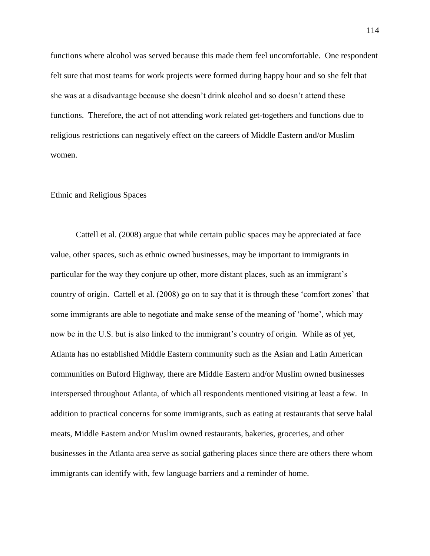functions where alcohol was served because this made them feel uncomfortable. One respondent felt sure that most teams for work projects were formed during happy hour and so she felt that she was at a disadvantage because she doesn"t drink alcohol and so doesn"t attend these functions. Therefore, the act of not attending work related get-togethers and functions due to religious restrictions can negatively effect on the careers of Middle Eastern and/or Muslim women.

### Ethnic and Religious Spaces

Cattell et al. (2008) argue that while certain public spaces may be appreciated at face value, other spaces, such as ethnic owned businesses, may be important to immigrants in particular for the way they conjure up other, more distant places, such as an immigrant's country of origin. Cattell et al. (2008) go on to say that it is through these "comfort zones" that some immigrants are able to negotiate and make sense of the meaning of "home", which may now be in the U.S. but is also linked to the immigrant's country of origin. While as of yet, Atlanta has no established Middle Eastern community such as the Asian and Latin American communities on Buford Highway, there are Middle Eastern and/or Muslim owned businesses interspersed throughout Atlanta, of which all respondents mentioned visiting at least a few. In addition to practical concerns for some immigrants, such as eating at restaurants that serve halal meats, Middle Eastern and/or Muslim owned restaurants, bakeries, groceries, and other businesses in the Atlanta area serve as social gathering places since there are others there whom immigrants can identify with, few language barriers and a reminder of home.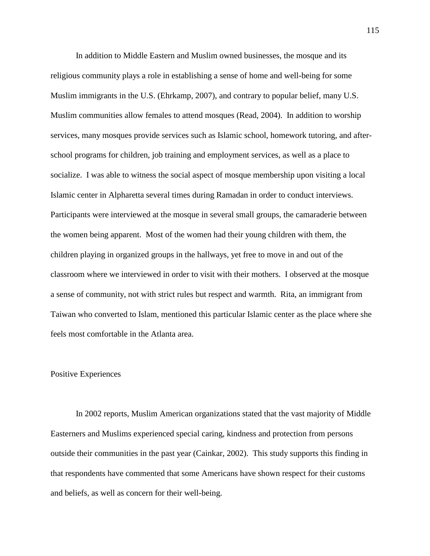In addition to Middle Eastern and Muslim owned businesses, the mosque and its religious community plays a role in establishing a sense of home and well-being for some Muslim immigrants in the U.S. (Ehrkamp, 2007), and contrary to popular belief, many U.S. Muslim communities allow females to attend mosques (Read, 2004). In addition to worship services, many mosques provide services such as Islamic school, homework tutoring, and afterschool programs for children, job training and employment services, as well as a place to socialize. I was able to witness the social aspect of mosque membership upon visiting a local Islamic center in Alpharetta several times during Ramadan in order to conduct interviews. Participants were interviewed at the mosque in several small groups, the camaraderie between the women being apparent. Most of the women had their young children with them, the children playing in organized groups in the hallways, yet free to move in and out of the classroom where we interviewed in order to visit with their mothers. I observed at the mosque a sense of community, not with strict rules but respect and warmth. Rita, an immigrant from Taiwan who converted to Islam, mentioned this particular Islamic center as the place where she feels most comfortable in the Atlanta area.

# Positive Experiences

In 2002 reports, Muslim American organizations stated that the vast majority of Middle Easterners and Muslims experienced special caring, kindness and protection from persons outside their communities in the past year (Cainkar, 2002). This study supports this finding in that respondents have commented that some Americans have shown respect for their customs and beliefs, as well as concern for their well-being.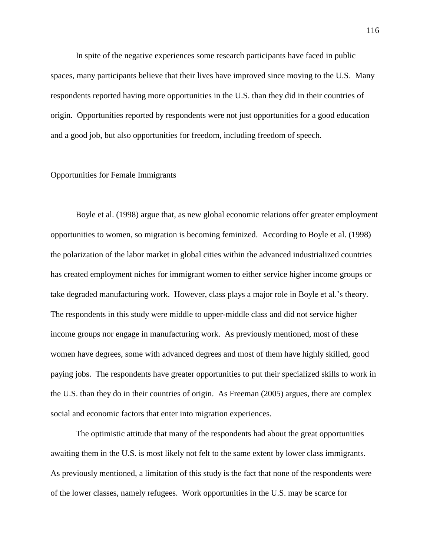In spite of the negative experiences some research participants have faced in public spaces, many participants believe that their lives have improved since moving to the U.S. Many respondents reported having more opportunities in the U.S. than they did in their countries of origin. Opportunities reported by respondents were not just opportunities for a good education and a good job, but also opportunities for freedom, including freedom of speech.

# Opportunities for Female Immigrants

Boyle et al. (1998) argue that, as new global economic relations offer greater employment opportunities to women, so migration is becoming feminized. According to Boyle et al. (1998) the polarization of the labor market in global cities within the advanced industrialized countries has created employment niches for immigrant women to either service higher income groups or take degraded manufacturing work. However, class plays a major role in Boyle et al."s theory. The respondents in this study were middle to upper-middle class and did not service higher income groups nor engage in manufacturing work. As previously mentioned, most of these women have degrees, some with advanced degrees and most of them have highly skilled, good paying jobs. The respondents have greater opportunities to put their specialized skills to work in the U.S. than they do in their countries of origin. As Freeman (2005) argues, there are complex social and economic factors that enter into migration experiences.

The optimistic attitude that many of the respondents had about the great opportunities awaiting them in the U.S. is most likely not felt to the same extent by lower class immigrants. As previously mentioned, a limitation of this study is the fact that none of the respondents were of the lower classes, namely refugees. Work opportunities in the U.S. may be scarce for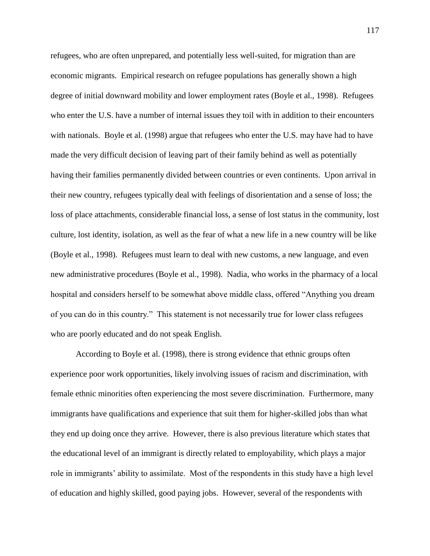refugees, who are often unprepared, and potentially less well-suited, for migration than are economic migrants. Empirical research on refugee populations has generally shown a high degree of initial downward mobility and lower employment rates (Boyle et al., 1998). Refugees who enter the U.S. have a number of internal issues they toil with in addition to their encounters with nationals. Boyle et al. (1998) argue that refugees who enter the U.S. may have had to have made the very difficult decision of leaving part of their family behind as well as potentially having their families permanently divided between countries or even continents. Upon arrival in their new country, refugees typically deal with feelings of disorientation and a sense of loss; the loss of place attachments, considerable financial loss, a sense of lost status in the community, lost culture, lost identity, isolation, as well as the fear of what a new life in a new country will be like (Boyle et al., 1998). Refugees must learn to deal with new customs, a new language, and even new administrative procedures (Boyle et al., 1998). Nadia, who works in the pharmacy of a local hospital and considers herself to be somewhat above middle class, offered "Anything you dream of you can do in this country." This statement is not necessarily true for lower class refugees who are poorly educated and do not speak English.

According to Boyle et al. (1998), there is strong evidence that ethnic groups often experience poor work opportunities, likely involving issues of racism and discrimination, with female ethnic minorities often experiencing the most severe discrimination. Furthermore, many immigrants have qualifications and experience that suit them for higher-skilled jobs than what they end up doing once they arrive. However, there is also previous literature which states that the educational level of an immigrant is directly related to employability, which plays a major role in immigrants' ability to assimilate. Most of the respondents in this study have a high level of education and highly skilled, good paying jobs. However, several of the respondents with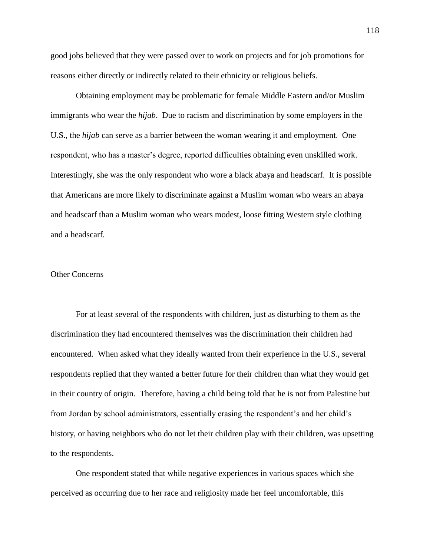good jobs believed that they were passed over to work on projects and for job promotions for reasons either directly or indirectly related to their ethnicity or religious beliefs.

Obtaining employment may be problematic for female Middle Eastern and/or Muslim immigrants who wear the *hijab*. Due to racism and discrimination by some employers in the U.S., the *hijab* can serve as a barrier between the woman wearing it and employment. One respondent, who has a master"s degree, reported difficulties obtaining even unskilled work. Interestingly, she was the only respondent who wore a black abaya and headscarf. It is possible that Americans are more likely to discriminate against a Muslim woman who wears an abaya and headscarf than a Muslim woman who wears modest, loose fitting Western style clothing and a headscarf.

### Other Concerns

For at least several of the respondents with children, just as disturbing to them as the discrimination they had encountered themselves was the discrimination their children had encountered. When asked what they ideally wanted from their experience in the U.S., several respondents replied that they wanted a better future for their children than what they would get in their country of origin. Therefore, having a child being told that he is not from Palestine but from Jordan by school administrators, essentially erasing the respondent's and her child's history, or having neighbors who do not let their children play with their children, was upsetting to the respondents.

One respondent stated that while negative experiences in various spaces which she perceived as occurring due to her race and religiosity made her feel uncomfortable, this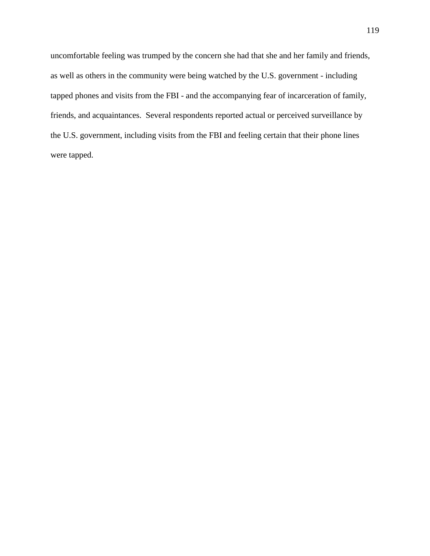uncomfortable feeling was trumped by the concern she had that she and her family and friends, as well as others in the community were being watched by the U.S. government - including tapped phones and visits from the FBI - and the accompanying fear of incarceration of family, friends, and acquaintances. Several respondents reported actual or perceived surveillance by the U.S. government, including visits from the FBI and feeling certain that their phone lines were tapped.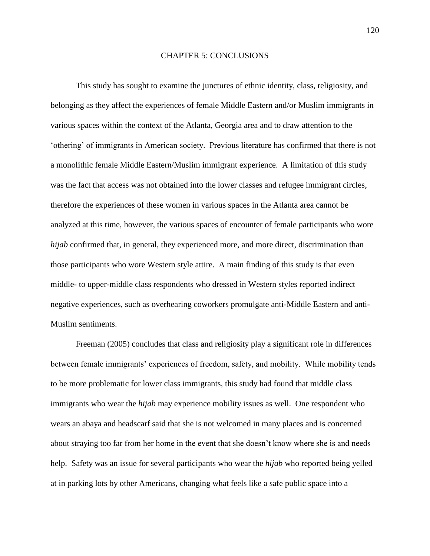### CHAPTER 5: CONCLUSIONS

This study has sought to examine the junctures of ethnic identity, class, religiosity, and belonging as they affect the experiences of female Middle Eastern and/or Muslim immigrants in various spaces within the context of the Atlanta, Georgia area and to draw attention to the "othering" of immigrants in American society. Previous literature has confirmed that there is not a monolithic female Middle Eastern/Muslim immigrant experience. A limitation of this study was the fact that access was not obtained into the lower classes and refugee immigrant circles, therefore the experiences of these women in various spaces in the Atlanta area cannot be analyzed at this time, however, the various spaces of encounter of female participants who wore *hijab* confirmed that, in general, they experienced more, and more direct, discrimination than those participants who wore Western style attire. A main finding of this study is that even middle- to upper-middle class respondents who dressed in Western styles reported indirect negative experiences, such as overhearing coworkers promulgate anti-Middle Eastern and anti-Muslim sentiments.

Freeman (2005) concludes that class and religiosity play a significant role in differences between female immigrants' experiences of freedom, safety, and mobility. While mobility tends to be more problematic for lower class immigrants, this study had found that middle class immigrants who wear the *hijab* may experience mobility issues as well. One respondent who wears an abaya and headscarf said that she is not welcomed in many places and is concerned about straying too far from her home in the event that she doesn"t know where she is and needs help. Safety was an issue for several participants who wear the *hijab* who reported being yelled at in parking lots by other Americans, changing what feels like a safe public space into a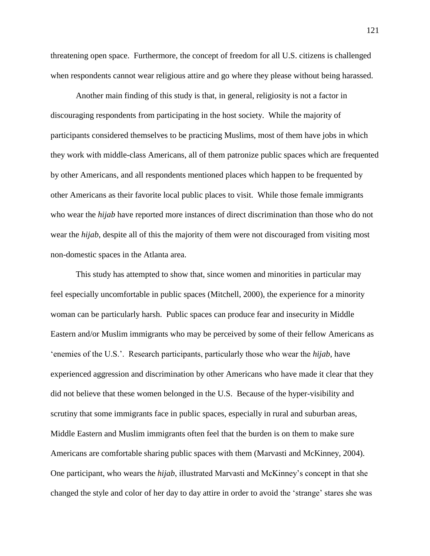threatening open space. Furthermore, the concept of freedom for all U.S. citizens is challenged when respondents cannot wear religious attire and go where they please without being harassed.

Another main finding of this study is that, in general, religiosity is not a factor in discouraging respondents from participating in the host society. While the majority of participants considered themselves to be practicing Muslims, most of them have jobs in which they work with middle-class Americans, all of them patronize public spaces which are frequented by other Americans, and all respondents mentioned places which happen to be frequented by other Americans as their favorite local public places to visit. While those female immigrants who wear the *hijab* have reported more instances of direct discrimination than those who do not wear the *hijab*, despite all of this the majority of them were not discouraged from visiting most non-domestic spaces in the Atlanta area.

This study has attempted to show that, since women and minorities in particular may feel especially uncomfortable in public spaces (Mitchell, 2000), the experience for a minority woman can be particularly harsh. Public spaces can produce fear and insecurity in Middle Eastern and/or Muslim immigrants who may be perceived by some of their fellow Americans as "enemies of the U.S.". Research participants, particularly those who wear the *hijab*, have experienced aggression and discrimination by other Americans who have made it clear that they did not believe that these women belonged in the U.S. Because of the hyper-visibility and scrutiny that some immigrants face in public spaces, especially in rural and suburban areas, Middle Eastern and Muslim immigrants often feel that the burden is on them to make sure Americans are comfortable sharing public spaces with them (Marvasti and McKinney, 2004). One participant, who wears the *hijab*, illustrated Marvasti and McKinney"s concept in that she changed the style and color of her day to day attire in order to avoid the "strange" stares she was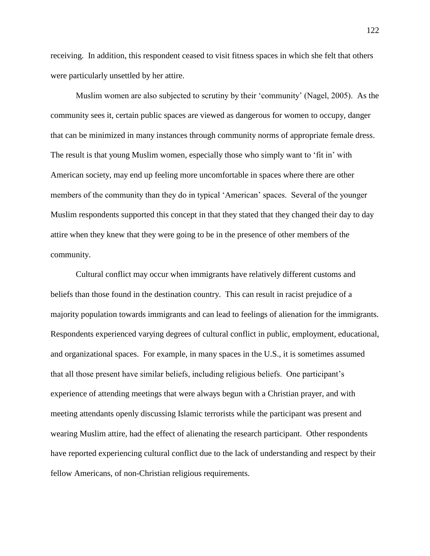receiving. In addition, this respondent ceased to visit fitness spaces in which she felt that others were particularly unsettled by her attire.

Muslim women are also subjected to scrutiny by their "community" (Nagel, 2005). As the community sees it, certain public spaces are viewed as dangerous for women to occupy, danger that can be minimized in many instances through community norms of appropriate female dress. The result is that young Muslim women, especially those who simply want to "fit in" with American society, may end up feeling more uncomfortable in spaces where there are other members of the community than they do in typical "American" spaces. Several of the younger Muslim respondents supported this concept in that they stated that they changed their day to day attire when they knew that they were going to be in the presence of other members of the community.

Cultural conflict may occur when immigrants have relatively different customs and beliefs than those found in the destination country. This can result in racist prejudice of a majority population towards immigrants and can lead to feelings of alienation for the immigrants. Respondents experienced varying degrees of cultural conflict in public, employment, educational, and organizational spaces. For example, in many spaces in the U.S., it is sometimes assumed that all those present have similar beliefs, including religious beliefs. One participant"s experience of attending meetings that were always begun with a Christian prayer, and with meeting attendants openly discussing Islamic terrorists while the participant was present and wearing Muslim attire, had the effect of alienating the research participant. Other respondents have reported experiencing cultural conflict due to the lack of understanding and respect by their fellow Americans, of non-Christian religious requirements.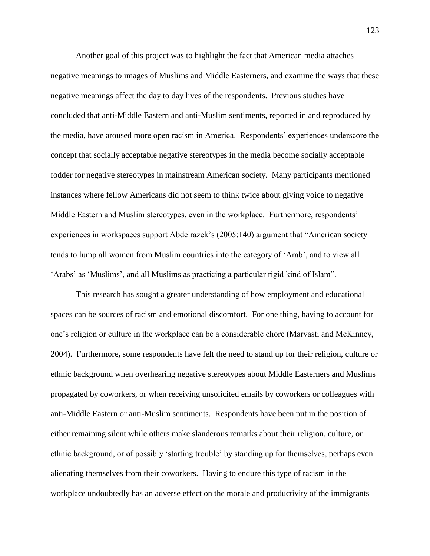Another goal of this project was to highlight the fact that American media attaches negative meanings to images of Muslims and Middle Easterners, and examine the ways that these negative meanings affect the day to day lives of the respondents. Previous studies have concluded that anti-Middle Eastern and anti-Muslim sentiments, reported in and reproduced by the media, have aroused more open racism in America. Respondents" experiences underscore the concept that socially acceptable negative stereotypes in the media become socially acceptable fodder for negative stereotypes in mainstream American society. Many participants mentioned instances where fellow Americans did not seem to think twice about giving voice to negative Middle Eastern and Muslim stereotypes, even in the workplace. Furthermore, respondents' experiences in workspaces support Abdelrazek's (2005:140) argument that "American society tends to lump all women from Muslim countries into the category of "Arab", and to view all 'Arabs' as 'Muslims', and all Muslims as practicing a particular rigid kind of Islam".

This research has sought a greater understanding of how employment and educational spaces can be sources of racism and emotional discomfort. For one thing, having to account for one"s religion or culture in the workplace can be a considerable chore (Marvasti and McKinney, 2004). Furthermore**,** some respondents have felt the need to stand up for their religion, culture or ethnic background when overhearing negative stereotypes about Middle Easterners and Muslims propagated by coworkers, or when receiving unsolicited emails by coworkers or colleagues with anti-Middle Eastern or anti-Muslim sentiments. Respondents have been put in the position of either remaining silent while others make slanderous remarks about their religion, culture, or ethnic background, or of possibly "starting trouble" by standing up for themselves, perhaps even alienating themselves from their coworkers. Having to endure this type of racism in the workplace undoubtedly has an adverse effect on the morale and productivity of the immigrants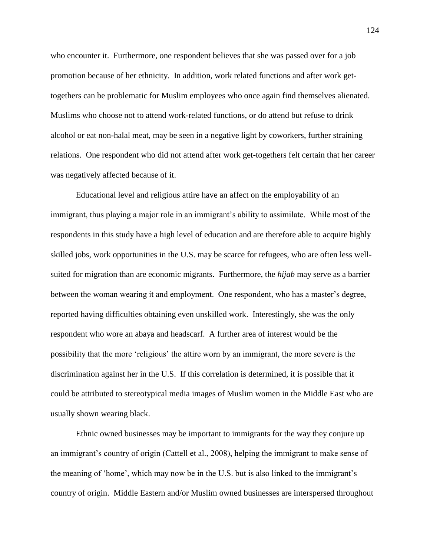who encounter it. Furthermore, one respondent believes that she was passed over for a job promotion because of her ethnicity. In addition, work related functions and after work gettogethers can be problematic for Muslim employees who once again find themselves alienated. Muslims who choose not to attend work-related functions, or do attend but refuse to drink alcohol or eat non-halal meat, may be seen in a negative light by coworkers, further straining relations. One respondent who did not attend after work get-togethers felt certain that her career was negatively affected because of it.

Educational level and religious attire have an affect on the employability of an immigrant, thus playing a major role in an immigrant's ability to assimilate. While most of the respondents in this study have a high level of education and are therefore able to acquire highly skilled jobs, work opportunities in the U.S. may be scarce for refugees, who are often less wellsuited for migration than are economic migrants. Furthermore, the *hijab* may serve as a barrier between the woman wearing it and employment. One respondent, who has a master's degree, reported having difficulties obtaining even unskilled work. Interestingly, she was the only respondent who wore an abaya and headscarf. A further area of interest would be the possibility that the more "religious" the attire worn by an immigrant, the more severe is the discrimination against her in the U.S. If this correlation is determined, it is possible that it could be attributed to stereotypical media images of Muslim women in the Middle East who are usually shown wearing black.

Ethnic owned businesses may be important to immigrants for the way they conjure up an immigrant's country of origin (Cattell et al., 2008), helping the immigrant to make sense of the meaning of 'home', which may now be in the U.S. but is also linked to the immigrant's country of origin. Middle Eastern and/or Muslim owned businesses are interspersed throughout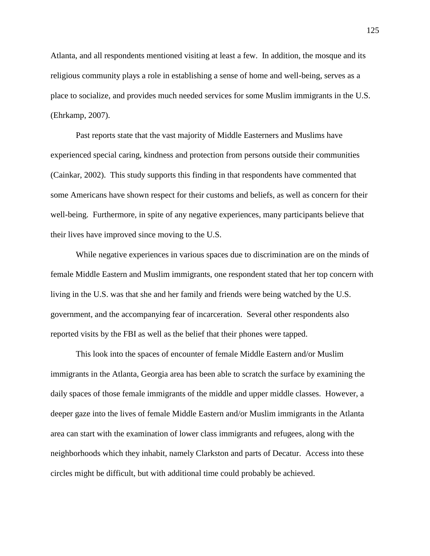Atlanta, and all respondents mentioned visiting at least a few. In addition, the mosque and its religious community plays a role in establishing a sense of home and well-being, serves as a place to socialize, and provides much needed services for some Muslim immigrants in the U.S. (Ehrkamp, 2007).

Past reports state that the vast majority of Middle Easterners and Muslims have experienced special caring, kindness and protection from persons outside their communities (Cainkar, 2002). This study supports this finding in that respondents have commented that some Americans have shown respect for their customs and beliefs, as well as concern for their well-being. Furthermore, in spite of any negative experiences, many participants believe that their lives have improved since moving to the U.S.

While negative experiences in various spaces due to discrimination are on the minds of female Middle Eastern and Muslim immigrants, one respondent stated that her top concern with living in the U.S. was that she and her family and friends were being watched by the U.S. government, and the accompanying fear of incarceration. Several other respondents also reported visits by the FBI as well as the belief that their phones were tapped.

This look into the spaces of encounter of female Middle Eastern and/or Muslim immigrants in the Atlanta, Georgia area has been able to scratch the surface by examining the daily spaces of those female immigrants of the middle and upper middle classes. However, a deeper gaze into the lives of female Middle Eastern and/or Muslim immigrants in the Atlanta area can start with the examination of lower class immigrants and refugees, along with the neighborhoods which they inhabit, namely Clarkston and parts of Decatur. Access into these circles might be difficult, but with additional time could probably be achieved.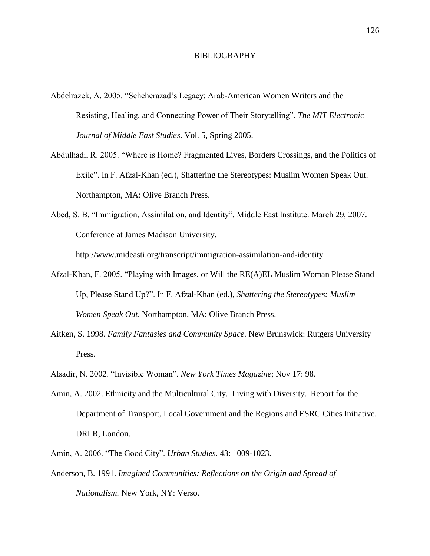#### BIBLIOGRAPHY

- Abdelrazek, A. 2005. "Scheherazad"s Legacy: Arab-American Women Writers and the Resisting, Healing, and Connecting Power of Their Storytelling". *The MIT Electronic Journal of Middle East Studies*. Vol. 5, Spring 2005.
- Abdulhadi, R. 2005. "Where is Home? Fragmented Lives, Borders Crossings, and the Politics of Exile". In F. Afzal-Khan (ed.), Shattering the Stereotypes: Muslim Women Speak Out. Northampton, MA: Olive Branch Press.
- Abed, S. B. "Immigration, Assimilation, and Identity". Middle East Institute. March 29, 2007. Conference at James Madison University.

http:/[/www.mideasti.org/transcript/immigration-assimilation-and-identity](http://www.mideasti.org/transcript/immigration-assimilation-and-identity)

- Afzal-Khan, F. 2005. "Playing with Images, or Will the RE(A)EL Muslim Woman Please Stand Up, Please Stand Up?". In F. Afzal-Khan (ed.), *Shattering the Stereotypes: Muslim Women Speak Out*. Northampton, MA: Olive Branch Press.
- Aitken, S. 1998. *Family Fantasies and Community Space*. New Brunswick: Rutgers University Press.
- Alsadir, N. 2002. "Invisible Woman". *New York Times Magazine*; Nov 17: 98.
- Amin, A. 2002. Ethnicity and the Multicultural City. Living with Diversity. Report for the Department of Transport, Local Government and the Regions and ESRC Cities Initiative. DRLR, London.
- Amin, A. 2006. "The Good City". *Urban Studies*. 43: 1009-1023.
- Anderson, B. 1991. *Imagined Communities: Reflections on the Origin and Spread of Nationalism.* New York, NY: Verso.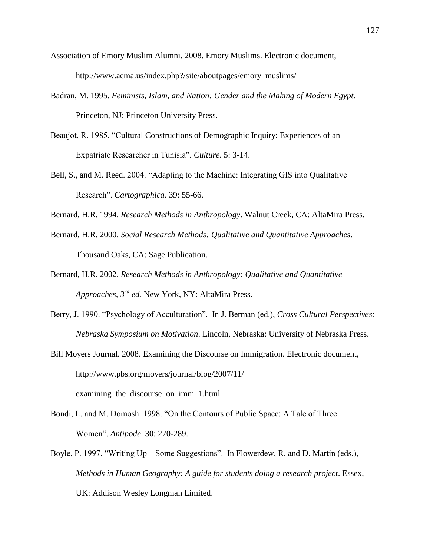- Association of Emory Muslim Alumni. 2008. Emory Muslims. Electronic document, http://www.aema.us/index.php?/site/aboutpages/emory\_muslims/
- Badran, M. 1995. *Feminists, Islam, and Nation: Gender and the Making of Modern Egypt.* Princeton, NJ: Princeton University Press.
- Beaujot, R. 1985. "Cultural Constructions of Demographic Inquiry: Experiences of an Expatriate Researcher in Tunisia". *Culture*. 5: 3-14.
- Bell, S., and M. Reed. 2004. "Adapting to the Machine: Integrating GIS into Qualitative Research". *Cartographica*. 39: 55-66.
- Bernard, H.R. 1994. *Research Methods in Anthropology*. Walnut Creek, CA: AltaMira Press.
- Bernard, H.R. 2000. *Social Research Methods: Qualitative and Quantitative Approaches*. Thousand Oaks, CA: Sage Publication.
- Bernard, H.R. 2002. *Research Methods in Anthropology: Qualitative and Quantitative Approaches, 3rd ed.* New York, NY: AltaMira Press.
- Berry, J. 1990. "Psychology of Acculturation". In J. Berman (ed.), *Cross Cultural Perspectives: Nebraska Symposium on Motivation*. Lincoln, Nebraska: University of Nebraska Press.
- Bill Moyers Journal. 2008. Examining the Discourse on Immigration. Electronic document, [http://www.pbs.org/moyers/journal/blog/2007/11/](http://www.pbs.org/moyers/journal/blog/2007/11/%0Dexamining_the_discourse_on_imm_1.html) examining\_the\_discourse\_on\_imm\_1.html
- Bondi, L. and M. Domosh. 1998. "On the Contours of Public Space: A Tale of Three Women". *Antipode*. 30: 270-289.
- Boyle, P. 1997. "Writing Up Some Suggestions". In Flowerdew, R. and D. Martin (eds.), *Methods in Human Geography: A guide for students doing a research project*. Essex, UK: Addison Wesley Longman Limited.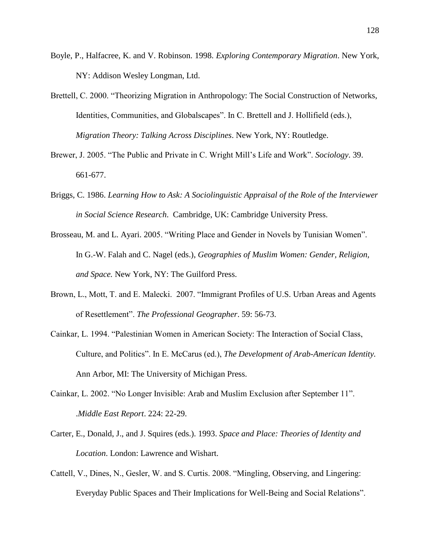- Boyle, P., Halfacree, K. and V. Robinson. 1998. *Exploring Contemporary Migration*. New York, NY: Addison Wesley Longman, Ltd.
- Brettell, C. 2000. "Theorizing Migration in Anthropology: The Social Construction of Networks, Identities, Communities, and Globalscapes". In C. Brettell and J. Hollifield (eds.), *Migration Theory: Talking Across Disciplines*. New York, NY: Routledge.
- Brewer, J. 2005. "The Public and Private in C. Wright Mill"s Life and Work". *Sociology*. 39. 661-677.
- Briggs, C. 1986. *Learning How to Ask: A Sociolinguistic Appraisal of the Role of the Interviewer in Social Science Research*. Cambridge, UK: Cambridge University Press.
- Brosseau, M. and L. Ayari. 2005. "Writing Place and Gender in Novels by Tunisian Women". In G.-W. Falah and C. Nagel (eds.), *Geographies of Muslim Women: Gender, Religion, and Space.* New York, NY: The Guilford Press.
- Brown, L., Mott, T. and E. Malecki. 2007. "Immigrant Profiles of U.S. Urban Areas and Agents of Resettlement". *The Professional Geographer*. 59: 56-73.
- Cainkar, L. 1994. "Palestinian Women in American Society: The Interaction of Social Class, Culture, and Politics". In E. McCarus (ed.), *The Development of Arab-American Identity.* Ann Arbor, MI: The University of Michigan Press.
- Cainkar, L. 2002. "No Longer Invisible: Arab and Muslim Exclusion after September 11". .*Middle East Report*. 224: 22-29.
- Carter, E., Donald, J., and J. Squires (eds.). 1993. *Space and Place: Theories of Identity and Location*. London: Lawrence and Wishart.
- Cattell, V., Dines, N., Gesler, W. and S. Curtis. 2008. "Mingling, Observing, and Lingering: Everyday Public Spaces and Their Implications for Well-Being and Social Relations".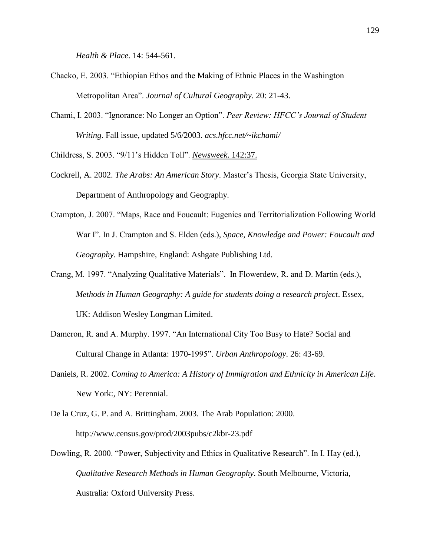*Health & Place*. 14: 544-561.

- Chacko, E. 2003. "Ethiopian Ethos and the Making of Ethnic Places in the Washington Metropolitan Area". *Journal of Cultural Geography*. 20: 21-43.
- Chami, I. 2003. "Ignorance: No Longer an Option". *Peer Review: HFCC's Journal of Student Writing*. Fall issue, updated 5/6/2003. *acs.hfcc.net/~ikchami/*

Childress, S. 2003. "9/11"s Hidden Toll". *Newsweek*. 142:37.

- Cockrell, A. 2002. *The Arabs: An American Story*. Master"s Thesis, Georgia State University, Department of Anthropology and Geography.
- Crampton, J. 2007. "Maps, Race and Foucault: Eugenics and Territorialization Following World War I". In J. Crampton and S. Elden (eds.), *Space, Knowledge and Power: Foucault and Geography*. Hampshire, England: Ashgate Publishing Ltd.
- Crang, M. 1997. "Analyzing Qualitative Materials". In Flowerdew, R. and D. Martin (eds.), *Methods in Human Geography: A guide for students doing a research project*. Essex, UK: Addison Wesley Longman Limited.
- Dameron, R. and A. Murphy. 1997. "An International City Too Busy to Hate? Social and Cultural Change in Atlanta: 1970-1995". *Urban Anthropology*. 26: 43-69.
- Daniels, R. 2002. *Coming to America: A History of Immigration and Ethnicity in American Life*. New York:, NY: Perennial.
- De la Cruz, G. P. and A. Brittingham. 2003. The Arab Population: 2000. http://www.census.gov/prod/2003pubs/c2kbr-23.pdf
- Dowling, R. 2000. "Power, Subjectivity and Ethics in Qualitative Research". In I. Hay (ed.), *Qualitative Research Methods in Human Geography*. South Melbourne, Victoria, Australia: Oxford University Press.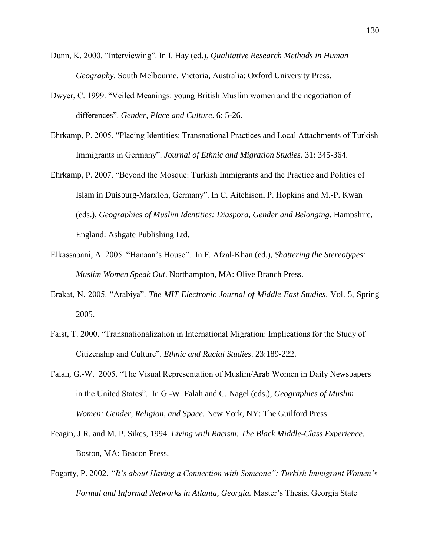- Dunn, K. 2000. "Interviewing". In I. Hay (ed.), *Qualitative Research Methods in Human Geography*. South Melbourne, Victoria, Australia: Oxford University Press.
- Dwyer, C. 1999. "Veiled Meanings: young British Muslim women and the negotiation of differences". *Gender, Place and Culture*. 6: 5-26.
- Ehrkamp, P. 2005. "Placing Identities: Transnational Practices and Local Attachments of Turkish Immigrants in Germany". *Journal of Ethnic and Migration Studies*. 31: 345-364.
- Ehrkamp, P. 2007. "Beyond the Mosque: Turkish Immigrants and the Practice and Politics of Islam in Duisburg-Marxloh, Germany". In C. Aitchison, P. Hopkins and M.-P. Kwan (eds.), *Geographies of Muslim Identities: Diaspora, Gender and Belonging*. Hampshire, England: Ashgate Publishing Ltd.
- Elkassabani, A. 2005. "Hanaan"s House". In F. Afzal-Khan (ed.), *Shattering the Stereotypes: Muslim Women Speak Out*. Northampton, MA: Olive Branch Press.
- Erakat, N. 2005. "Arabiya". *The MIT Electronic Journal of Middle East Studies*. Vol. 5, Spring 2005.
- Faist, T. 2000. "Transnationalization in International Migration: Implications for the Study of Citizenship and Culture". *Ethnic and Racial Studies*. 23:189-222.
- Falah, G.-W. 2005. "The Visual Representation of Muslim/Arab Women in Daily Newspapers in the United States". In G.-W. Falah and C. Nagel (eds.), *Geographies of Muslim Women: Gender, Religion, and Space.* New York, NY: The Guilford Press.
- Feagin, J.R. and M. P. Sikes, 1994. *Living with Racism: The Black Middle-Class Experience*. Boston, MA: Beacon Press.
- Fogarty, P. 2002. *"It's about Having a Connection with Someone": Turkish Immigrant Women's Formal and Informal Networks in Atlanta, Georgia.* Master"s Thesis, Georgia State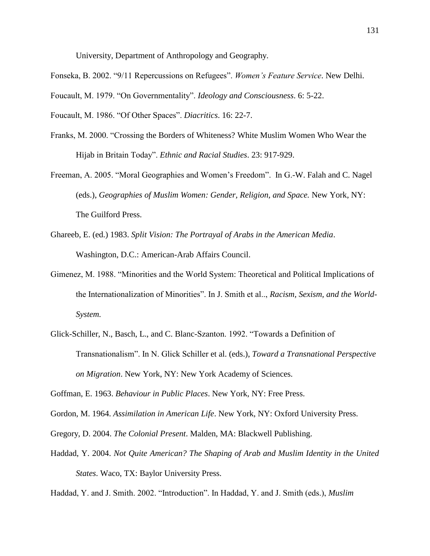University, Department of Anthropology and Geography.

Fonseka, B. 2002. "9/11 Repercussions on Refugees". *Women's Feature Service*. New Delhi.

Foucault, M. 1979. "On Governmentality". *Ideology and Consciousness*. 6: 5-22.

Foucault, M. 1986. "Of Other Spaces". *Diacritics*. 16: 22-7.

- Franks, M. 2000. "Crossing the Borders of Whiteness? White Muslim Women Who Wear the Hijab in Britain Today". *Ethnic and Racial Studies*. 23: 917-929.
- Freeman, A. 2005. "Moral Geographies and Women"s Freedom". In G.-W. Falah and C. Nagel (eds.), *Geographies of Muslim Women: Gender, Religion, and Space.* New York, NY: The Guilford Press.
- Ghareeb, E. (ed.) 1983. *Split Vision: The Portrayal of Arabs in the American Media*. Washington, D.C.: American-Arab Affairs Council.
- Gimenez, M. 1988. "Minorities and the World System: Theoretical and Political Implications of the Internationalization of Minorities". In J. Smith et al.., *Racism, Sexism, and the World-System.*
- Glick-Schiller, N., Basch, L., and C. Blanc-Szanton. 1992. "Towards a Definition of Transnationalism". In N. Glick Schiller et al. (eds.), *Toward a Transnational Perspective on Migration*. New York, NY: New York Academy of Sciences.

Goffman, E. 1963. *Behaviour in Public Places*. New York, NY: Free Press.

- Gordon, M. 1964. *Assimilation in American Life*. New York, NY: Oxford University Press.
- Gregory, D. 2004. *The Colonial Present*. Malden, MA: Blackwell Publishing.
- Haddad, Y. 2004. *Not Quite American? The Shaping of Arab and Muslim Identity in the United States*. Waco, TX: Baylor University Press.

Haddad, Y. and J. Smith. 2002. "Introduction". In Haddad, Y. and J. Smith (eds.), *Muslim*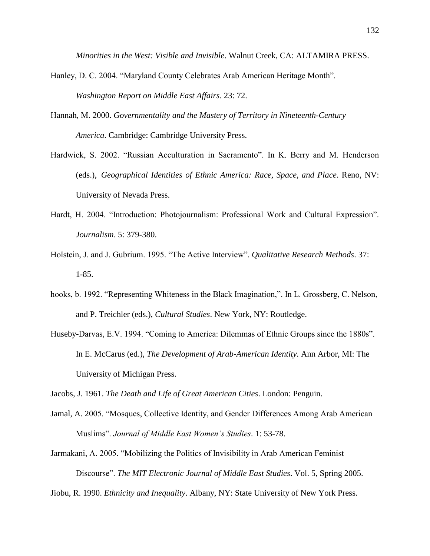*Minorities in the West: Visible and Invisible*. Walnut Creek, CA: ALTAMIRA PRESS.

- Hanley, D. C. 2004. "Maryland County Celebrates Arab American Heritage Month". *Washington Report on Middle East Affairs*. 23: 72.
- Hannah, M. 2000. *Governmentality and the Mastery of Territory in Nineteenth-Century America*. Cambridge: Cambridge University Press.
- Hardwick, S. 2002. "Russian Acculturation in Sacramento". In K. Berry and M. Henderson (eds.), *Geographical Identities of Ethnic America: Race, Space, and Place*. Reno, NV: University of Nevada Press.
- Hardt, H. 2004. "Introduction: Photojournalism: Professional Work and Cultural Expression". *Journalism*. 5: 379-380.
- Holstein, J. and J. Gubrium. 1995. "The Active Interview". *Qualitative Research Methods*. 37: 1-85.
- hooks, b. 1992. "Representing Whiteness in the Black Imagination,". In L. Grossberg, C. Nelson, and P. Treichler (eds.), *Cultural Studies*. New York, NY: Routledge.
- Huseby-Darvas, E.V. 1994. "Coming to America: Dilemmas of Ethnic Groups since the 1880s". In E. McCarus (ed.), *The Development of Arab-American Identity.* Ann Arbor, MI: The University of Michigan Press.
- Jacobs, J. 1961. *The Death and Life of Great American Cities*. London: Penguin.
- Jamal, A. 2005. "Mosques, Collective Identity, and Gender Differences Among Arab American Muslims". *Journal of Middle East Women's Studies*. 1: 53-78.
- Jarmakani, A. 2005. "Mobilizing the Politics of Invisibility in Arab American Feminist Discourse". *The MIT Electronic Journal of Middle East Studies*. Vol. 5, Spring 2005.
- Jiobu, R. 1990. *Ethnicity and Inequality*. Albany, NY: State University of New York Press.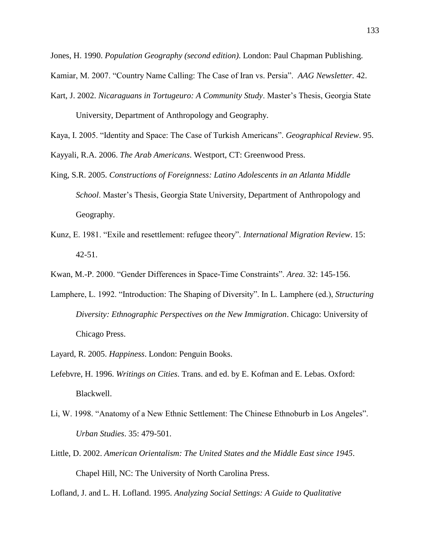Jones, H. 1990. *Population Geography (second edition)*. London: Paul Chapman Publishing.

- Kamiar, M. 2007. "Country Name Calling: The Case of Iran vs. Persia". *AAG Newsletter.* 42.
- Kart, J. 2002. *Nicaraguans in Tortugeuro: A Community Study*. Master"s Thesis, Georgia State University, Department of Anthropology and Geography.

Kaya, I. 2005. "Identity and Space: The Case of Turkish Americans". *Geographical Review*. 95.

Kayyali, R.A. 2006. *The Arab Americans*. Westport, CT: Greenwood Press.

- King, S.R. 2005. *Constructions of Foreignness: Latino Adolescents in an Atlanta Middle School*. Master's Thesis, Georgia State University, Department of Anthropology and Geography.
- Kunz, E. 1981. "Exile and resettlement: refugee theory". *International Migration Review*. 15: 42-51.
- Kwan, M.-P. 2000. "Gender Differences in Space-Time Constraints". *Area*. 32: 145-156.
- Lamphere, L. 1992. "Introduction: The Shaping of Diversity". In L. Lamphere (ed.), *Structuring Diversity: Ethnographic Perspectives on the New Immigration*. Chicago: University of Chicago Press.
- Layard, R. 2005. *Happiness*. London: Penguin Books.
- Lefebvre, H. 1996. *Writings on Cities*. Trans. and ed. by E. Kofman and E. Lebas. Oxford: Blackwell.
- Li, W. 1998. "Anatomy of a New Ethnic Settlement: The Chinese Ethnoburb in Los Angeles". *Urban Studies*. 35: 479-501.
- Little, D. 2002. *American Orientalism: The United States and the Middle East since 1945*. Chapel Hill, NC: The University of North Carolina Press.

Lofland, J. and L. H. Lofland. 1995. *Analyzing Social Settings: A Guide to Qualitative*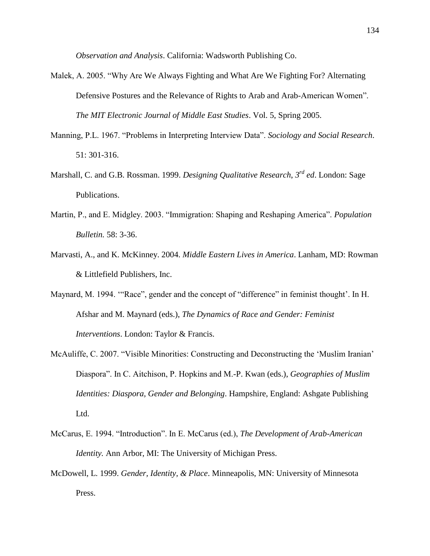*Observation and Analysis*. California: Wadsworth Publishing Co.

- Malek, A. 2005. "Why Are We Always Fighting and What Are We Fighting For? Alternating Defensive Postures and the Relevance of Rights to Arab and Arab-American Women". *The MIT Electronic Journal of Middle East Studies*. Vol. 5, Spring 2005.
- Manning, P.L. 1967. "Problems in Interpreting Interview Data". *Sociology and Social Research*. 51: 301-316.
- Marshall, C. and G.B. Rossman. 1999. *Designing Qualitative Research*, *3 rd ed*. London: Sage Publications.
- Martin, P., and E. Midgley. 2003. "Immigration: Shaping and Reshaping America". *Population Bulletin.* 58: 3-36.
- Marvasti, A., and K. McKinney. 2004. *Middle Eastern Lives in America*. Lanham, MD: Rowman & Littlefield Publishers, Inc.
- Maynard, M. 1994. ""Race", gender and the concept of "difference" in feminist thought'. In H. Afshar and M. Maynard (eds.), *The Dynamics of Race and Gender: Feminist Interventions*. London: Taylor & Francis.
- McAuliffe, C. 2007. "Visible Minorities: Constructing and Deconstructing the "Muslim Iranian" Diaspora". In C. Aitchison, P. Hopkins and M.-P. Kwan (eds.), *Geographies of Muslim Identities: Diaspora, Gender and Belonging*. Hampshire, England: Ashgate Publishing Ltd.
- McCarus, E. 1994. "Introduction". In E. McCarus (ed.), *The Development of Arab-American Identity.* Ann Arbor, MI: The University of Michigan Press.
- McDowell, L. 1999. *Gender, Identity, & Place*. Minneapolis, MN: University of Minnesota Press.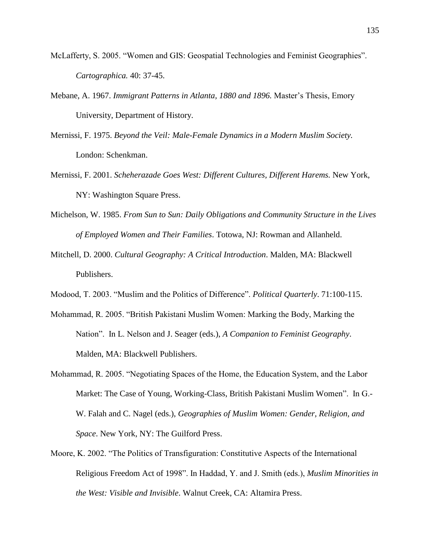- McLafferty, S. 2005. "Women and GIS: Geospatial Technologies and Feminist Geographies". *Cartographica.* 40: 37-45.
- Mebane, A. 1967. *Immigrant Patterns in Atlanta, 1880 and 1896.* Master"s Thesis, Emory University, Department of History.
- Mernissi, F. 1975. *Beyond the Veil: Male-Female Dynamics in a Modern Muslim Society.* London: Schenkman.
- Mernissi, F. 2001. *Scheherazade Goes West: Different Cultures, Different Harems.* New York, NY: Washington Square Press.
- Michelson, W. 1985. *From Sun to Sun: Daily Obligations and Community Structure in the Lives of Employed Women and Their Families*. Totowa, NJ: Rowman and Allanheld.
- Mitchell, D. 2000. *Cultural Geography: A Critical Introduction*. Malden, MA: Blackwell Publishers.
- Modood, T. 2003. "Muslim and the Politics of Difference". *Political Quarterly*. 71:100-115.
- Mohammad, R. 2005. "British Pakistani Muslim Women: Marking the Body, Marking the Nation". In L. Nelson and J. Seager (eds.), *A Companion to Feminist Geography*. Malden, MA: Blackwell Publishers.
- Mohammad, R. 2005. "Negotiating Spaces of the Home, the Education System, and the Labor Market: The Case of Young, Working-Class, British Pakistani Muslim Women". In G.- W. Falah and C. Nagel (eds.), *Geographies of Muslim Women: Gender, Religion, and Space*. New York, NY: The Guilford Press.
- Moore, K. 2002. "The Politics of Transfiguration: Constitutive Aspects of the International Religious Freedom Act of 1998". In Haddad, Y. and J. Smith (eds.), *Muslim Minorities in the West: Visible and Invisible*. Walnut Creek, CA: Altamira Press.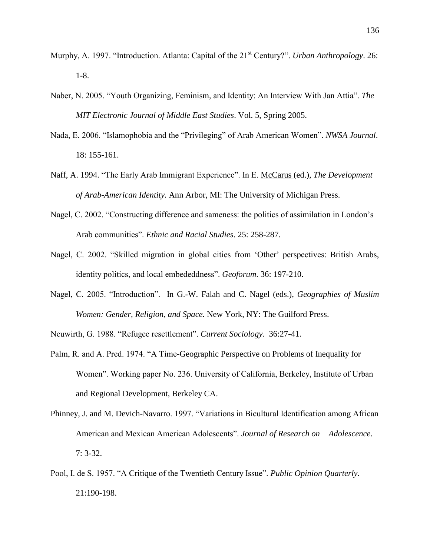- Murphy, A. 1997. "Introduction. Atlanta: Capital of the 21<sup>st</sup> Century?". *Urban Anthropology*. 26: 1-8.
- Naber, N. 2005. "Youth Organizing, Feminism, and Identity: An Interview With Jan Attia". *The MIT Electronic Journal of Middle East Studies*. Vol. 5, Spring 2005.
- Nada, E. 2006. "Islamophobia and the "Privileging" of Arab American Women". *NWSA Journal*. 18: 155-161.
- Naff, A. 1994. "The Early Arab Immigrant Experience". In E. McCarus (ed.), *The Development of Arab-American Identity.* Ann Arbor, MI: The University of Michigan Press.
- Nagel, C. 2002. "Constructing difference and sameness: the politics of assimilation in London"s Arab communities". *Ethnic and Racial Studies*. 25: 258-287.
- Nagel, C. 2002. "Skilled migration in global cities from 'Other' perspectives: British Arabs, identity politics, and local embededdness". *Geoforum*. 36: 197-210.
- Nagel, C. 2005. "Introduction". In G.-W. Falah and C. Nagel (eds.), *Geographies of Muslim Women: Gender, Religion, and Space.* New York, NY: The Guilford Press.
- Neuwirth, G. 1988. "Refugee resettlement". *Current Sociology*. 36:27-41.
- Palm, R. and A. Pred. 1974. "A Time-Geographic Perspective on Problems of Inequality for Women". Working paper No. 236. University of California, Berkeley, Institute of Urban and Regional Development, Berkeley CA.
- Phinney, J. and M. Devich-Navarro. 1997. "Variations in Bicultural Identification among African American and Mexican American Adolescents". *Journal of Research on Adolescence*. 7: 3-32.
- Pool, I. de S. 1957. "A Critique of the Twentieth Century Issue". *Public Opinion Quarterly*. 21:190-198.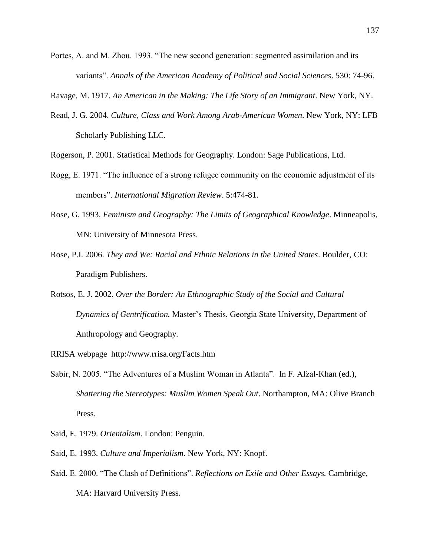Portes, A. and M. Zhou. 1993. "The new second generation: segmented assimilation and its variants". *Annals of the American Academy of Political and Social Sciences*. 530: 74-96.

Ravage, M. 1917. *An American in the Making: The Life Story of an Immigrant*. New York, NY.

Read, J. G. 2004. *Culture, Class and Work Among Arab-American Women*. New York, NY: LFB Scholarly Publishing LLC.

Rogerson, P. 2001. Statistical Methods for Geography. London: Sage Publications, Ltd.

- Rogg, E. 1971. "The influence of a strong refugee community on the economic adjustment of its members". *International Migration Review*. 5:474-81.
- Rose, G. 1993. *Feminism and Geography: The Limits of Geographical Knowledge*. Minneapolis, MN: University of Minnesota Press.
- Rose, P.I. 2006. *They and We: Racial and Ethnic Relations in the United States*. Boulder, CO: Paradigm Publishers.
- Rotsos, E. J. 2002. *Over the Border: An Ethnographic Study of the Social and Cultural Dynamics of Gentrification.* Master"s Thesis, Georgia State University, Department of Anthropology and Geography.
- RRISA webpage http://www.rrisa.org/Facts.htm
- Sabir, N. 2005. "The Adventures of a Muslim Woman in Atlanta". In F. Afzal-Khan (ed.), *Shattering the Stereotypes: Muslim Women Speak Out*. Northampton, MA: Olive Branch Press.
- Said, E. 1979. *Orientalism*. London: Penguin.
- Said, E. 1993. *Culture and Imperialism*. New York, NY: Knopf.
- Said, E. 2000. "The Clash of Definitions". *Reflections on Exile and Other Essays.* Cambridge, MA: Harvard University Press.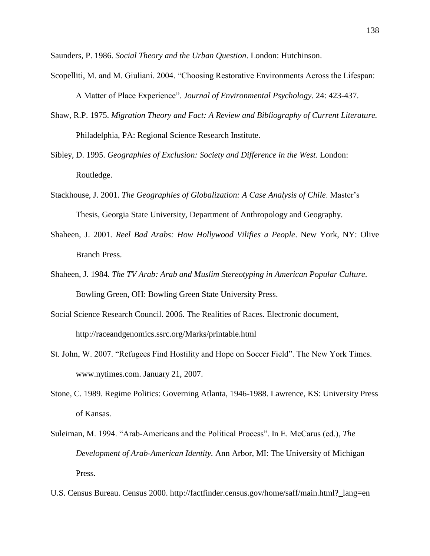Saunders, P. 1986. *Social Theory and the Urban Question*. London: Hutchinson.

- Scopelliti, M. and M. Giuliani. 2004. "Choosing Restorative Environments Across the Lifespan: A Matter of Place Experience". *Journal of Environmental Psychology*. 24: 423-437.
- Shaw, R.P. 1975. *Migration Theory and Fact: A Review and Bibliography of Current Literature.*  Philadelphia, PA: Regional Science Research Institute.
- Sibley, D. 1995. *Geographies of Exclusion: Society and Difference in the West*. London: Routledge.
- Stackhouse, J. 2001. *The Geographies of Globalization: A Case Analysis of Chile*. Master's Thesis, Georgia State University, Department of Anthropology and Geography.
- Shaheen, J. 2001. *Reel Bad Arabs: How Hollywood Vilifies a People*. New York, NY: Olive Branch Press.
- Shaheen, J. 1984*. The TV Arab: Arab and Muslim Stereotyping in American Popular Culture*. Bowling Green, OH: Bowling Green State University Press.
- Social Science Research Council. 2006. The Realities of Races. Electronic document, <http://raceandgenomics.ssrc.org/Marks/printable.html>
- St. John, W. 2007. "Refugees Find Hostility and Hope on Soccer Field". The New York Times. www.nytimes.com. January 21, 2007.
- Stone, C. 1989. Regime Politics: Governing Atlanta, 1946-1988. Lawrence, KS: University Press of Kansas.
- Suleiman, M. 1994. "Arab-Americans and the Political Process". In E. McCarus (ed.), *The Development of Arab-American Identity.* Ann Arbor, MI: The University of Michigan Press.
- U.S. Census Bureau. Census 2000. [http://factfinder.census.gov/home/saff/main.html?\\_lang=en](http://factfinder.census.gov/home/saff/main.html?_lang=en)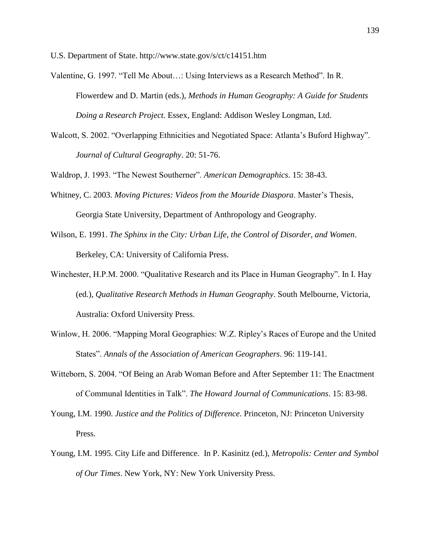U.S. Department of State. http://www.state.gov/s/ct/c14151.htm

- Valentine, G. 1997. "Tell Me About…: Using Interviews as a Research Method". In R. Flowerdew and D. Martin (eds.), *Methods in Human Geography: A Guide for Students Doing a Research Project.* Essex, England: Addison Wesley Longman, Ltd.
- Walcott, S. 2002. "Overlapping Ethnicities and Negotiated Space: Atlanta"s Buford Highway". *Journal of Cultural Geography*. 20: 51-76.

Waldrop, J. 1993. "The Newest Southerner". *American Demographics*. 15: 38-43.

- Whitney, C. 2003. *Moving Pictures: Videos from the Mouride Diaspora*. Master's Thesis, Georgia State University, Department of Anthropology and Geography.
- Wilson, E. 1991. *The Sphinx in the City: Urban Life, the Control of Disorder, and Women*. Berkeley, CA: University of California Press.
- Winchester, H.P.M. 2000. "Qualitative Research and its Place in Human Geography". In I. Hay (ed.), *Qualitative Research Methods in Human Geography*. South Melbourne, Victoria, Australia: Oxford University Press.
- Winlow, H. 2006. "Mapping Moral Geographies: W.Z. Ripley"s Races of Europe and the United States". *Annals of the Association of American Geographers*. 96: 119-141.
- Witteborn, S. 2004. "Of Being an Arab Woman Before and After September 11: The Enactment of Communal Identities in Talk". *The Howard Journal of Communications*. 15: 83-98.
- Young, I.M. 1990. *Justice and the Politics of Difference*. Princeton, NJ: Princeton University Press.
- Young, I.M. 1995. City Life and Difference. In P. Kasinitz (ed.), *Metropolis: Center and Symbol of Our Times*. New York, NY: New York University Press.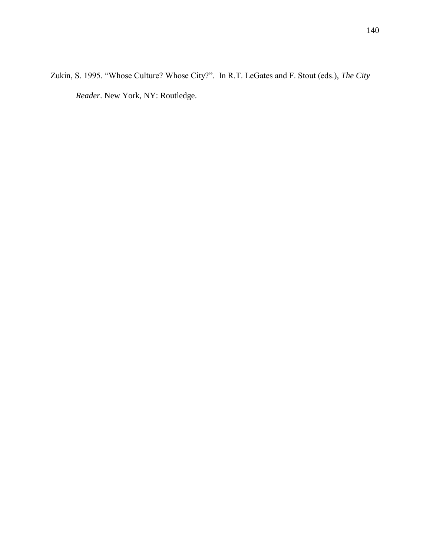Zukin, S. 1995. "Whose Culture? Whose City?". In R.T. LeGates and F. Stout (eds.), *The City Reader*. New York, NY: Routledge.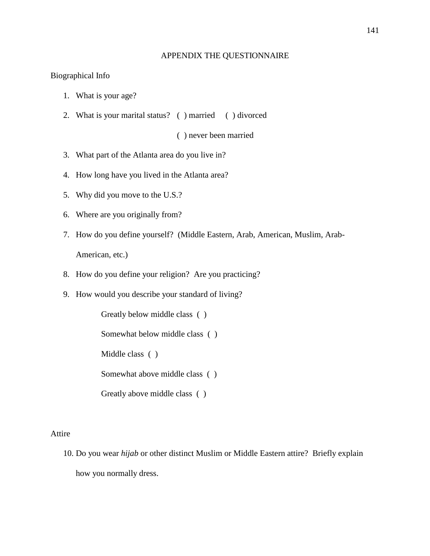### APPENDIX THE QUESTIONNAIRE

#### Biographical Info

- 1. What is your age?
- 2. What is your marital status? ( ) married ( ) divorced

( ) never been married

- 3. What part of the Atlanta area do you live in?
- 4. How long have you lived in the Atlanta area?
- 5. Why did you move to the U.S.?
- 6. Where are you originally from?
- 7. How do you define yourself? (Middle Eastern, Arab, American, Muslim, Arab-American, etc.)
- 8. How do you define your religion? Are you practicing?
- 9. How would you describe your standard of living?

Greatly below middle class ( ) Somewhat below middle class ( ) Middle class ( ) Somewhat above middle class ( ) Greatly above middle class ( )

#### Attire

10. Do you wear *hijab* or other distinct Muslim or Middle Eastern attire? Briefly explain how you normally dress.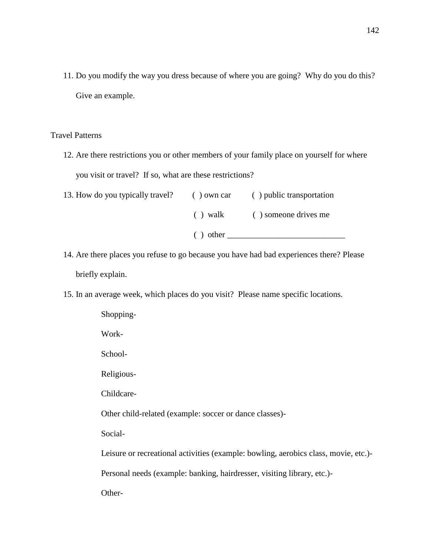11. Do you modify the way you dress because of where you are going? Why do you do this? Give an example.

# Travel Patterns

12. Are there restrictions you or other members of your family place on yourself for where you visit or travel? If so, what are these restrictions?

| 13. How do you typically travel? | ( ) own car | () public transportation |
|----------------------------------|-------------|--------------------------|
|                                  | ( ) walk    | () someone drives me     |
|                                  | $()$ other  |                          |

- 14. Are there places you refuse to go because you have had bad experiences there? Please briefly explain.
- 15. In an average week, which places do you visit? Please name specific locations.

Shopping-Work-School-Religious-Childcare-Other child-related (example: soccer or dance classes)- Social-Leisure or recreational activities (example: bowling, aerobics class, movie, etc.)- Personal needs (example: banking, hairdresser, visiting library, etc.)- Other-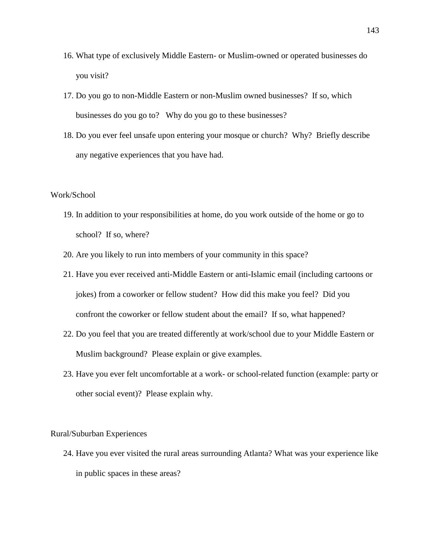- 16. What type of exclusively Middle Eastern- or Muslim-owned or operated businesses do you visit?
- 17. Do you go to non-Middle Eastern or non-Muslim owned businesses? If so, which businesses do you go to? Why do you go to these businesses?
- 18. Do you ever feel unsafe upon entering your mosque or church? Why? Briefly describe any negative experiences that you have had.

# Work/School

- 19. In addition to your responsibilities at home, do you work outside of the home or go to school? If so, where?
- 20. Are you likely to run into members of your community in this space?
- 21. Have you ever received anti-Middle Eastern or anti-Islamic email (including cartoons or jokes) from a coworker or fellow student? How did this make you feel? Did you confront the coworker or fellow student about the email? If so, what happened?
- 22. Do you feel that you are treated differently at work/school due to your Middle Eastern or Muslim background? Please explain or give examples.
- 23. Have you ever felt uncomfortable at a work- or school-related function (example: party or other social event)? Please explain why.

#### Rural/Suburban Experiences

24. Have you ever visited the rural areas surrounding Atlanta? What was your experience like in public spaces in these areas?